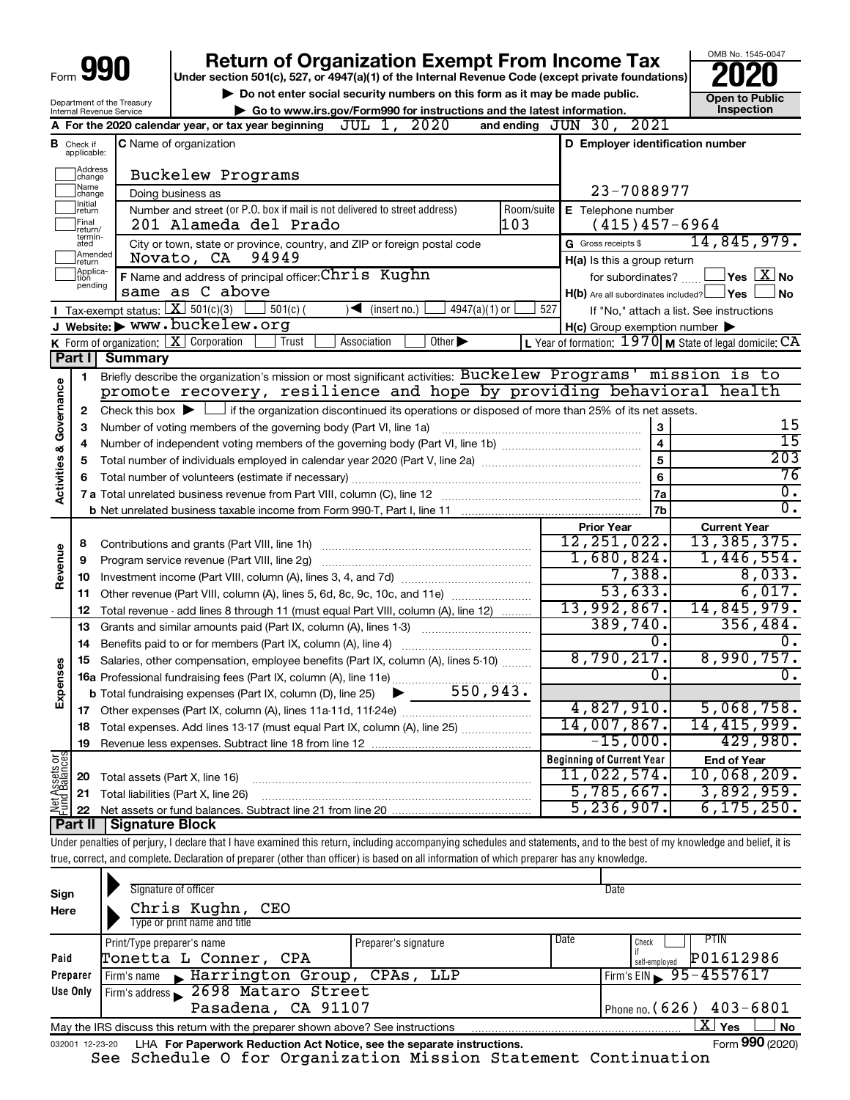| Form | IΟ<br>I<br>I |
|------|--------------|
|      |              |

### **Return of Organization Exempt From Income Tax**

**Under section 501(c), 527, or 4947(a)(1) of the Internal Revenue Code (except private foundations)**

**but the Social security numbers on this form as it may be made public.** The only one to Public **Depending to Public and the latest information.** This pection **| Go to www.irs.gov/Form990 for instructions and the latest information. Inspection**

OMB No. 1545-0047

|                         | Department of the Treasury<br>Internal Revenue Service | Go to www.irs.gov/Form990 for instructions and the latest information.                                                                      |                                                           | וועוט ו טא ווטי<br>Inspection            |
|-------------------------|--------------------------------------------------------|---------------------------------------------------------------------------------------------------------------------------------------------|-----------------------------------------------------------|------------------------------------------|
|                         |                                                        | JUL 1, 2020<br>A For the 2020 calendar year, or tax year beginning                                                                          | and ending $JUN$ 30, $2021$                               |                                          |
| в                       | Check if<br>applicable:                                | <b>C</b> Name of organization                                                                                                               | D Employer identification number                          |                                          |
|                         |                                                        |                                                                                                                                             |                                                           |                                          |
|                         | Address<br> change                                     | Buckelew Programs                                                                                                                           |                                                           |                                          |
|                         | Name<br> change<br>Ilnitial                            | Doing business as                                                                                                                           | 23-7088977                                                |                                          |
|                         | return<br> Final                                       | Number and street (or P.O. box if mail is not delivered to street address)<br>Room/suite<br>103<br>201 Alameda del Prado                    | E Telephone number<br>$(415)457-6964$                     |                                          |
|                         | return/<br>termin-                                     |                                                                                                                                             | G Gross receipts \$                                       | 14,845,979.                              |
|                         | ated<br>Amended                                        | City or town, state or province, country, and ZIP or foreign postal code<br>94949<br>Novato, CA                                             | H(a) Is this a group return                               |                                          |
|                         | Ireturn<br>Applica-<br>Ition                           | F Name and address of principal officer: Chris Kughn                                                                                        | for subordinates?                                         | $\sqrt{}$ Yes $\sqrt{X}$ No              |
|                         | pending                                                | same as C above                                                                                                                             | H(b) Are all subordinates included? Ves                   | ⊿No                                      |
|                         |                                                        | <b>I</b> Tax-exempt status: $X \ 501(c)(3)$<br>$501(c)$ (<br>$\sqrt{\bullet}$ (insert no.)<br>$4947(a)(1)$ or                               | 527                                                       | If "No," attach a list. See instructions |
|                         |                                                        | J Website: WWW. Duckelew.org                                                                                                                | $H(c)$ Group exemption number $\blacktriangleright$       |                                          |
|                         |                                                        | <b>K</b> Form of organization: $\boxed{\mathbf{X}}$ Corporation<br>Trust<br>Other $\blacktriangleright$<br>Association                      | L Year of formation: $1970$ M State of legal domicile: CA |                                          |
|                         | Part I                                                 | <b>Summary</b>                                                                                                                              |                                                           |                                          |
|                         | 1.                                                     | Briefly describe the organization's mission or most significant activities: Buckelew Programs' mission is to                                |                                                           |                                          |
| Governance              |                                                        | promote recovery, resilience and hope by providing behavioral health                                                                        |                                                           |                                          |
|                         | $\mathbf{2}$                                           | Check this box $\blacktriangleright$ $\Box$ if the organization discontinued its operations or disposed of more than 25% of its net assets. |                                                           |                                          |
|                         | З                                                      |                                                                                                                                             |                                                           | 15                                       |
|                         | 4                                                      |                                                                                                                                             | $\overline{4}$                                            | $\overline{15}$                          |
|                         | 5                                                      |                                                                                                                                             | $\overline{5}$                                            | $\overline{203}$                         |
| <b>Activities &amp;</b> |                                                        |                                                                                                                                             | $6\phantom{a}$                                            | 76<br>$\overline{0}$ .                   |
|                         |                                                        |                                                                                                                                             | 7a<br>7b                                                  | 0.                                       |
|                         |                                                        |                                                                                                                                             |                                                           |                                          |
|                         | 8                                                      |                                                                                                                                             | <b>Prior Year</b><br>12, 251, 022.                        | <b>Current Year</b><br>13,385,375.       |
|                         | 9                                                      | Program service revenue (Part VIII, line 2g)                                                                                                | 1,680,824.                                                | 1,446,554.                               |
| Revenue                 | 10                                                     |                                                                                                                                             | 7,388.                                                    | 8,033.                                   |
|                         | 11                                                     | Other revenue (Part VIII, column (A), lines 5, 6d, 8c, 9c, 10c, and 11e)                                                                    | 53,633.                                                   | 6,017.                                   |
|                         | 12                                                     | Total revenue - add lines 8 through 11 (must equal Part VIII, column (A), line 12)                                                          | 13,992,867.                                               | 14,845,979.                              |
|                         | 13                                                     | Grants and similar amounts paid (Part IX, column (A), lines 1-3)                                                                            | 389,740.                                                  | 356, 484.                                |
|                         | 14                                                     | Benefits paid to or for members (Part IX, column (A), line 4)                                                                               | $0$ .                                                     | 0.                                       |
|                         | 15                                                     | Salaries, other compensation, employee benefits (Part IX, column (A), lines 5-10)                                                           | 8,790,217.                                                | 8,990,757.                               |
| Expenses                |                                                        | 16a Professional fundraising fees (Part IX, column (A), line 11e)                                                                           | $\mathbf{0}$ .                                            | 0.                                       |
|                         |                                                        | 550,943.<br><b>b</b> Total fundraising expenses (Part IX, column (D), line 25)                                                              |                                                           |                                          |
|                         |                                                        |                                                                                                                                             | 4,827,910.                                                | 5,068,758.                               |
|                         |                                                        | Total expenses. Add lines 13-17 (must equal Part IX, column (A), line 25) [                                                                 | 14,007,867.                                               | 14, 415, 999.                            |
|                         | 19                                                     |                                                                                                                                             | $-15,000.$                                                | 429,980.                                 |
| Net Assets or           |                                                        |                                                                                                                                             | <b>Beginning of Current Year</b>                          | <b>End of Year</b>                       |
|                         | 20                                                     | Total assets (Part X, line 16)                                                                                                              | 11,022,574.<br>5,785,667.                                 | $10,068,209$ .<br>3,892,959.             |
|                         | 21                                                     | Total liabilities (Part X, line 26)                                                                                                         | 5, 236, 907.                                              | 6, 175, 250.                             |
|                         | 22<br>∣ Part II                                        | <b>Signature Block</b>                                                                                                                      |                                                           |                                          |
|                         |                                                        |                                                                                                                                             |                                                           |                                          |

Under penalties of perjury, I declare that I have examined this return, including accompanying schedules and statements, and to the best of my knowledge and belief, it is true, correct, and complete. Declaration of preparer (other than officer) is based on all information of which preparer has any knowledge.

| Sign<br>Here                                     | Signature of officer<br>Chris Kughn, CEO<br>Type or print name and title        |                      |      | Date                                               |  |  |
|--------------------------------------------------|---------------------------------------------------------------------------------|----------------------|------|----------------------------------------------------|--|--|
| Paid                                             | Print/Type preparer's name<br>Tonetta L Conner, CPA                             | Preparer's signature | Date | <b>PTIN</b><br>Check<br>P01612986<br>self-employed |  |  |
| Preparer                                         | Firm's name Marrington Group, CPAs, LLP                                         |                      |      | $\frac{1}{2}$ Firm's EIN 95-4557617                |  |  |
| Use Only                                         | Firm's address 2698 Mataro Street                                               |                      |      |                                                    |  |  |
| Pasadena, CA 91107<br>Phone no. $(626)$ 403-6801 |                                                                                 |                      |      |                                                    |  |  |
|                                                  | May the IRS discuss this return with the preparer shown above? See instructions |                      |      | $X \mid$<br><b>No</b><br>Yes                       |  |  |
| 032001 12-23-20                                  | LHA For Paperwork Reduction Act Notice, see the separate instructions.          |                      |      | Form 990 (2020)                                    |  |  |

See Schedule O for Organization Mission Statement Continuation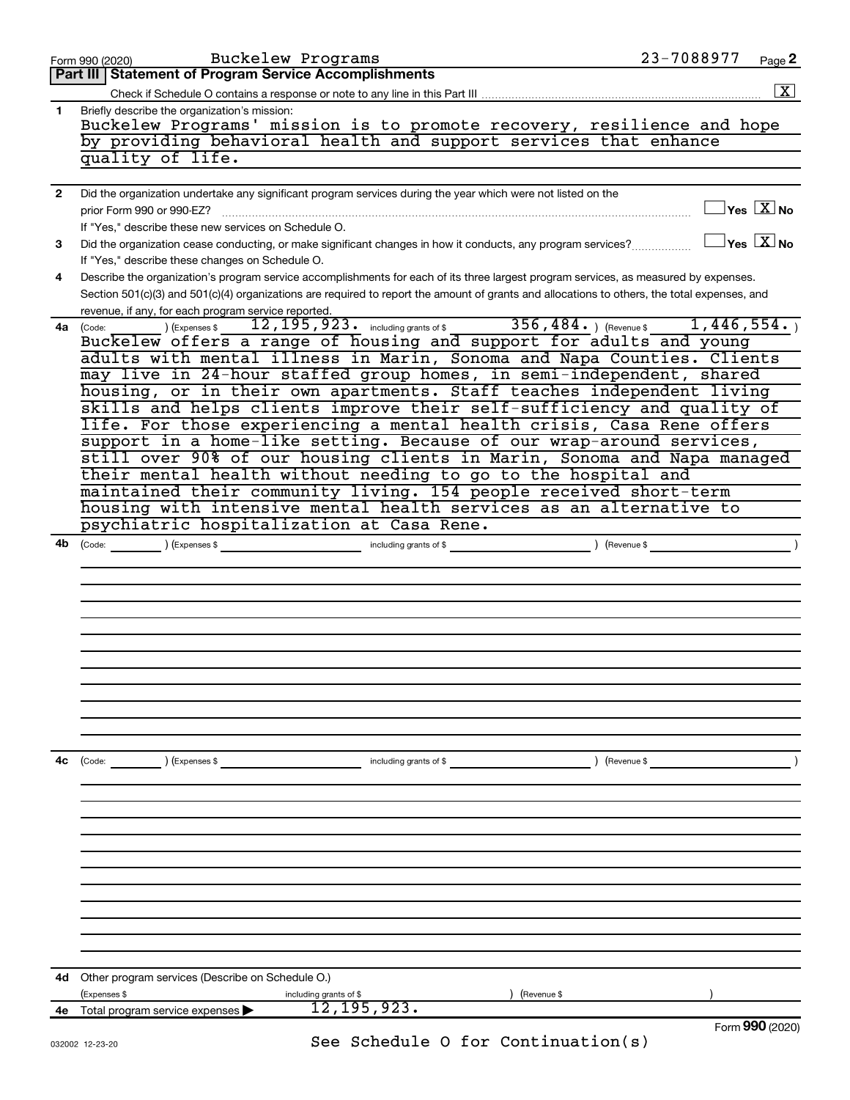|                | Buckelew Programs<br>Form 990 (2020)                                                                                                                                                                                                                                                                                                                                                                                                                                                                                                                                                                                                                                                                                                                                                                                                                                                                                                                                 | 23-7088977                              | Page 2               |
|----------------|----------------------------------------------------------------------------------------------------------------------------------------------------------------------------------------------------------------------------------------------------------------------------------------------------------------------------------------------------------------------------------------------------------------------------------------------------------------------------------------------------------------------------------------------------------------------------------------------------------------------------------------------------------------------------------------------------------------------------------------------------------------------------------------------------------------------------------------------------------------------------------------------------------------------------------------------------------------------|-----------------------------------------|----------------------|
|                | Part III   Statement of Program Service Accomplishments                                                                                                                                                                                                                                                                                                                                                                                                                                                                                                                                                                                                                                                                                                                                                                                                                                                                                                              |                                         |                      |
|                |                                                                                                                                                                                                                                                                                                                                                                                                                                                                                                                                                                                                                                                                                                                                                                                                                                                                                                                                                                      |                                         | $\boxed{\textbf{X}}$ |
| 1.             | Briefly describe the organization's mission:<br>Buckelew Programs' mission is to promote recovery, resilience and hope<br>by providing behavioral health and support services that enhance<br>quality of life.                                                                                                                                                                                                                                                                                                                                                                                                                                                                                                                                                                                                                                                                                                                                                       |                                         |                      |
| $\overline{2}$ | Did the organization undertake any significant program services during the year which were not listed on the<br>prior Form 990 or 990-EZ?<br>If "Yes," describe these new services on Schedule O.                                                                                                                                                                                                                                                                                                                                                                                                                                                                                                                                                                                                                                                                                                                                                                    | $\Box$ Yes $[\overline{\mathrm{X}}]$ No |                      |
| 3              | Did the organization cease conducting, or make significant changes in how it conducts, any program services?<br>If "Yes," describe these changes on Schedule O.                                                                                                                                                                                                                                                                                                                                                                                                                                                                                                                                                                                                                                                                                                                                                                                                      | $\Box$ Yes $[\overline{\mathrm{X}}]$ No |                      |
| 4              | Describe the organization's program service accomplishments for each of its three largest program services, as measured by expenses.<br>Section 501(c)(3) and 501(c)(4) organizations are required to report the amount of grants and allocations to others, the total expenses, and<br>revenue, if any, for each program service reported.                                                                                                                                                                                                                                                                                                                                                                                                                                                                                                                                                                                                                          |                                         |                      |
| 4a             | 12, 195, 923. including grants of \$356, 484. ) (Revenue \$1, 446, 554. )<br>(Expenses \$<br>(Code:<br>Buckelew offers a range of housing and support for adults and young<br>adults with mental illness in Marin, Sonoma and Napa Counties. Clients<br>may live in 24-hour staffed group homes, in semi-independent, shared<br>housing, or in their own apartments. Staff teaches independent living<br>skills and helps clients improve their self-sufficiency and quality of<br>life. For those experiencing a mental health crisis, Casa Rene offers<br>support in a home-like setting. Because of our wrap-around services,<br>still over 90% of our housing clients in Marin, Sonoma and Napa managed<br>their mental health without needing to go to the hospital and<br>maintained their community living. 154 people received short-term<br>housing with intensive mental health services as an alternative to<br>psychiatric hospitalization at Casa Rene. |                                         |                      |
| 4b l           | (Code: <u>Code:</u> etc. Code: <b>Code:</b> Code: <b>Code: Container (Code: 1)</b> (Expenses \$                                                                                                                                                                                                                                                                                                                                                                                                                                                                                                                                                                                                                                                                                                                                                                                                                                                                      |                                         | $\rightarrow$        |
| 4с             | $\text{(Code:}$ $\qquad \qquad \text{)}$ (Expenses \$<br>including grants of $$$                                                                                                                                                                                                                                                                                                                                                                                                                                                                                                                                                                                                                                                                                                                                                                                                                                                                                     | ) (Revenue \$                           |                      |
|                | <b>4d</b> Other program services (Describe on Schedule O.)<br>(Expenses \$<br>including grants of \$<br>(Revenue \$                                                                                                                                                                                                                                                                                                                                                                                                                                                                                                                                                                                                                                                                                                                                                                                                                                                  |                                         |                      |
| 4е             | 12, 195, 923.<br>Total program service expenses                                                                                                                                                                                                                                                                                                                                                                                                                                                                                                                                                                                                                                                                                                                                                                                                                                                                                                                      |                                         |                      |
|                |                                                                                                                                                                                                                                                                                                                                                                                                                                                                                                                                                                                                                                                                                                                                                                                                                                                                                                                                                                      | Form 990 (2020)                         |                      |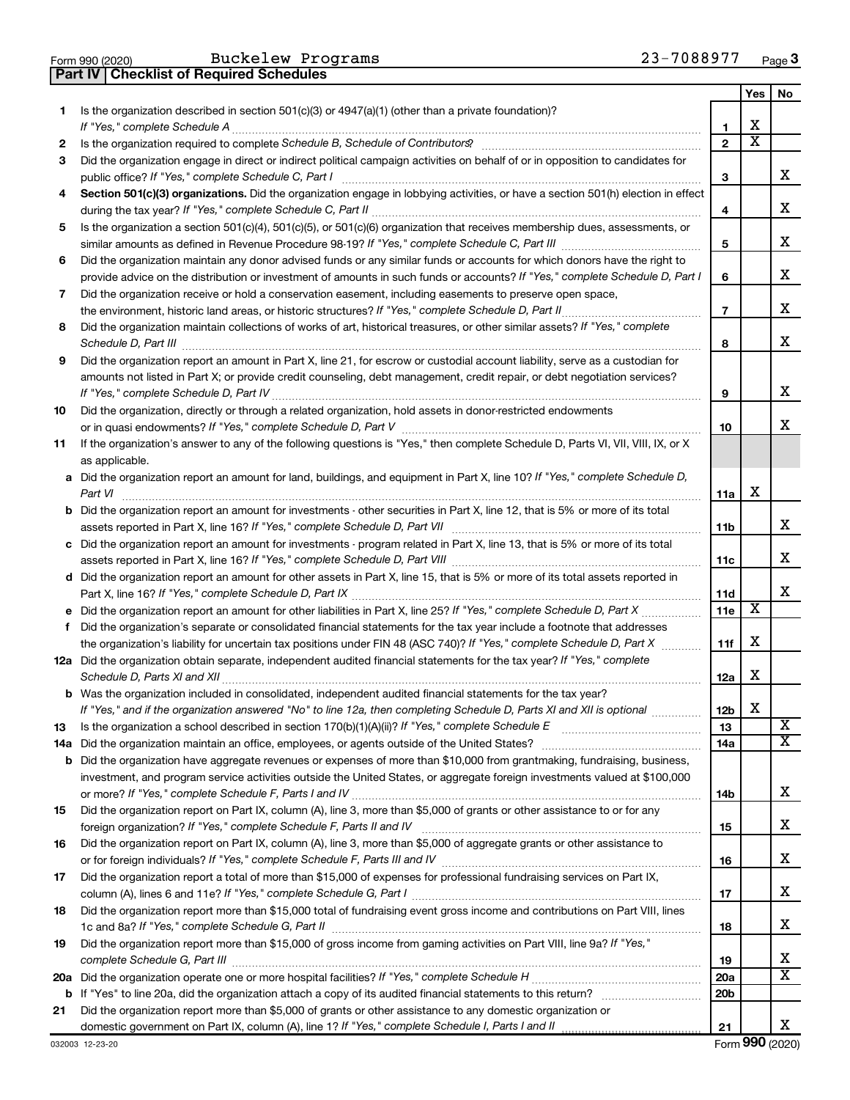|  | Form 990 (2020) |
|--|-----------------|

Buckelew Programs 23-7088977

**Part IV Checklist of Required Schedules**

|    |                                                                                                                                                                                                                                                                |                 | Yes                     | No                      |
|----|----------------------------------------------------------------------------------------------------------------------------------------------------------------------------------------------------------------------------------------------------------------|-----------------|-------------------------|-------------------------|
| 1. | Is the organization described in section 501(c)(3) or 4947(a)(1) (other than a private foundation)?                                                                                                                                                            | 1               | х                       |                         |
| 2  |                                                                                                                                                                                                                                                                | $\mathbf{2}$    | $\overline{\mathbf{X}}$ |                         |
| З  | Did the organization engage in direct or indirect political campaign activities on behalf of or in opposition to candidates for                                                                                                                                |                 |                         |                         |
|    | public office? If "Yes," complete Schedule C, Part I                                                                                                                                                                                                           | 3               |                         | x                       |
| 4  | Section 501(c)(3) organizations. Did the organization engage in lobbying activities, or have a section 501(h) election in effect                                                                                                                               |                 |                         |                         |
|    |                                                                                                                                                                                                                                                                | 4               |                         | х                       |
| 5  | Is the organization a section 501(c)(4), 501(c)(5), or 501(c)(6) organization that receives membership dues, assessments, or                                                                                                                                   |                 |                         |                         |
|    |                                                                                                                                                                                                                                                                | 5               |                         | х                       |
| 6  | Did the organization maintain any donor advised funds or any similar funds or accounts for which donors have the right to                                                                                                                                      |                 |                         |                         |
|    | provide advice on the distribution or investment of amounts in such funds or accounts? If "Yes," complete Schedule D, Part I                                                                                                                                   | 6               |                         | х                       |
| 7  | Did the organization receive or hold a conservation easement, including easements to preserve open space,                                                                                                                                                      |                 |                         |                         |
|    |                                                                                                                                                                                                                                                                | $\overline{7}$  |                         | х                       |
| 8  | Did the organization maintain collections of works of art, historical treasures, or other similar assets? If "Yes," complete                                                                                                                                   |                 |                         |                         |
|    | Schedule D, Part III <b>William Commission Commission Commission</b> Commission Commission Commission                                                                                                                                                          | 8               |                         | х                       |
| 9  | Did the organization report an amount in Part X, line 21, for escrow or custodial account liability, serve as a custodian for                                                                                                                                  |                 |                         |                         |
|    | amounts not listed in Part X; or provide credit counseling, debt management, credit repair, or debt negotiation services?                                                                                                                                      |                 |                         |                         |
|    |                                                                                                                                                                                                                                                                | 9               |                         | х                       |
| 10 | Did the organization, directly or through a related organization, hold assets in donor-restricted endowments                                                                                                                                                   |                 |                         |                         |
|    |                                                                                                                                                                                                                                                                | 10              |                         | x                       |
| 11 | If the organization's answer to any of the following questions is "Yes," then complete Schedule D, Parts VI, VII, VIII, IX, or X                                                                                                                               |                 |                         |                         |
|    | as applicable.                                                                                                                                                                                                                                                 |                 |                         |                         |
|    | a Did the organization report an amount for land, buildings, and equipment in Part X, line 10? If "Yes," complete Schedule D,                                                                                                                                  |                 |                         |                         |
|    | Part VI                                                                                                                                                                                                                                                        | 11a             | х                       |                         |
|    | <b>b</b> Did the organization report an amount for investments - other securities in Part X, line 12, that is 5% or more of its total                                                                                                                          |                 |                         |                         |
|    |                                                                                                                                                                                                                                                                | 11b             |                         | x                       |
|    | c Did the organization report an amount for investments - program related in Part X, line 13, that is 5% or more of its total                                                                                                                                  |                 |                         |                         |
|    |                                                                                                                                                                                                                                                                | 11c             |                         | x                       |
|    | d Did the organization report an amount for other assets in Part X, line 15, that is 5% or more of its total assets reported in                                                                                                                                |                 |                         |                         |
|    |                                                                                                                                                                                                                                                                | 11d             |                         | x                       |
|    |                                                                                                                                                                                                                                                                | 11e             | х                       |                         |
| f  | Did the organization's separate or consolidated financial statements for the tax year include a footnote that addresses                                                                                                                                        |                 |                         |                         |
|    | the organization's liability for uncertain tax positions under FIN 48 (ASC 740)? If "Yes," complete Schedule D, Part X                                                                                                                                         | 11f             | х                       |                         |
|    | 12a Did the organization obtain separate, independent audited financial statements for the tax year? If "Yes," complete                                                                                                                                        |                 |                         |                         |
|    |                                                                                                                                                                                                                                                                | 12a             | х                       |                         |
|    | b Was the organization included in consolidated, independent audited financial statements for the tax year?                                                                                                                                                    |                 |                         |                         |
|    | If "Yes," and if the organization answered "No" to line 12a, then completing Schedule D, Parts XI and XII is optional                                                                                                                                          | 12 <sub>b</sub> | х                       | $\overline{\textbf{x}}$ |
| 13 |                                                                                                                                                                                                                                                                | 13              |                         | x                       |
|    |                                                                                                                                                                                                                                                                | 14a             |                         |                         |
|    | <b>b</b> Did the organization have aggregate revenues or expenses of more than \$10,000 from grantmaking, fundraising, business,<br>investment, and program service activities outside the United States, or aggregate foreign investments valued at \$100,000 |                 |                         |                         |
|    |                                                                                                                                                                                                                                                                | 14b             |                         | x                       |
| 15 | Did the organization report on Part IX, column (A), line 3, more than \$5,000 of grants or other assistance to or for any                                                                                                                                      |                 |                         |                         |
|    |                                                                                                                                                                                                                                                                | 15              |                         | x                       |
| 16 | Did the organization report on Part IX, column (A), line 3, more than \$5,000 of aggregate grants or other assistance to                                                                                                                                       |                 |                         |                         |
|    |                                                                                                                                                                                                                                                                | 16              |                         | x                       |
| 17 | Did the organization report a total of more than \$15,000 of expenses for professional fundraising services on Part IX,                                                                                                                                        |                 |                         |                         |
|    |                                                                                                                                                                                                                                                                | 17              |                         | x                       |
| 18 | Did the organization report more than \$15,000 total of fundraising event gross income and contributions on Part VIII, lines                                                                                                                                   |                 |                         |                         |
|    |                                                                                                                                                                                                                                                                | 18              |                         | x                       |
| 19 | Did the organization report more than \$15,000 of gross income from gaming activities on Part VIII, line 9a? If "Yes,"                                                                                                                                         |                 |                         |                         |
|    |                                                                                                                                                                                                                                                                | 19              |                         | х                       |
|    |                                                                                                                                                                                                                                                                | 20a             |                         | x                       |
|    |                                                                                                                                                                                                                                                                | 20 <sub>b</sub> |                         |                         |
| 21 | Did the organization report more than \$5,000 of grants or other assistance to any domestic organization or                                                                                                                                                    |                 |                         |                         |
|    |                                                                                                                                                                                                                                                                | 21              |                         | х                       |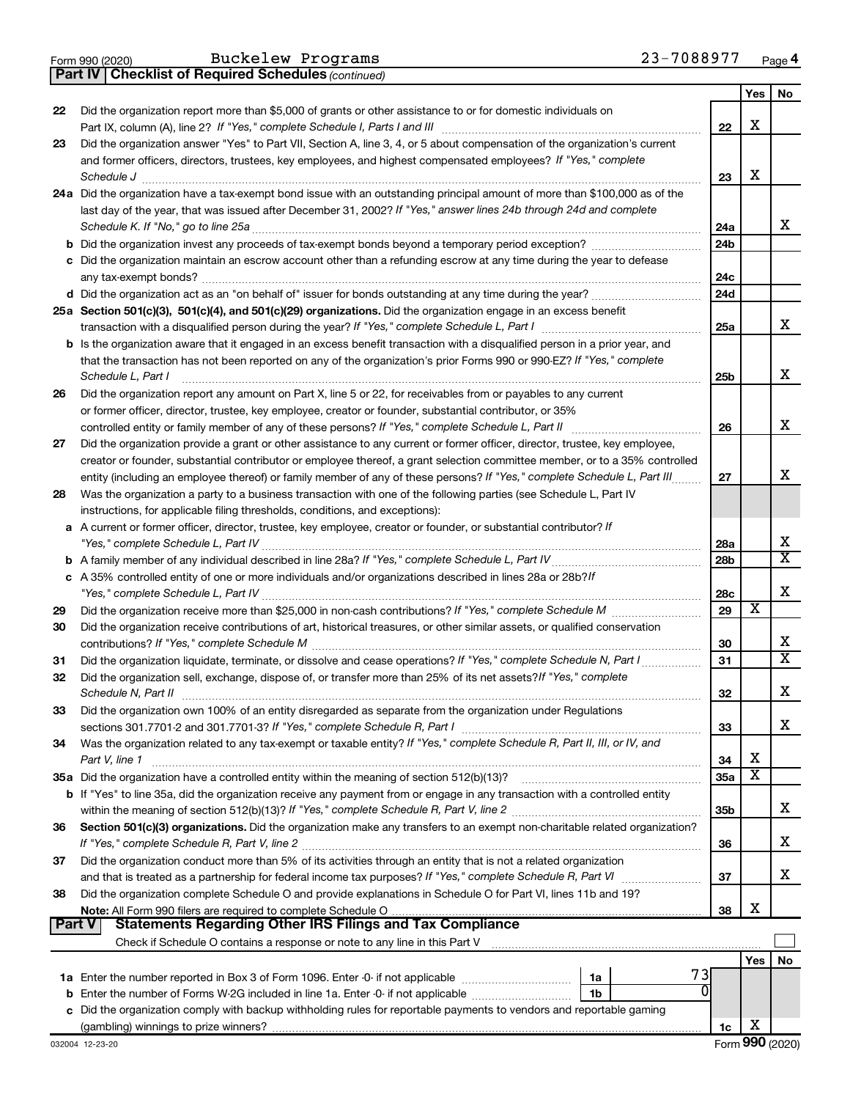|  | Form 990 (2020) |  |
|--|-----------------|--|
|  |                 |  |

**Part IV Checklist of Required Schedules**

Buckelew Programs 23-7088977

*(continued)*

|               |                                                                                                                                                                                                                                                            |                 | Yes                     | No                      |
|---------------|------------------------------------------------------------------------------------------------------------------------------------------------------------------------------------------------------------------------------------------------------------|-----------------|-------------------------|-------------------------|
| 22            | Did the organization report more than \$5,000 of grants or other assistance to or for domestic individuals on                                                                                                                                              |                 |                         |                         |
|               |                                                                                                                                                                                                                                                            | 22              | X                       |                         |
| 23            | Did the organization answer "Yes" to Part VII, Section A, line 3, 4, or 5 about compensation of the organization's current                                                                                                                                 |                 |                         |                         |
|               | and former officers, directors, trustees, key employees, and highest compensated employees? If "Yes," complete                                                                                                                                             |                 |                         |                         |
|               | Schedule J                                                                                                                                                                                                                                                 | 23              | х                       |                         |
|               | 24a Did the organization have a tax-exempt bond issue with an outstanding principal amount of more than \$100,000 as of the                                                                                                                                |                 |                         |                         |
|               | last day of the year, that was issued after December 31, 2002? If "Yes," answer lines 24b through 24d and complete                                                                                                                                         |                 |                         |                         |
|               | Schedule K. If "No," go to line 25a                                                                                                                                                                                                                        | 24a             |                         | x                       |
|               |                                                                                                                                                                                                                                                            | 24 <sub>b</sub> |                         |                         |
|               | c Did the organization maintain an escrow account other than a refunding escrow at any time during the year to defease                                                                                                                                     |                 |                         |                         |
|               |                                                                                                                                                                                                                                                            | 24c             |                         |                         |
|               |                                                                                                                                                                                                                                                            | 24d             |                         |                         |
|               | 25a Section 501(c)(3), 501(c)(4), and 501(c)(29) organizations. Did the organization engage in an excess benefit                                                                                                                                           |                 |                         | x                       |
|               |                                                                                                                                                                                                                                                            | 25a             |                         |                         |
|               | b Is the organization aware that it engaged in an excess benefit transaction with a disqualified person in a prior year, and                                                                                                                               |                 |                         |                         |
|               | that the transaction has not been reported on any of the organization's prior Forms 990 or 990-EZ? If "Yes," complete                                                                                                                                      |                 |                         | х                       |
|               | Schedule L, Part I                                                                                                                                                                                                                                         | 25b             |                         |                         |
| 26            | Did the organization report any amount on Part X, line 5 or 22, for receivables from or payables to any current                                                                                                                                            |                 |                         |                         |
|               | or former officer, director, trustee, key employee, creator or founder, substantial contributor, or 35%                                                                                                                                                    |                 |                         | x                       |
|               |                                                                                                                                                                                                                                                            | 26              |                         |                         |
| 27            | Did the organization provide a grant or other assistance to any current or former officer, director, trustee, key employee,<br>creator or founder, substantial contributor or employee thereof, a grant selection committee member, or to a 35% controlled |                 |                         |                         |
|               | entity (including an employee thereof) or family member of any of these persons? If "Yes," complete Schedule L, Part III                                                                                                                                   | 27              |                         | x                       |
| 28            | Was the organization a party to a business transaction with one of the following parties (see Schedule L, Part IV                                                                                                                                          |                 |                         |                         |
|               | instructions, for applicable filing thresholds, conditions, and exceptions):                                                                                                                                                                               |                 |                         |                         |
|               | a A current or former officer, director, trustee, key employee, creator or founder, or substantial contributor? If                                                                                                                                         |                 |                         |                         |
|               |                                                                                                                                                                                                                                                            | 28a             |                         | x                       |
|               |                                                                                                                                                                                                                                                            | 28 <sub>b</sub> |                         | $\overline{\mathtt{x}}$ |
|               | c A 35% controlled entity of one or more individuals and/or organizations described in lines 28a or 28b?lf                                                                                                                                                 |                 |                         |                         |
|               |                                                                                                                                                                                                                                                            | 28c             |                         | X                       |
| 29            |                                                                                                                                                                                                                                                            | 29              | х                       |                         |
| 30            | Did the organization receive contributions of art, historical treasures, or other similar assets, or qualified conservation                                                                                                                                |                 |                         |                         |
|               |                                                                                                                                                                                                                                                            | 30              |                         | x                       |
| 31            |                                                                                                                                                                                                                                                            | 31              |                         | $\overline{\mathbf{X}}$ |
| 32            | Did the organization sell, exchange, dispose of, or transfer more than 25% of its net assets? If "Yes," complete                                                                                                                                           |                 |                         |                         |
|               | Schedule N, Part II                                                                                                                                                                                                                                        | 32              |                         | x                       |
| 33            | Did the organization own 100% of an entity disregarded as separate from the organization under Regulations                                                                                                                                                 |                 |                         |                         |
|               |                                                                                                                                                                                                                                                            | 33              |                         | x                       |
| 34            | Was the organization related to any tax-exempt or taxable entity? If "Yes," complete Schedule R, Part II, III, or IV, and                                                                                                                                  |                 |                         |                         |
|               | Part V, line 1                                                                                                                                                                                                                                             | 34              | X                       |                         |
|               | 35a Did the organization have a controlled entity within the meaning of section 512(b)(13)?                                                                                                                                                                | 35a             | $\overline{\textbf{X}}$ |                         |
|               | <b>b</b> If "Yes" to line 35a, did the organization receive any payment from or engage in any transaction with a controlled entity                                                                                                                         |                 |                         |                         |
|               |                                                                                                                                                                                                                                                            | 35 <sub>b</sub> |                         | x                       |
| 36            | Section 501(c)(3) organizations. Did the organization make any transfers to an exempt non-charitable related organization?                                                                                                                                 |                 |                         |                         |
|               |                                                                                                                                                                                                                                                            | 36              |                         | x                       |
| 37            | Did the organization conduct more than 5% of its activities through an entity that is not a related organization                                                                                                                                           |                 |                         |                         |
|               |                                                                                                                                                                                                                                                            | 37              |                         | x                       |
| 38            | Did the organization complete Schedule O and provide explanations in Schedule O for Part VI, lines 11b and 19?                                                                                                                                             |                 |                         |                         |
| <b>Part V</b> | <b>Statements Regarding Other IRS Filings and Tax Compliance</b>                                                                                                                                                                                           | 38              | х                       |                         |
|               |                                                                                                                                                                                                                                                            |                 |                         |                         |
|               |                                                                                                                                                                                                                                                            |                 |                         |                         |
|               | 73                                                                                                                                                                                                                                                         |                 | Yes                     | No                      |
|               | 1a<br>O                                                                                                                                                                                                                                                    |                 |                         |                         |
| b             | Enter the number of Forms W-2G included in line 1a. Enter -0- if not applicable<br>1b<br>Did the organization comply with backup withholding rules for reportable payments to vendors and reportable gaming                                                |                 |                         |                         |
| с             |                                                                                                                                                                                                                                                            | 1c              | X                       |                         |
|               |                                                                                                                                                                                                                                                            |                 |                         |                         |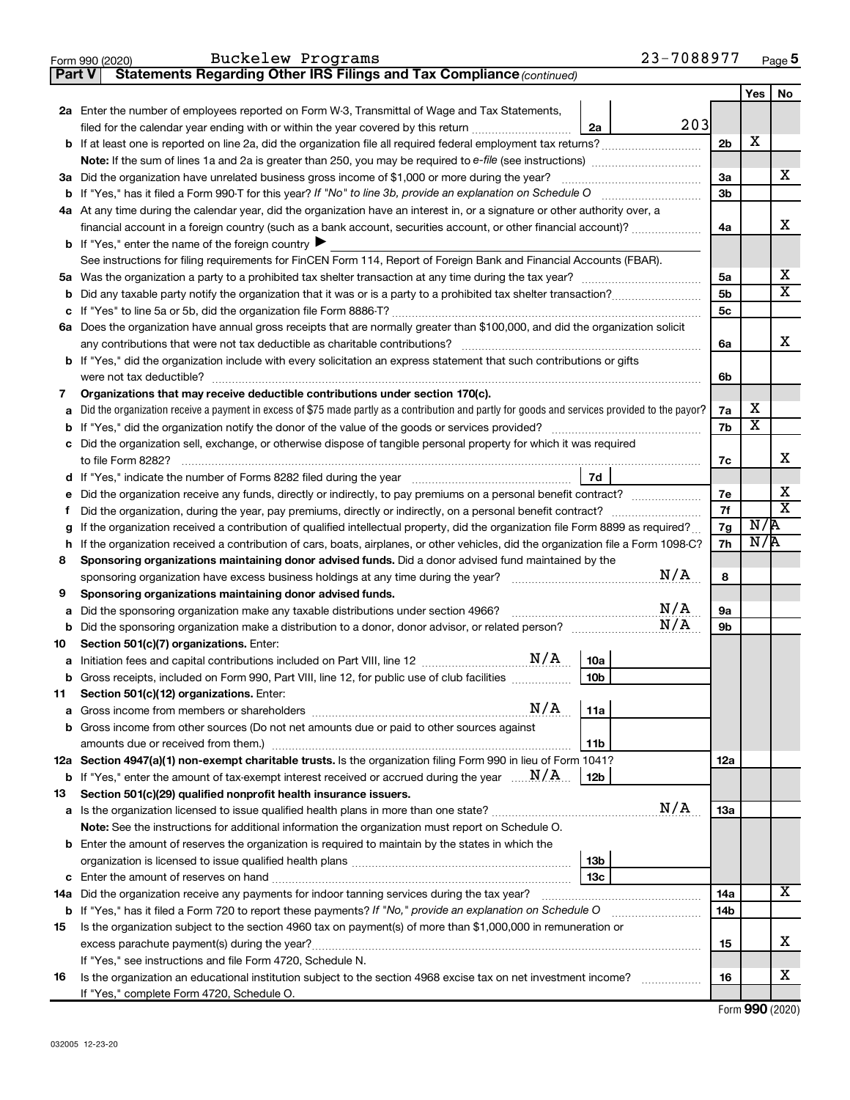|        | 23-7088977<br>Buckelew Programs<br>Form 990 (2020)                                                                                                                                                |                |                            | Page 5                       |
|--------|---------------------------------------------------------------------------------------------------------------------------------------------------------------------------------------------------|----------------|----------------------------|------------------------------|
| Part V | Statements Regarding Other IRS Filings and Tax Compliance (continued)                                                                                                                             |                |                            |                              |
|        |                                                                                                                                                                                                   |                | Yes                        | No                           |
|        | 2a Enter the number of employees reported on Form W-3, Transmittal of Wage and Tax Statements,                                                                                                    |                |                            |                              |
|        | 203<br>filed for the calendar year ending with or within the year covered by this return <i>[[[[[[[[[[[[[]]]</i> ]]<br>2a                                                                         |                |                            |                              |
|        |                                                                                                                                                                                                   | 2 <sub>b</sub> | х                          |                              |
|        |                                                                                                                                                                                                   |                |                            |                              |
|        | 3a Did the organization have unrelated business gross income of \$1,000 or more during the year?                                                                                                  | За             |                            | x                            |
|        |                                                                                                                                                                                                   | 3 <sub>b</sub> |                            |                              |
|        | 4a At any time during the calendar year, did the organization have an interest in, or a signature or other authority over, a                                                                      |                |                            |                              |
|        | financial account in a foreign country (such as a bank account, securities account, or other financial account)?                                                                                  | 4a             |                            | x                            |
|        | <b>b</b> If "Yes," enter the name of the foreign country $\blacktriangleright$                                                                                                                    |                |                            |                              |
|        | See instructions for filing requirements for FinCEN Form 114, Report of Foreign Bank and Financial Accounts (FBAR).                                                                               |                |                            |                              |
|        |                                                                                                                                                                                                   | 5a             |                            | x                            |
|        |                                                                                                                                                                                                   | 5 <sub>b</sub> |                            | $\overline{\mathtt{x}}$      |
| с      |                                                                                                                                                                                                   | 5c             |                            |                              |
|        | 6a Does the organization have annual gross receipts that are normally greater than \$100,000, and did the organization solicit                                                                    |                |                            |                              |
|        | any contributions that were not tax deductible as charitable contributions?                                                                                                                       | 6a             |                            | x                            |
|        | b If "Yes," did the organization include with every solicitation an express statement that such contributions or gifts                                                                            |                |                            |                              |
|        | were not tax deductible?                                                                                                                                                                          | 6b             |                            |                              |
| 7      | Organizations that may receive deductible contributions under section 170(c).                                                                                                                     |                |                            |                              |
| а      | Did the organization receive a payment in excess of \$75 made partly as a contribution and partly for goods and services provided to the payor?                                                   | 7а             | x<br>$\overline{\text{x}}$ |                              |
|        |                                                                                                                                                                                                   | 7b             |                            |                              |
| с      | Did the organization sell, exchange, or otherwise dispose of tangible personal property for which it was required                                                                                 |                |                            |                              |
|        | to file Form 8282?                                                                                                                                                                                | 7c             |                            | х                            |
|        | 7d                                                                                                                                                                                                |                |                            |                              |
| е      | Did the organization receive any funds, directly or indirectly, to pay premiums on a personal benefit contract?                                                                                   | 7е             |                            | х<br>$\overline{\texttt{x}}$ |
|        | Did the organization, during the year, pay premiums, directly or indirectly, on a personal benefit contract?                                                                                      | 7f             | N/A                        |                              |
| g      | If the organization received a contribution of qualified intellectual property, did the organization file Form 8899 as required?                                                                  | 7g             | N/R                        |                              |
|        | If the organization received a contribution of cars, boats, airplanes, or other vehicles, did the organization file a Form 1098-C?                                                                | 7h             |                            |                              |
| 8      | Sponsoring organizations maintaining donor advised funds. Did a donor advised fund maintained by the<br>N/A<br>sponsoring organization have excess business holdings at any time during the year? | 8              |                            |                              |
| 9      | Sponsoring organizations maintaining donor advised funds.                                                                                                                                         |                |                            |                              |
| а      | N/A<br>Did the sponsoring organization make any taxable distributions under section 4966?                                                                                                         | 9a             |                            |                              |
|        | N/A                                                                                                                                                                                               | 9b             |                            |                              |
| 10     | Section 501(c)(7) organizations. Enter:                                                                                                                                                           |                |                            |                              |
|        | 10a                                                                                                                                                                                               |                |                            |                              |
| b      | Gross receipts, included on Form 990, Part VIII, line 12, for public use of club facilities<br>10b                                                                                                |                |                            |                              |
| 11     | Section 501(c)(12) organizations. Enter:                                                                                                                                                          |                |                            |                              |
| а      | N/A<br>11a                                                                                                                                                                                        |                |                            |                              |
|        | Gross income from other sources (Do not net amounts due or paid to other sources against                                                                                                          |                |                            |                              |
|        | amounts due or received from them.)<br>11b                                                                                                                                                        |                |                            |                              |
|        | 12a Section 4947(a)(1) non-exempt charitable trusts. Is the organization filing Form 990 in lieu of Form 1041?                                                                                    | 12a            |                            |                              |
|        | <b>b</b> If "Yes," enter the amount of tax-exempt interest received or accrued during the year $\ldots$ $\mathbf{N}/\mathbf{A}$ .<br>12b                                                          |                |                            |                              |
| 13     | Section 501(c)(29) qualified nonprofit health insurance issuers.                                                                                                                                  |                |                            |                              |
|        | N/A                                                                                                                                                                                               | 13a            |                            |                              |
|        | Note: See the instructions for additional information the organization must report on Schedule O.                                                                                                 |                |                            |                              |
|        | <b>b</b> Enter the amount of reserves the organization is required to maintain by the states in which the                                                                                         |                |                            |                              |
|        | 13 <sub>b</sub>                                                                                                                                                                                   |                |                            |                              |
| с      | 13c<br>Enter the amount of reserves on hand                                                                                                                                                       |                |                            |                              |
|        | 14a Did the organization receive any payments for indoor tanning services during the tax year?                                                                                                    | 14a            |                            | X                            |
|        | <b>b</b> If "Yes," has it filed a Form 720 to report these payments? If "No," provide an explanation on Schedule O                                                                                | 14b            |                            |                              |
| 15     | Is the organization subject to the section 4960 tax on payment(s) of more than \$1,000,000 in remuneration or                                                                                     |                |                            |                              |
|        | excess parachute payment(s) during the year?                                                                                                                                                      | 15             |                            | х                            |
|        | If "Yes," see instructions and file Form 4720, Schedule N.                                                                                                                                        |                |                            |                              |
| 16     | Is the organization an educational institution subject to the section 4968 excise tax on net investment income?                                                                                   | 16             |                            | x                            |
|        | If "Yes," complete Form 4720, Schedule O.                                                                                                                                                         |                |                            |                              |

Form (2020) **990**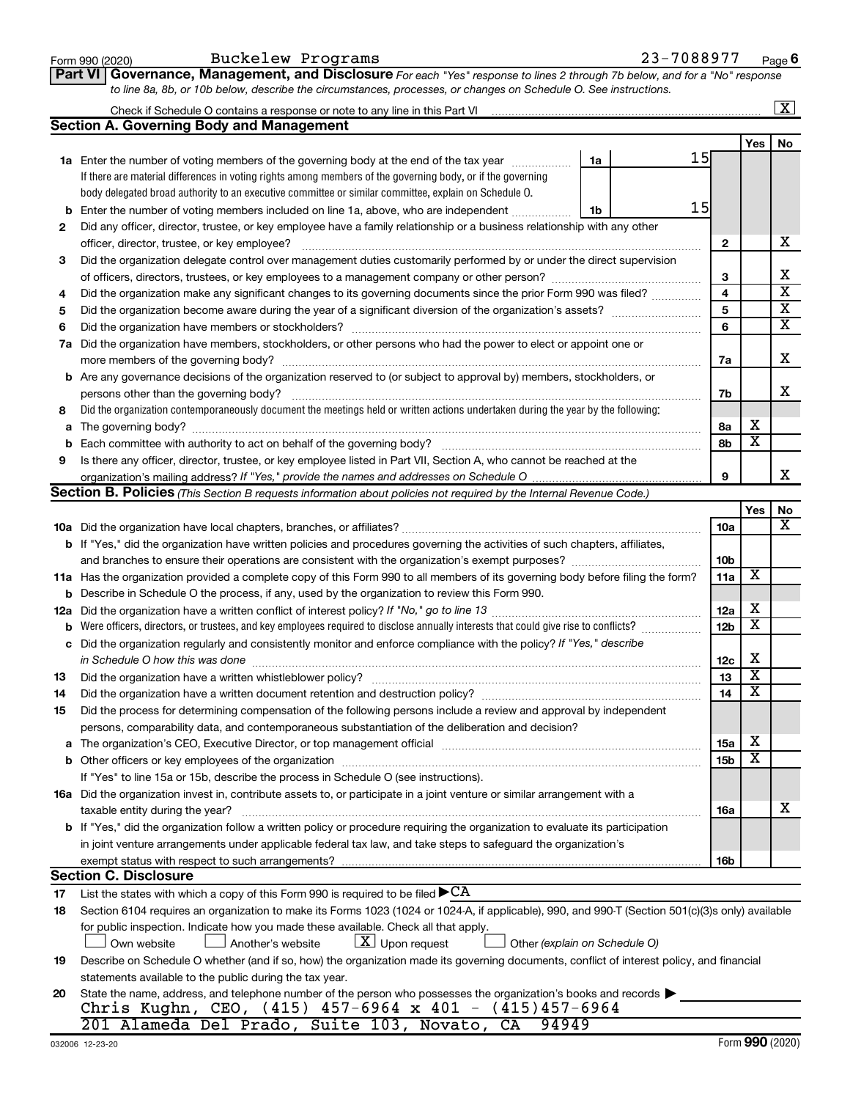|     | <b>Part VI   Governance, Management, and Disclosure</b> For each "Yes" response to lines 2 through 7b below, and for a "No" response                                                                                          |    |                 |                         |                         |
|-----|-------------------------------------------------------------------------------------------------------------------------------------------------------------------------------------------------------------------------------|----|-----------------|-------------------------|-------------------------|
|     | to line 8a, 8b, or 10b below, describe the circumstances, processes, or changes on Schedule O. See instructions.                                                                                                              |    |                 |                         |                         |
|     | Check if Schedule O contains a response or note to any line in this Part VI [11] [12] [12] Check if Schedule O contains a response or note to any line in this Part VI                                                        |    |                 |                         | $\overline{\mathbf{X}}$ |
|     | <b>Section A. Governing Body and Management</b>                                                                                                                                                                               |    |                 |                         |                         |
|     |                                                                                                                                                                                                                               | 15 |                 | Yes                     | No                      |
|     | 1a<br>1a Enter the number of voting members of the governing body at the end of the tax year                                                                                                                                  |    |                 |                         |                         |
|     | If there are material differences in voting rights among members of the governing body, or if the governing                                                                                                                   |    |                 |                         |                         |
|     | body delegated broad authority to an executive committee or similar committee, explain on Schedule O.                                                                                                                         | 15 |                 |                         |                         |
| b   | Enter the number of voting members included on line 1a, above, who are independent<br>1b                                                                                                                                      |    |                 |                         |                         |
| 2   | Did any officer, director, trustee, or key employee have a family relationship or a business relationship with any other                                                                                                      |    |                 |                         |                         |
|     | officer, director, trustee, or key employee?                                                                                                                                                                                  |    | $\mathbf{2}$    |                         | х                       |
| З   | Did the organization delegate control over management duties customarily performed by or under the direct supervision                                                                                                         |    |                 |                         |                         |
|     |                                                                                                                                                                                                                               |    | 3               |                         | х                       |
| 4   | Did the organization make any significant changes to its governing documents since the prior Form 990 was filed?                                                                                                              |    | 4               |                         | $\overline{\mathbf{x}}$ |
| 5   |                                                                                                                                                                                                                               |    | 5               |                         | $\overline{\mathbf{X}}$ |
| 6   |                                                                                                                                                                                                                               |    | 6               |                         | $\overline{\mathbf{X}}$ |
| 7a  | Did the organization have members, stockholders, or other persons who had the power to elect or appoint one or                                                                                                                |    |                 |                         |                         |
|     |                                                                                                                                                                                                                               |    | 7a              |                         | х                       |
| b   | Are any governance decisions of the organization reserved to (or subject to approval by) members, stockholders, or                                                                                                            |    |                 |                         |                         |
|     | persons other than the governing body?                                                                                                                                                                                        |    | 7b              |                         | x                       |
| 8   | Did the organization contemporaneously document the meetings held or written actions undertaken during the year by the following:                                                                                             |    |                 |                         |                         |
| a   |                                                                                                                                                                                                                               |    | 8а              | x                       |                         |
| b   |                                                                                                                                                                                                                               |    | 8b              | $\overline{\textbf{x}}$ |                         |
| 9   | Is there any officer, director, trustee, or key employee listed in Part VII, Section A, who cannot be reached at the                                                                                                          |    |                 |                         |                         |
|     |                                                                                                                                                                                                                               |    | 9               |                         | х                       |
|     | Section B. Policies (This Section B requests information about policies not required by the Internal Revenue Code.)                                                                                                           |    |                 |                         |                         |
|     |                                                                                                                                                                                                                               |    |                 | Yes                     | No                      |
|     |                                                                                                                                                                                                                               |    | <b>10a</b>      |                         | x                       |
|     | <b>b</b> If "Yes," did the organization have written policies and procedures governing the activities of such chapters, affiliates,                                                                                           |    |                 |                         |                         |
|     |                                                                                                                                                                                                                               |    | 10 <sub>b</sub> |                         |                         |
|     | 11a Has the organization provided a complete copy of this Form 990 to all members of its governing body before filing the form?                                                                                               |    | 11a             | X                       |                         |
| b   | Describe in Schedule O the process, if any, used by the organization to review this Form 990.                                                                                                                                 |    |                 |                         |                         |
| 12a |                                                                                                                                                                                                                               |    | 12a             | х                       |                         |
| b   | Were officers, directors, or trustees, and key employees required to disclose annually interests that could give rise to conflicts?                                                                                           |    | 12 <sub>b</sub> | $\overline{\textbf{x}}$ |                         |
| с   | Did the organization regularly and consistently monitor and enforce compliance with the policy? If "Yes," describe                                                                                                            |    |                 |                         |                         |
|     | in Schedule O how this was done manufactured and contact the state of the manufactured and schedule O how this                                                                                                                |    | 12c             | х                       |                         |
| 13  |                                                                                                                                                                                                                               |    | 13              | $\overline{\textbf{X}}$ |                         |
| 14  | Did the organization have a written document retention and destruction policy? [111] [12] manument content and the organization have a written document retention and destruction policy?                                     |    | 14              | $\overline{\texttt{x}}$ |                         |
| 15  | Did the process for determining compensation of the following persons include a review and approval by independent                                                                                                            |    |                 |                         |                         |
|     | persons, comparability data, and contemporaneous substantiation of the deliberation and decision?                                                                                                                             |    |                 |                         |                         |
|     | The organization's CEO, Executive Director, or top management official manufactured content of the organization's CEO, Executive Director, or top management official manufactured and the state of the state of the state of |    | 15a             | х                       |                         |
|     |                                                                                                                                                                                                                               |    | 15b             | X                       |                         |
|     | If "Yes" to line 15a or 15b, describe the process in Schedule O (see instructions).                                                                                                                                           |    |                 |                         |                         |
|     | 16a Did the organization invest in, contribute assets to, or participate in a joint venture or similar arrangement with a                                                                                                     |    |                 |                         |                         |
|     | taxable entity during the year?                                                                                                                                                                                               |    | 16a             |                         | х                       |
|     | b If "Yes," did the organization follow a written policy or procedure requiring the organization to evaluate its participation                                                                                                |    |                 |                         |                         |
|     | in joint venture arrangements under applicable federal tax law, and take steps to safeguard the organization's                                                                                                                |    |                 |                         |                         |
|     | exempt status with respect to such arrangements?                                                                                                                                                                              |    | 16b             |                         |                         |
|     | <b>Section C. Disclosure</b>                                                                                                                                                                                                  |    |                 |                         |                         |
| 17  | List the states with which a copy of this Form 990 is required to be filed $\blacktriangleright$ CA                                                                                                                           |    |                 |                         |                         |
| 18  | Section 6104 requires an organization to make its Forms 1023 (1024 or 1024-A, if applicable), 990, and 990-T (Section 501(c)(3)s only) available                                                                              |    |                 |                         |                         |
|     | for public inspection. Indicate how you made these available. Check all that apply.                                                                                                                                           |    |                 |                         |                         |
|     | $\lfloor \underline{X} \rfloor$ Upon request<br>Another's website<br>Other (explain on Schedule O)<br>Own website                                                                                                             |    |                 |                         |                         |
| 19  | Describe on Schedule O whether (and if so, how) the organization made its governing documents, conflict of interest policy, and financial                                                                                     |    |                 |                         |                         |
|     | statements available to the public during the tax year.                                                                                                                                                                       |    |                 |                         |                         |
| 20  | State the name, address, and telephone number of the person who possesses the organization's books and records                                                                                                                |    |                 |                         |                         |
|     | Chris Kughn, CEO, (415) 457-6964 x 401 - (415)457-6964                                                                                                                                                                        |    |                 |                         |                         |
|     | 201 Alameda Del Prado, Suite 103, Novato, CA<br>94949                                                                                                                                                                         |    |                 |                         |                         |

Form 990 (2020) Page

Buckelew Programs 23-7088977

**6**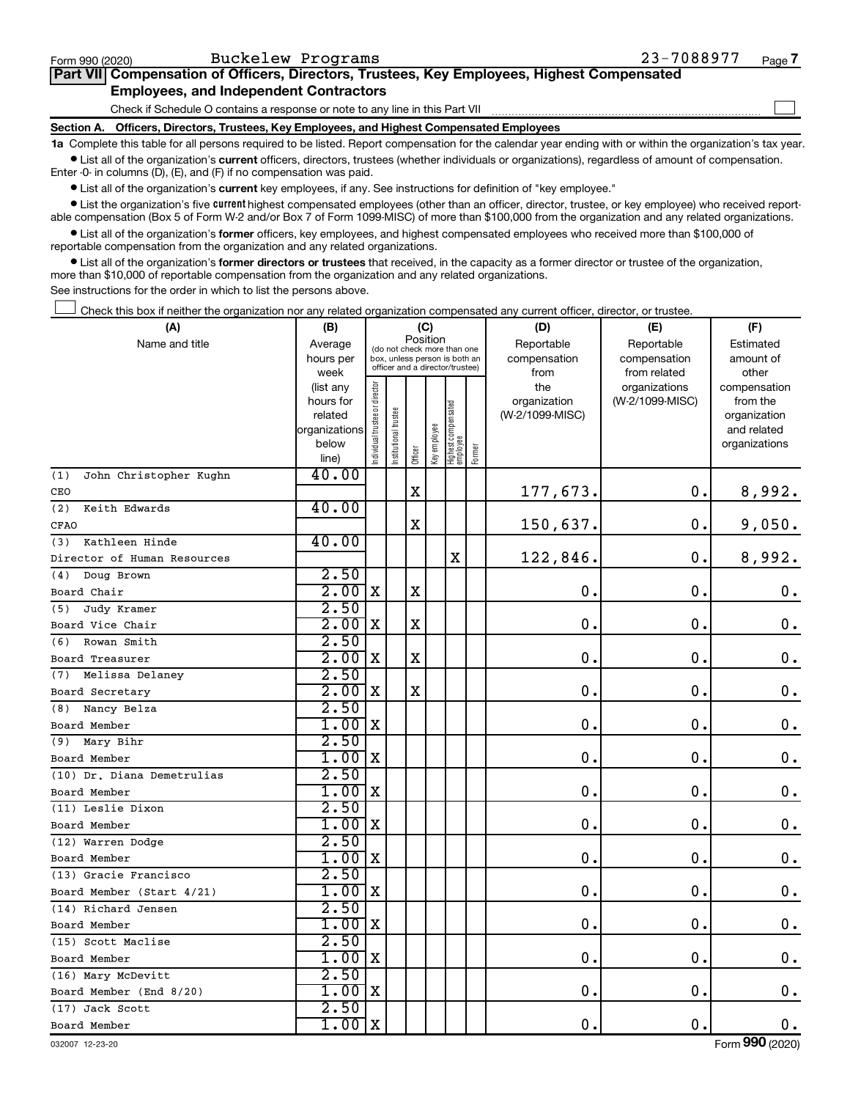| Form 990 (2020) | Buckelew Programs                                                                          | 23-7088977 | Page 7 |
|-----------------|--------------------------------------------------------------------------------------------|------------|--------|
|                 | Part VII Compensation of Officers, Directors, Trustees, Key Employees, Highest Compensated |            |        |
|                 | <b>Employees, and Independent Contractors</b>                                              |            |        |
|                 | Check if Schedule O contains a response or note to any line in this Part VII               |            |        |
|                 | Section A. Officers, Directors, Trustees, Key Employees, and Highest Compensated Employees |            |        |
|                 |                                                                                            |            |        |

**1a**  Complete this table for all persons required to be listed. Report compensation for the calendar year ending with or within the organization's tax year.  $\bullet$  List all of the organization's current officers, directors, trustees (whether individuals or organizations), regardless of amount of compensation.

Enter -0- in columns (D), (E), and (F) if no compensation was paid.

**•** List all of the organization's current key employees, if any. See instructions for definition of "key employee."

• List the organization's five *current* highest compensated employees (other than an officer, director, trustee, or key employee) who received reportable compensation (Box 5 of Form W-2 and/or Box 7 of Form 1099-MISC) of more than \$100,000 from the organization and any related organizations.

 $\bullet$  List all of the organization's former officers, key employees, and highest compensated employees who received more than \$100,000 of reportable compensation from the organization and any related organizations.

**•** List all of the organization's former directors or trustees that received, in the capacity as a former director or trustee of the organization, more than \$10,000 of reportable compensation from the organization and any related organizations.

See instructions for the order in which to list the persons above.

Check this box if neither the organization nor any related organization compensated any current officer, director, or trustee. †

| (A)                           | (B)                                                                  |                                                                                                                     |                       | (C)         |              |                                   |        | (D)                                            | (E)                                              | (F)                                                                               |
|-------------------------------|----------------------------------------------------------------------|---------------------------------------------------------------------------------------------------------------------|-----------------------|-------------|--------------|-----------------------------------|--------|------------------------------------------------|--------------------------------------------------|-----------------------------------------------------------------------------------|
| Name and title                | Average<br>hours per                                                 | Position<br>(do not check more than one<br>box, unless person is both an<br>officer and a director/trustee)<br>week |                       |             |              |                                   |        | Reportable<br>compensation                     | Reportable<br>compensation                       | Estimated<br>amount of                                                            |
|                               | (list any<br>hours for<br>related<br>organizations<br>below<br>line) | Individual trustee or director                                                                                      | Institutional trustee | Officer     | Key employee | Highest compensated<br>  employee | Former | from<br>the<br>organization<br>(W-2/1099-MISC) | from related<br>organizations<br>(W-2/1099-MISC) | other<br>compensation<br>from the<br>organization<br>and related<br>organizations |
| John Christopher Kughn<br>(1) | 40.00                                                                |                                                                                                                     |                       |             |              |                                   |        |                                                |                                                  |                                                                                   |
| CEO                           |                                                                      |                                                                                                                     |                       | $\mathbf X$ |              |                                   |        | 177,673.                                       | 0.                                               | 8,992.                                                                            |
| (2)<br>Keith Edwards<br>CFAO  | 40.00                                                                |                                                                                                                     |                       | X           |              |                                   |        | 150,637.                                       | $\mathbf 0$ .                                    | 9,050.                                                                            |
| Kathleen Hinde<br>(3)         | 40.00                                                                |                                                                                                                     |                       |             |              |                                   |        |                                                |                                                  |                                                                                   |
| Director of Human Resources   |                                                                      |                                                                                                                     |                       |             |              | $\mathbf X$                       |        | 122,846.                                       | $\mathbf 0$ .                                    | 8,992.                                                                            |
| Doug Brown<br>(4)             | 2.50                                                                 |                                                                                                                     |                       |             |              |                                   |        |                                                |                                                  |                                                                                   |
| Board Chair                   | 2.00x                                                                |                                                                                                                     |                       | X           |              |                                   |        | $\mathbf 0$ .                                  | $\mathbf 0$ .                                    | $\mathbf 0$ .                                                                     |
| Judy Kramer<br>(5)            | 2.50                                                                 |                                                                                                                     |                       |             |              |                                   |        |                                                |                                                  |                                                                                   |
| Board Vice Chair              | 2.00                                                                 | X                                                                                                                   |                       | $\mathbf X$ |              |                                   |        | $\mathbf 0$ .                                  | $\mathbf 0$ .                                    | $\mathbf 0$ .                                                                     |
| Rowan Smith<br>(6)            | 2.50                                                                 |                                                                                                                     |                       |             |              |                                   |        |                                                |                                                  |                                                                                   |
| Board Treasurer               | 2.00x                                                                |                                                                                                                     |                       | X           |              |                                   |        | 0.                                             | $\mathbf 0$ .                                    | $\mathbf 0$ .                                                                     |
| (7) Melissa Delaney           | 2.50                                                                 |                                                                                                                     |                       |             |              |                                   |        |                                                |                                                  |                                                                                   |
| Board Secretary               | 2.00                                                                 | X                                                                                                                   |                       | $\mathbf X$ |              |                                   |        | 0.                                             | $\mathbf 0$ .                                    | $\mathbf 0$ .                                                                     |
| (8) Nancy Belza               | 2.50                                                                 |                                                                                                                     |                       |             |              |                                   |        |                                                |                                                  |                                                                                   |
| Board Member                  | $1.00$ X                                                             |                                                                                                                     |                       |             |              |                                   |        | 0.                                             | $\mathbf 0$ .                                    | $\mathbf 0$ .                                                                     |
| (9) Mary Bihr                 | 2.50                                                                 |                                                                                                                     |                       |             |              |                                   |        |                                                |                                                  |                                                                                   |
| Board Member                  | 1.00                                                                 | X                                                                                                                   |                       |             |              |                                   |        | 0.                                             | $\mathbf 0$ .                                    | $\mathbf 0$ .                                                                     |
| (10) Dr. Diana Demetrulias    | 2.50                                                                 |                                                                                                                     |                       |             |              |                                   |        |                                                |                                                  |                                                                                   |
| Board Member                  | $1.00$ X                                                             |                                                                                                                     |                       |             |              |                                   |        | $\mathbf 0$ .                                  | $\mathbf 0$ .                                    | $\mathbf 0$ .                                                                     |
| (11) Leslie Dixon             | 2.50                                                                 |                                                                                                                     |                       |             |              |                                   |        |                                                |                                                  |                                                                                   |
| Board Member                  | 1.00                                                                 | $\mathbf X$                                                                                                         |                       |             |              |                                   |        | 0.                                             | $\mathbf 0$ .                                    | $\mathbf 0$ .                                                                     |
| (12) Warren Dodge             | 2.50                                                                 |                                                                                                                     |                       |             |              |                                   |        |                                                |                                                  |                                                                                   |
| Board Member                  | $1.00$ X                                                             |                                                                                                                     |                       |             |              |                                   |        | $\mathbf 0$ .                                  | О.                                               | 0.                                                                                |
| (13) Gracie Francisco         | 2.50                                                                 |                                                                                                                     |                       |             |              |                                   |        |                                                |                                                  |                                                                                   |
| Board Member (Start 4/21)     | 1.00                                                                 | X                                                                                                                   |                       |             |              |                                   |        | $\mathbf 0$ .                                  | $\mathbf 0$ .                                    | $\boldsymbol{0}$ .                                                                |
| (14) Richard Jensen           | 2.50                                                                 |                                                                                                                     |                       |             |              |                                   |        |                                                |                                                  |                                                                                   |
| Board Member                  | 1.00                                                                 | X                                                                                                                   |                       |             |              |                                   |        | $\mathbf 0$ .                                  | $\mathbf 0$ .                                    | $\mathbf 0$ .                                                                     |
| (15) Scott Maclise            | 2.50                                                                 |                                                                                                                     |                       |             |              |                                   |        |                                                |                                                  |                                                                                   |
| Board Member                  | 1.00                                                                 | X                                                                                                                   |                       |             |              |                                   |        | $\mathbf 0$ .                                  | $\mathbf 0$ .                                    | $\mathbf 0$ .                                                                     |
| (16) Mary McDevitt            | 2.50                                                                 |                                                                                                                     |                       |             |              |                                   |        | $\mathbf 0$ .                                  |                                                  |                                                                                   |
| Board Member (End 8/20)       | 1.00<br>2.50                                                         | X                                                                                                                   |                       |             |              |                                   |        |                                                | О.                                               | $\mathbf 0$ .                                                                     |
| (17) Jack Scott               | 1.00                                                                 | X                                                                                                                   |                       |             |              |                                   |        | $\mathbf 0$ .                                  | $\mathbf 0$ .                                    | $\mathbf 0$ .                                                                     |
| Board Member                  |                                                                      |                                                                                                                     |                       |             |              |                                   |        |                                                |                                                  |                                                                                   |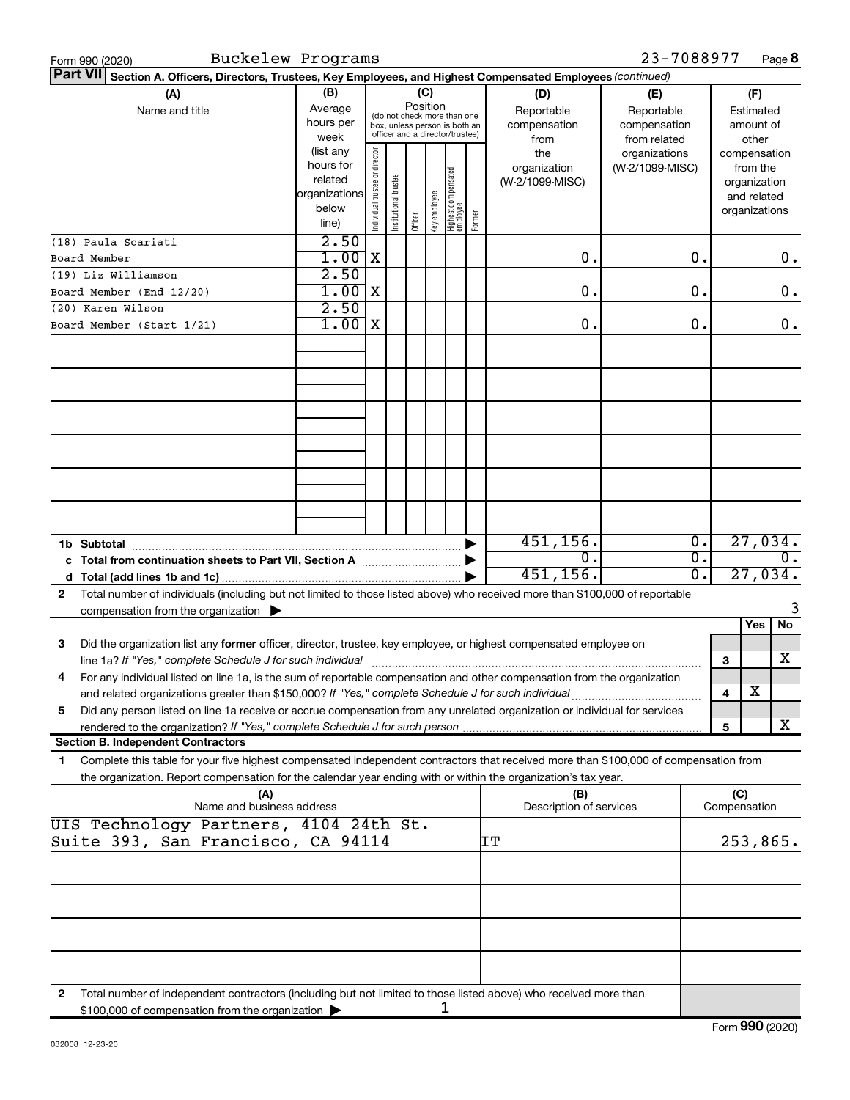| Section A. Officers, Directors, Trustees, Key Employees, and Highest Compensated Employees (continued)<br>(B)<br>(C)<br>(A)<br>(D)<br>(F)<br>(E)<br>Position<br>Average<br>Reportable<br>Name and title<br>Reportable<br>Estimated<br>(do not check more than one<br>hours per<br>compensation<br>compensation<br>amount of<br>box, unless person is both an<br>officer and a director/trustee)<br>week<br>from<br>from related<br>other<br>Individual trustee or director<br>(list any<br>the<br>organizations<br>compensation<br>hours for<br>organization<br>(W-2/1099-MISC)<br>from the<br>Highest compensated<br> employee<br>nstitutional trustee<br>related<br>(W-2/1099-MISC)<br>organization<br>organizations<br>key employee<br>and related<br>below<br>organizations<br>Former<br>Officer<br>line)<br>2.50<br>X<br>О.<br>0.<br>1.00<br>О.<br>Board Member<br>2.50<br>(19) Liz Williamson<br>1.00<br>ΙX<br>О.<br>0.<br>О.<br>2.50<br>1.00<br>1x<br>0.<br>О.<br>О.<br>451, 156.<br>27,034.<br>Ο.<br>1b Subtotal<br>$\overline{0}$ .<br>0.<br>0.<br>σ.<br>27,034.<br>451, 156.<br>d<br>Total number of individuals (including but not limited to those listed above) who received more than \$100,000 of reportable<br>2<br>compensation from the organization $\blacktriangleright$<br>No<br>Yes<br>Did the organization list any former officer, director, trustee, key employee, or highest compensated employee on<br>З<br>х<br>line 1a? If "Yes," complete Schedule J for such individual<br>З<br>For any individual listed on line 1a, is the sum of reportable compensation and other compensation from the organization<br>4<br>х<br>4<br>Did any person listed on line 1a receive or accrue compensation from any unrelated organization or individual for services<br>5<br>x<br>5<br><b>Section B. Independent Contractors</b><br>Complete this table for your five highest compensated independent contractors that received more than \$100,000 of compensation from<br>1<br>the organization. Report compensation for the calendar year ending with or within the organization's tax year.<br>(A)<br>(C)<br>(B) | Form 990 (2020)           | Buckelew Programs |  |  |  |  |  |                         | 23-7088977 |  |  |  | Page 8 |
|--------------------------------------------------------------------------------------------------------------------------------------------------------------------------------------------------------------------------------------------------------------------------------------------------------------------------------------------------------------------------------------------------------------------------------------------------------------------------------------------------------------------------------------------------------------------------------------------------------------------------------------------------------------------------------------------------------------------------------------------------------------------------------------------------------------------------------------------------------------------------------------------------------------------------------------------------------------------------------------------------------------------------------------------------------------------------------------------------------------------------------------------------------------------------------------------------------------------------------------------------------------------------------------------------------------------------------------------------------------------------------------------------------------------------------------------------------------------------------------------------------------------------------------------------------------------------------------------------------------------------------------------------------------------------------------------------------------------------------------------------------------------------------------------------------------------------------------------------------------------------------------------------------------------------------------------------------------------------------------------------------------------------------------------------------------------------------------------------------------------------------------|---------------------------|-------------------|--|--|--|--|--|-------------------------|------------|--|--|--|--------|
|                                                                                                                                                                                                                                                                                                                                                                                                                                                                                                                                                                                                                                                                                                                                                                                                                                                                                                                                                                                                                                                                                                                                                                                                                                                                                                                                                                                                                                                                                                                                                                                                                                                                                                                                                                                                                                                                                                                                                                                                                                                                                                                                      | <b>Part VII</b>           |                   |  |  |  |  |  |                         |            |  |  |  |        |
|                                                                                                                                                                                                                                                                                                                                                                                                                                                                                                                                                                                                                                                                                                                                                                                                                                                                                                                                                                                                                                                                                                                                                                                                                                                                                                                                                                                                                                                                                                                                                                                                                                                                                                                                                                                                                                                                                                                                                                                                                                                                                                                                      |                           |                   |  |  |  |  |  |                         |            |  |  |  |        |
|                                                                                                                                                                                                                                                                                                                                                                                                                                                                                                                                                                                                                                                                                                                                                                                                                                                                                                                                                                                                                                                                                                                                                                                                                                                                                                                                                                                                                                                                                                                                                                                                                                                                                                                                                                                                                                                                                                                                                                                                                                                                                                                                      |                           |                   |  |  |  |  |  |                         |            |  |  |  |        |
|                                                                                                                                                                                                                                                                                                                                                                                                                                                                                                                                                                                                                                                                                                                                                                                                                                                                                                                                                                                                                                                                                                                                                                                                                                                                                                                                                                                                                                                                                                                                                                                                                                                                                                                                                                                                                                                                                                                                                                                                                                                                                                                                      | (18) Paula Scariati       |                   |  |  |  |  |  |                         |            |  |  |  |        |
|                                                                                                                                                                                                                                                                                                                                                                                                                                                                                                                                                                                                                                                                                                                                                                                                                                                                                                                                                                                                                                                                                                                                                                                                                                                                                                                                                                                                                                                                                                                                                                                                                                                                                                                                                                                                                                                                                                                                                                                                                                                                                                                                      |                           |                   |  |  |  |  |  |                         |            |  |  |  |        |
|                                                                                                                                                                                                                                                                                                                                                                                                                                                                                                                                                                                                                                                                                                                                                                                                                                                                                                                                                                                                                                                                                                                                                                                                                                                                                                                                                                                                                                                                                                                                                                                                                                                                                                                                                                                                                                                                                                                                                                                                                                                                                                                                      | Board Member (End 12/20)  |                   |  |  |  |  |  |                         |            |  |  |  |        |
|                                                                                                                                                                                                                                                                                                                                                                                                                                                                                                                                                                                                                                                                                                                                                                                                                                                                                                                                                                                                                                                                                                                                                                                                                                                                                                                                                                                                                                                                                                                                                                                                                                                                                                                                                                                                                                                                                                                                                                                                                                                                                                                                      | (20) Karen Wilson         |                   |  |  |  |  |  |                         |            |  |  |  |        |
|                                                                                                                                                                                                                                                                                                                                                                                                                                                                                                                                                                                                                                                                                                                                                                                                                                                                                                                                                                                                                                                                                                                                                                                                                                                                                                                                                                                                                                                                                                                                                                                                                                                                                                                                                                                                                                                                                                                                                                                                                                                                                                                                      | Board Member (Start 1/21) |                   |  |  |  |  |  |                         |            |  |  |  |        |
|                                                                                                                                                                                                                                                                                                                                                                                                                                                                                                                                                                                                                                                                                                                                                                                                                                                                                                                                                                                                                                                                                                                                                                                                                                                                                                                                                                                                                                                                                                                                                                                                                                                                                                                                                                                                                                                                                                                                                                                                                                                                                                                                      |                           |                   |  |  |  |  |  |                         |            |  |  |  |        |
|                                                                                                                                                                                                                                                                                                                                                                                                                                                                                                                                                                                                                                                                                                                                                                                                                                                                                                                                                                                                                                                                                                                                                                                                                                                                                                                                                                                                                                                                                                                                                                                                                                                                                                                                                                                                                                                                                                                                                                                                                                                                                                                                      |                           |                   |  |  |  |  |  |                         |            |  |  |  |        |
|                                                                                                                                                                                                                                                                                                                                                                                                                                                                                                                                                                                                                                                                                                                                                                                                                                                                                                                                                                                                                                                                                                                                                                                                                                                                                                                                                                                                                                                                                                                                                                                                                                                                                                                                                                                                                                                                                                                                                                                                                                                                                                                                      |                           |                   |  |  |  |  |  |                         |            |  |  |  |        |
|                                                                                                                                                                                                                                                                                                                                                                                                                                                                                                                                                                                                                                                                                                                                                                                                                                                                                                                                                                                                                                                                                                                                                                                                                                                                                                                                                                                                                                                                                                                                                                                                                                                                                                                                                                                                                                                                                                                                                                                                                                                                                                                                      |                           |                   |  |  |  |  |  |                         |            |  |  |  |        |
|                                                                                                                                                                                                                                                                                                                                                                                                                                                                                                                                                                                                                                                                                                                                                                                                                                                                                                                                                                                                                                                                                                                                                                                                                                                                                                                                                                                                                                                                                                                                                                                                                                                                                                                                                                                                                                                                                                                                                                                                                                                                                                                                      |                           |                   |  |  |  |  |  |                         |            |  |  |  |        |
|                                                                                                                                                                                                                                                                                                                                                                                                                                                                                                                                                                                                                                                                                                                                                                                                                                                                                                                                                                                                                                                                                                                                                                                                                                                                                                                                                                                                                                                                                                                                                                                                                                                                                                                                                                                                                                                                                                                                                                                                                                                                                                                                      |                           |                   |  |  |  |  |  |                         |            |  |  |  |        |
|                                                                                                                                                                                                                                                                                                                                                                                                                                                                                                                                                                                                                                                                                                                                                                                                                                                                                                                                                                                                                                                                                                                                                                                                                                                                                                                                                                                                                                                                                                                                                                                                                                                                                                                                                                                                                                                                                                                                                                                                                                                                                                                                      |                           |                   |  |  |  |  |  |                         |            |  |  |  |        |
|                                                                                                                                                                                                                                                                                                                                                                                                                                                                                                                                                                                                                                                                                                                                                                                                                                                                                                                                                                                                                                                                                                                                                                                                                                                                                                                                                                                                                                                                                                                                                                                                                                                                                                                                                                                                                                                                                                                                                                                                                                                                                                                                      |                           |                   |  |  |  |  |  |                         |            |  |  |  |        |
|                                                                                                                                                                                                                                                                                                                                                                                                                                                                                                                                                                                                                                                                                                                                                                                                                                                                                                                                                                                                                                                                                                                                                                                                                                                                                                                                                                                                                                                                                                                                                                                                                                                                                                                                                                                                                                                                                                                                                                                                                                                                                                                                      |                           |                   |  |  |  |  |  |                         |            |  |  |  |        |
|                                                                                                                                                                                                                                                                                                                                                                                                                                                                                                                                                                                                                                                                                                                                                                                                                                                                                                                                                                                                                                                                                                                                                                                                                                                                                                                                                                                                                                                                                                                                                                                                                                                                                                                                                                                                                                                                                                                                                                                                                                                                                                                                      |                           |                   |  |  |  |  |  |                         |            |  |  |  |        |
|                                                                                                                                                                                                                                                                                                                                                                                                                                                                                                                                                                                                                                                                                                                                                                                                                                                                                                                                                                                                                                                                                                                                                                                                                                                                                                                                                                                                                                                                                                                                                                                                                                                                                                                                                                                                                                                                                                                                                                                                                                                                                                                                      |                           |                   |  |  |  |  |  |                         |            |  |  |  |        |
|                                                                                                                                                                                                                                                                                                                                                                                                                                                                                                                                                                                                                                                                                                                                                                                                                                                                                                                                                                                                                                                                                                                                                                                                                                                                                                                                                                                                                                                                                                                                                                                                                                                                                                                                                                                                                                                                                                                                                                                                                                                                                                                                      |                           |                   |  |  |  |  |  |                         |            |  |  |  |        |
|                                                                                                                                                                                                                                                                                                                                                                                                                                                                                                                                                                                                                                                                                                                                                                                                                                                                                                                                                                                                                                                                                                                                                                                                                                                                                                                                                                                                                                                                                                                                                                                                                                                                                                                                                                                                                                                                                                                                                                                                                                                                                                                                      |                           |                   |  |  |  |  |  |                         |            |  |  |  |        |
|                                                                                                                                                                                                                                                                                                                                                                                                                                                                                                                                                                                                                                                                                                                                                                                                                                                                                                                                                                                                                                                                                                                                                                                                                                                                                                                                                                                                                                                                                                                                                                                                                                                                                                                                                                                                                                                                                                                                                                                                                                                                                                                                      |                           |                   |  |  |  |  |  |                         |            |  |  |  |        |
|                                                                                                                                                                                                                                                                                                                                                                                                                                                                                                                                                                                                                                                                                                                                                                                                                                                                                                                                                                                                                                                                                                                                                                                                                                                                                                                                                                                                                                                                                                                                                                                                                                                                                                                                                                                                                                                                                                                                                                                                                                                                                                                                      |                           |                   |  |  |  |  |  |                         |            |  |  |  |        |
|                                                                                                                                                                                                                                                                                                                                                                                                                                                                                                                                                                                                                                                                                                                                                                                                                                                                                                                                                                                                                                                                                                                                                                                                                                                                                                                                                                                                                                                                                                                                                                                                                                                                                                                                                                                                                                                                                                                                                                                                                                                                                                                                      |                           |                   |  |  |  |  |  |                         |            |  |  |  |        |
|                                                                                                                                                                                                                                                                                                                                                                                                                                                                                                                                                                                                                                                                                                                                                                                                                                                                                                                                                                                                                                                                                                                                                                                                                                                                                                                                                                                                                                                                                                                                                                                                                                                                                                                                                                                                                                                                                                                                                                                                                                                                                                                                      |                           |                   |  |  |  |  |  |                         |            |  |  |  |        |
|                                                                                                                                                                                                                                                                                                                                                                                                                                                                                                                                                                                                                                                                                                                                                                                                                                                                                                                                                                                                                                                                                                                                                                                                                                                                                                                                                                                                                                                                                                                                                                                                                                                                                                                                                                                                                                                                                                                                                                                                                                                                                                                                      |                           |                   |  |  |  |  |  |                         |            |  |  |  |        |
|                                                                                                                                                                                                                                                                                                                                                                                                                                                                                                                                                                                                                                                                                                                                                                                                                                                                                                                                                                                                                                                                                                                                                                                                                                                                                                                                                                                                                                                                                                                                                                                                                                                                                                                                                                                                                                                                                                                                                                                                                                                                                                                                      |                           |                   |  |  |  |  |  |                         |            |  |  |  |        |
|                                                                                                                                                                                                                                                                                                                                                                                                                                                                                                                                                                                                                                                                                                                                                                                                                                                                                                                                                                                                                                                                                                                                                                                                                                                                                                                                                                                                                                                                                                                                                                                                                                                                                                                                                                                                                                                                                                                                                                                                                                                                                                                                      |                           |                   |  |  |  |  |  |                         |            |  |  |  |        |
| Name and business address<br>Compensation                                                                                                                                                                                                                                                                                                                                                                                                                                                                                                                                                                                                                                                                                                                                                                                                                                                                                                                                                                                                                                                                                                                                                                                                                                                                                                                                                                                                                                                                                                                                                                                                                                                                                                                                                                                                                                                                                                                                                                                                                                                                                            |                           |                   |  |  |  |  |  | Description of services |            |  |  |  |        |
| UIS Technology Partners, 4104 24th St.<br>Suite 393, San Francisco, CA 94114<br>IΤ<br>253,865.                                                                                                                                                                                                                                                                                                                                                                                                                                                                                                                                                                                                                                                                                                                                                                                                                                                                                                                                                                                                                                                                                                                                                                                                                                                                                                                                                                                                                                                                                                                                                                                                                                                                                                                                                                                                                                                                                                                                                                                                                                       |                           |                   |  |  |  |  |  |                         |            |  |  |  |        |
|                                                                                                                                                                                                                                                                                                                                                                                                                                                                                                                                                                                                                                                                                                                                                                                                                                                                                                                                                                                                                                                                                                                                                                                                                                                                                                                                                                                                                                                                                                                                                                                                                                                                                                                                                                                                                                                                                                                                                                                                                                                                                                                                      |                           |                   |  |  |  |  |  |                         |            |  |  |  |        |
|                                                                                                                                                                                                                                                                                                                                                                                                                                                                                                                                                                                                                                                                                                                                                                                                                                                                                                                                                                                                                                                                                                                                                                                                                                                                                                                                                                                                                                                                                                                                                                                                                                                                                                                                                                                                                                                                                                                                                                                                                                                                                                                                      |                           |                   |  |  |  |  |  |                         |            |  |  |  |        |
|                                                                                                                                                                                                                                                                                                                                                                                                                                                                                                                                                                                                                                                                                                                                                                                                                                                                                                                                                                                                                                                                                                                                                                                                                                                                                                                                                                                                                                                                                                                                                                                                                                                                                                                                                                                                                                                                                                                                                                                                                                                                                                                                      |                           |                   |  |  |  |  |  |                         |            |  |  |  |        |
|                                                                                                                                                                                                                                                                                                                                                                                                                                                                                                                                                                                                                                                                                                                                                                                                                                                                                                                                                                                                                                                                                                                                                                                                                                                                                                                                                                                                                                                                                                                                                                                                                                                                                                                                                                                                                                                                                                                                                                                                                                                                                                                                      |                           |                   |  |  |  |  |  |                         |            |  |  |  |        |
|                                                                                                                                                                                                                                                                                                                                                                                                                                                                                                                                                                                                                                                                                                                                                                                                                                                                                                                                                                                                                                                                                                                                                                                                                                                                                                                                                                                                                                                                                                                                                                                                                                                                                                                                                                                                                                                                                                                                                                                                                                                                                                                                      |                           |                   |  |  |  |  |  |                         |            |  |  |  |        |
|                                                                                                                                                                                                                                                                                                                                                                                                                                                                                                                                                                                                                                                                                                                                                                                                                                                                                                                                                                                                                                                                                                                                                                                                                                                                                                                                                                                                                                                                                                                                                                                                                                                                                                                                                                                                                                                                                                                                                                                                                                                                                                                                      |                           |                   |  |  |  |  |  |                         |            |  |  |  |        |
| Total number of independent contractors (including but not limited to those listed above) who received more than<br>2<br>1<br>\$100,000 of compensation from the organization                                                                                                                                                                                                                                                                                                                                                                                                                                                                                                                                                                                                                                                                                                                                                                                                                                                                                                                                                                                                                                                                                                                                                                                                                                                                                                                                                                                                                                                                                                                                                                                                                                                                                                                                                                                                                                                                                                                                                        |                           |                   |  |  |  |  |  |                         |            |  |  |  |        |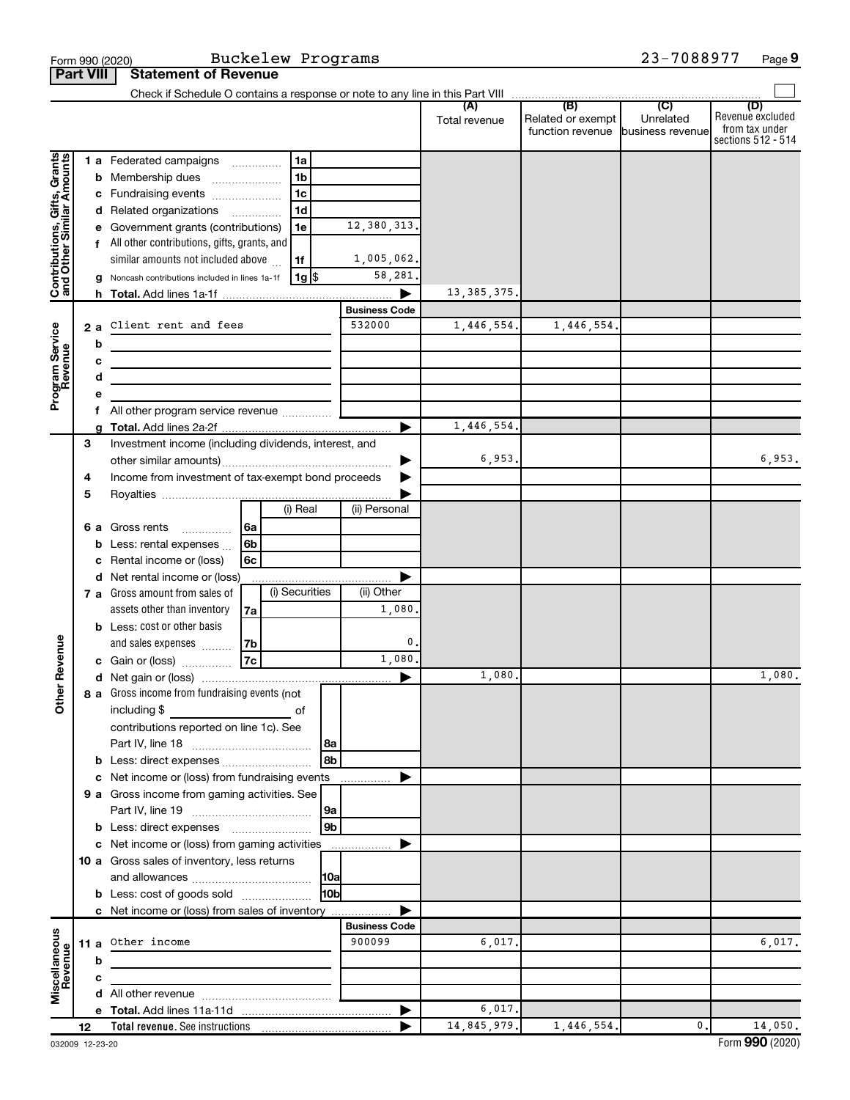|                                                           | <b>Part VIII</b> |    | <b>Statement of Revenue</b>                                                             |    |                      |                      |                      |                                              |                                      |                                                                 |
|-----------------------------------------------------------|------------------|----|-----------------------------------------------------------------------------------------|----|----------------------|----------------------|----------------------|----------------------------------------------|--------------------------------------|-----------------------------------------------------------------|
|                                                           |                  |    |                                                                                         |    |                      |                      |                      |                                              |                                      |                                                                 |
|                                                           |                  |    |                                                                                         |    |                      |                      | (A)<br>Total revenue | (B)<br>Related or exempt<br>function revenue | (C)<br>Unrelated<br>business revenue | (D)<br>Revenue excluded<br>from tax under<br>sections 512 - 514 |
|                                                           |                  |    | 1 a Federated campaigns                                                                 |    | 1a                   |                      |                      |                                              |                                      |                                                                 |
| Contributions, Gifts, Grants<br>and Other Similar Amounts |                  |    | <b>b</b> Membership dues<br>$\overline{\phantom{a}}$                                    |    | 1 <sub>b</sub>       |                      |                      |                                              |                                      |                                                                 |
|                                                           |                  |    | c Fundraising events                                                                    |    | 1c                   |                      |                      |                                              |                                      |                                                                 |
|                                                           |                  |    | d Related organizations                                                                 |    | 1 <sub>d</sub>       |                      |                      |                                              |                                      |                                                                 |
|                                                           |                  |    | e Government grants (contributions)                                                     |    | 1e                   | 12,380,313.          |                      |                                              |                                      |                                                                 |
|                                                           |                  |    | f All other contributions, gifts, grants, and                                           |    |                      |                      |                      |                                              |                                      |                                                                 |
|                                                           |                  |    | similar amounts not included above                                                      |    | 1f                   | 1,005,062.           |                      |                                              |                                      |                                                                 |
|                                                           |                  |    | g Noncash contributions included in lines 1a-1f                                         |    | 1g                   | 58,281.              |                      |                                              |                                      |                                                                 |
|                                                           |                  |    |                                                                                         |    |                      |                      | 13, 385, 375.        |                                              |                                      |                                                                 |
|                                                           |                  |    |                                                                                         |    |                      | <b>Business Code</b> |                      |                                              |                                      |                                                                 |
| Program Service<br>Revenue                                |                  | 2a | Client rent and fees                                                                    |    |                      | 532000               | 1,446,554.           | 1,446,554.                                   |                                      |                                                                 |
|                                                           |                  | b  |                                                                                         |    |                      |                      |                      |                                              |                                      |                                                                 |
|                                                           |                  | c  | the control of the control of the control of the control of the control of              |    |                      |                      |                      |                                              |                                      |                                                                 |
|                                                           |                  | d  |                                                                                         |    |                      |                      |                      |                                              |                                      |                                                                 |
|                                                           |                  | е  |                                                                                         |    |                      |                      |                      |                                              |                                      |                                                                 |
|                                                           |                  |    | f All other program service revenue                                                     |    |                      |                      | 1,446,554.           |                                              |                                      |                                                                 |
|                                                           | 3                |    | Investment income (including dividends, interest, and                                   |    |                      |                      |                      |                                              |                                      |                                                                 |
|                                                           |                  |    |                                                                                         |    |                      |                      | 6,953.               |                                              |                                      | 6,953.                                                          |
|                                                           | 4                |    | Income from investment of tax-exempt bond proceeds                                      |    |                      |                      |                      |                                              |                                      |                                                                 |
|                                                           | 5                |    |                                                                                         |    |                      |                      |                      |                                              |                                      |                                                                 |
|                                                           |                  |    |                                                                                         |    | (i) Real             | (ii) Personal        |                      |                                              |                                      |                                                                 |
|                                                           |                  |    | <b>6 a</b> Gross rents<br>$\overline{\phantom{a}}$                                      | 6a |                      |                      |                      |                                              |                                      |                                                                 |
|                                                           |                  | b  | Less: rental expenses                                                                   | 6b |                      |                      |                      |                                              |                                      |                                                                 |
|                                                           |                  | с  | Rental income or (loss)                                                                 | 6c |                      |                      |                      |                                              |                                      |                                                                 |
|                                                           |                  |    | d Net rental income or (loss)                                                           |    |                      |                      |                      |                                              |                                      |                                                                 |
|                                                           |                  |    | 7 a Gross amount from sales of                                                          |    | (i) Securities       | (ii) Other           |                      |                                              |                                      |                                                                 |
|                                                           |                  |    | assets other than inventory                                                             | 7а |                      | 1,080                |                      |                                              |                                      |                                                                 |
|                                                           |                  |    | <b>b</b> Less: cost or other basis                                                      |    |                      |                      |                      |                                              |                                      |                                                                 |
|                                                           |                  |    | and sales expenses                                                                      | 7b |                      | 0                    |                      |                                              |                                      |                                                                 |
| Revenue                                                   |                  |    | c Gain or (loss)                                                                        | 7c |                      | 1,080.               |                      |                                              |                                      |                                                                 |
|                                                           |                  |    |                                                                                         |    |                      |                      | 1,080.               |                                              |                                      | 1,080.                                                          |
| <b>Othe</b>                                               |                  |    | 8 a Gross income from fundraising events (not                                           |    |                      |                      |                      |                                              |                                      |                                                                 |
|                                                           |                  |    | including \$                                                                            |    |                      |                      |                      |                                              |                                      |                                                                 |
|                                                           |                  |    | contributions reported on line 1c). See                                                 |    |                      |                      |                      |                                              |                                      |                                                                 |
|                                                           |                  |    |                                                                                         |    | 8a                   |                      |                      |                                              |                                      |                                                                 |
|                                                           |                  |    |                                                                                         |    | 8b                   |                      |                      |                                              |                                      |                                                                 |
|                                                           |                  |    | c Net income or (loss) from fundraising events                                          |    |                      | .                    |                      |                                              |                                      |                                                                 |
|                                                           |                  |    | 9 a Gross income from gaming activities. See                                            |    |                      |                      |                      |                                              |                                      |                                                                 |
|                                                           |                  |    |                                                                                         |    | 9a<br>9 <sub>b</sub> |                      |                      |                                              |                                      |                                                                 |
|                                                           |                  |    | <b>b</b> Less: direct expenses <i></i><br>c Net income or (loss) from gaming activities |    |                      |                      |                      |                                              |                                      |                                                                 |
|                                                           |                  |    | 10 a Gross sales of inventory, less returns                                             |    |                      |                      |                      |                                              |                                      |                                                                 |
|                                                           |                  |    |                                                                                         |    | 10a                  |                      |                      |                                              |                                      |                                                                 |
|                                                           |                  |    | <b>b</b> Less: cost of goods sold                                                       |    | l10bl                |                      |                      |                                              |                                      |                                                                 |
|                                                           |                  |    | c Net income or (loss) from sales of inventory                                          |    |                      |                      |                      |                                              |                                      |                                                                 |
|                                                           |                  |    |                                                                                         |    |                      | <b>Business Code</b> |                      |                                              |                                      |                                                                 |
|                                                           |                  |    | 11 a Other income                                                                       |    |                      | 900099               | 6,017.               |                                              |                                      | 6,017.                                                          |
|                                                           |                  | b  |                                                                                         |    |                      |                      |                      |                                              |                                      |                                                                 |
|                                                           |                  | c  |                                                                                         |    |                      |                      |                      |                                              |                                      |                                                                 |
| Miscellaneous<br>Revenue                                  |                  |    |                                                                                         |    |                      |                      |                      |                                              |                                      |                                                                 |
|                                                           |                  |    |                                                                                         |    |                      |                      | 6,017.               |                                              |                                      |                                                                 |
|                                                           | 12 <sup>2</sup>  |    |                                                                                         |    |                      |                      | 14,845,979.          | 1,446,554.                                   | 0.                                   | 14,050.                                                         |

Form 990 (2020) Buckelew Programs 23-7088977 Page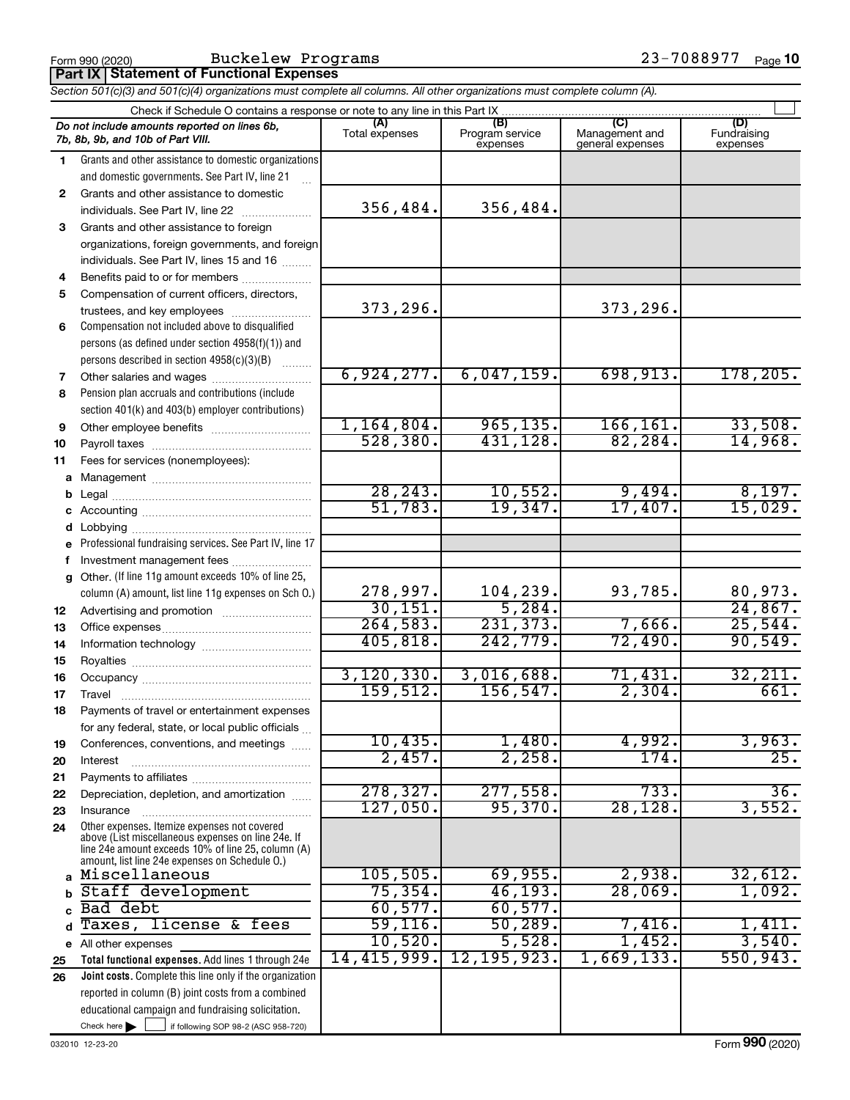Form 990 (2020) Buckelew Programs 23-7088977 <sub>Page</sub>

| Part IX   Statement of Functional Expenses |  |
|--------------------------------------------|--|
|--------------------------------------------|--|

*Section 501(c)(3) and 501(c)(4) organizations must complete all columns. All other organizations must complete column (A).*

|              | Check if Schedule O contains a response or note to any line in this Part IX                              |                       |                                    |                                           |                                |  |  |  |  |  |  |  |
|--------------|----------------------------------------------------------------------------------------------------------|-----------------------|------------------------------------|-------------------------------------------|--------------------------------|--|--|--|--|--|--|--|
|              | Do not include amounts reported on lines 6b,<br>7b, 8b, 9b, and 10b of Part VIII.                        | (A)<br>Total expenses | (B)<br>Program service<br>expenses | (C)<br>Management and<br>general expenses | (D)<br>Fundraising<br>expenses |  |  |  |  |  |  |  |
| 1.           | Grants and other assistance to domestic organizations                                                    |                       |                                    |                                           |                                |  |  |  |  |  |  |  |
|              | and domestic governments. See Part IV, line 21                                                           |                       |                                    |                                           |                                |  |  |  |  |  |  |  |
| $\mathbf{2}$ | Grants and other assistance to domestic                                                                  |                       |                                    |                                           |                                |  |  |  |  |  |  |  |
|              | individuals. See Part IV, line 22                                                                        | 356,484.              | 356,484.                           |                                           |                                |  |  |  |  |  |  |  |
| 3            | Grants and other assistance to foreign                                                                   |                       |                                    |                                           |                                |  |  |  |  |  |  |  |
|              | organizations, foreign governments, and foreign                                                          |                       |                                    |                                           |                                |  |  |  |  |  |  |  |
|              | individuals. See Part IV, lines 15 and 16                                                                |                       |                                    |                                           |                                |  |  |  |  |  |  |  |
| 4            | Benefits paid to or for members                                                                          |                       |                                    |                                           |                                |  |  |  |  |  |  |  |
| 5            | Compensation of current officers, directors,                                                             |                       |                                    |                                           |                                |  |  |  |  |  |  |  |
|              | trustees, and key employees                                                                              | 373,296.              |                                    | 373,296.                                  |                                |  |  |  |  |  |  |  |
| 6            | Compensation not included above to disqualified                                                          |                       |                                    |                                           |                                |  |  |  |  |  |  |  |
|              | persons (as defined under section 4958(f)(1)) and                                                        |                       |                                    |                                           |                                |  |  |  |  |  |  |  |
| 7            | persons described in section 4958(c)(3)(B)                                                               | 6,924,277.            | 6,047,159.                         | 698,913.                                  | 178, 205.                      |  |  |  |  |  |  |  |
| 8            | Pension plan accruals and contributions (include                                                         |                       |                                    |                                           |                                |  |  |  |  |  |  |  |
|              | section 401(k) and 403(b) employer contributions)                                                        |                       |                                    |                                           |                                |  |  |  |  |  |  |  |
| 9            | Other employee benefits                                                                                  | 1,164,804.            | 965, 135.                          | 166, 161.                                 | 33,508.                        |  |  |  |  |  |  |  |
| 10           |                                                                                                          | 528, 380.             | 431,128.                           | 82, 284.                                  | 14,968.                        |  |  |  |  |  |  |  |
| 11           | Fees for services (nonemployees):                                                                        |                       |                                    |                                           |                                |  |  |  |  |  |  |  |
| a            |                                                                                                          |                       |                                    |                                           |                                |  |  |  |  |  |  |  |
| b            |                                                                                                          | 28, 243.              | 10,552.                            | 9,494.                                    | $\frac{8,197.}{15,029.}$       |  |  |  |  |  |  |  |
| с            |                                                                                                          | 51,783.               | 19,347.                            | 17,407.                                   |                                |  |  |  |  |  |  |  |
| d            |                                                                                                          |                       |                                    |                                           |                                |  |  |  |  |  |  |  |
|              | Professional fundraising services. See Part IV, line 17                                                  |                       |                                    |                                           |                                |  |  |  |  |  |  |  |
| f            | Investment management fees                                                                               |                       |                                    |                                           |                                |  |  |  |  |  |  |  |
| g            | Other. (If line 11g amount exceeds 10% of line 25,                                                       |                       |                                    |                                           |                                |  |  |  |  |  |  |  |
|              | column (A) amount, list line 11g expenses on Sch O.)                                                     | 278,997.              | 104,239.                           | 93,785.                                   | 80,973.                        |  |  |  |  |  |  |  |
| 12           |                                                                                                          | 30, 151.              | 5,284.                             |                                           | 24,867.                        |  |  |  |  |  |  |  |
| 13           |                                                                                                          | 264,583.              | 231, 373.                          | 7,666.                                    | 25,544.                        |  |  |  |  |  |  |  |
| 14           |                                                                                                          | 405, 818.             | 242,779.                           | 72,490.                                   | 90,549.                        |  |  |  |  |  |  |  |
| 15           |                                                                                                          | 3, 120, 330.          | 3,016,688.                         | 71,431.                                   | 32,211.                        |  |  |  |  |  |  |  |
| 16           |                                                                                                          | 159, 512.             | 156, 547.                          | 2,304.                                    | 661.                           |  |  |  |  |  |  |  |
| 17           |                                                                                                          |                       |                                    |                                           |                                |  |  |  |  |  |  |  |
| 18           | Payments of travel or entertainment expenses<br>for any federal, state, or local public officials        |                       |                                    |                                           |                                |  |  |  |  |  |  |  |
| 19           | Conferences, conventions, and meetings                                                                   | 10,435.               | 1,480.                             | 4,992.                                    | 3,963.                         |  |  |  |  |  |  |  |
| 20           | Interest                                                                                                 | 2,457.                | 2,258.                             | 174.                                      | 25.                            |  |  |  |  |  |  |  |
| 21           |                                                                                                          |                       |                                    |                                           |                                |  |  |  |  |  |  |  |
| 22           | Depreciation, depletion, and amortization                                                                | 278, 327.             | 277,558.                           | 733.                                      | 36.                            |  |  |  |  |  |  |  |
| 23           | Insurance                                                                                                | 127,050.              | 95,370.                            | 28,128                                    | 3,552.                         |  |  |  |  |  |  |  |
| 24           | Other expenses. Itemize expenses not covered                                                             |                       |                                    |                                           |                                |  |  |  |  |  |  |  |
|              | above (List miscellaneous expenses on line 24e. If<br>line 24e amount exceeds 10% of line 25, column (A) |                       |                                    |                                           |                                |  |  |  |  |  |  |  |
|              | amount, list line 24e expenses on Schedule O.)                                                           |                       |                                    |                                           |                                |  |  |  |  |  |  |  |
|              | a Miscellaneous                                                                                          | 105, 505.             | 69,955.                            | 2,938.                                    | 32,612.                        |  |  |  |  |  |  |  |
|              | Staff development                                                                                        | 75, 354.              | 46,193.                            | 28,069.                                   | 1,092.                         |  |  |  |  |  |  |  |
|              | Bad debt                                                                                                 | 60,577.               | 60, 577.                           |                                           |                                |  |  |  |  |  |  |  |
| d            | Taxes, license & fees                                                                                    | 59, 116.              | 50, 289.                           | 7,416.                                    | 1,411.                         |  |  |  |  |  |  |  |
|              | e All other expenses                                                                                     | 10,520.               | 5,528.                             | 1,452.                                    | 3,540.                         |  |  |  |  |  |  |  |
| 25           | Total functional expenses. Add lines 1 through 24e                                                       | 14,415,999.           | 12, 195, 923.                      | 1,669,133.                                | 550, 943.                      |  |  |  |  |  |  |  |
| 26           | <b>Joint costs.</b> Complete this line only if the organization                                          |                       |                                    |                                           |                                |  |  |  |  |  |  |  |
|              | reported in column (B) joint costs from a combined                                                       |                       |                                    |                                           |                                |  |  |  |  |  |  |  |
|              | educational campaign and fundraising solicitation.                                                       |                       |                                    |                                           |                                |  |  |  |  |  |  |  |
|              | Check here<br>if following SOP 98-2 (ASC 958-720)                                                        |                       |                                    |                                           |                                |  |  |  |  |  |  |  |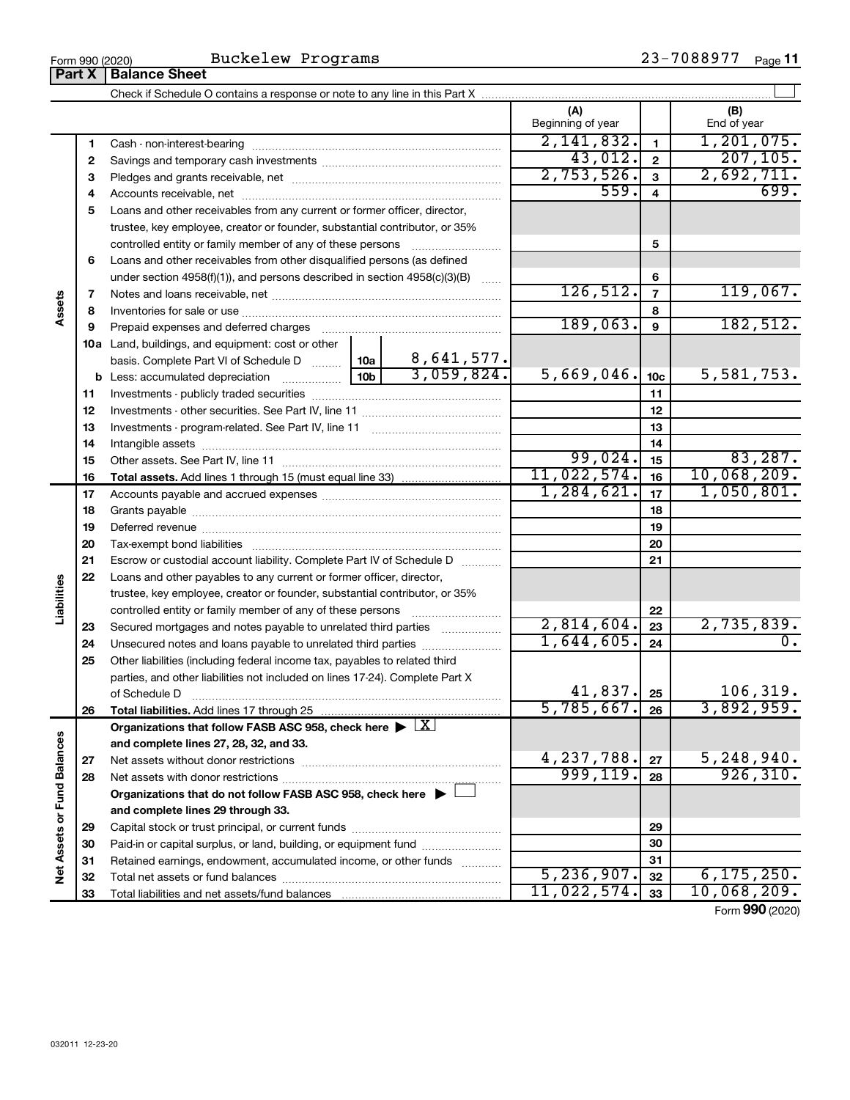| Buckelew Programs |  | $23 - 7088977$ Page 11 |  |
|-------------------|--|------------------------|--|
|-------------------|--|------------------------|--|

 $\frac{1}{2}$ Form 990 (2020) BUCKELEW Programs  $\frac{2}{3}$  - 10889 11  $\frac{2}{3}$ 

|                             | Part X   | <b>Balance Sheet</b>                                                                                                           |      |                         |                          |                 |                    |
|-----------------------------|----------|--------------------------------------------------------------------------------------------------------------------------------|------|-------------------------|--------------------------|-----------------|--------------------|
|                             |          |                                                                                                                                |      |                         |                          |                 |                    |
|                             |          |                                                                                                                                |      |                         | (A)<br>Beginning of year |                 | (B)<br>End of year |
|                             | 1        |                                                                                                                                |      |                         | 2,141,832.               | $\mathbf{1}$    | 1, 201, 075.       |
|                             | 2        |                                                                                                                                |      |                         | 43,012.                  | $\mathbf{2}$    | 207, 105.          |
|                             | 3        |                                                                                                                                |      |                         | 2,753,526.               | 3               | 2,692,711.         |
|                             | 4        |                                                                                                                                | 559. | $\overline{\mathbf{4}}$ | 699.                     |                 |                    |
|                             | 5        | Loans and other receivables from any current or former officer, director,                                                      |      |                         |                          |                 |                    |
|                             |          | trustee, key employee, creator or founder, substantial contributor, or 35%                                                     |      |                         |                          |                 |                    |
|                             |          | controlled entity or family member of any of these persons                                                                     |      |                         |                          | 5               |                    |
|                             | 6        | Loans and other receivables from other disqualified persons (as defined                                                        |      |                         |                          |                 |                    |
|                             |          | under section $4958(f)(1)$ , and persons described in section $4958(c)(3)(B)$                                                  |      | $\ldots$                |                          | 6               |                    |
|                             | 7        |                                                                                                                                |      |                         | 126, 512.                | $\overline{7}$  | 119,067.           |
| Assets                      | 8        |                                                                                                                                |      |                         |                          | 8               |                    |
|                             | 9        | Prepaid expenses and deferred charges                                                                                          |      |                         | 189,063.                 | 9               | 182,512.           |
|                             |          | <b>10a</b> Land, buildings, and equipment: cost or other                                                                       |      |                         |                          |                 |                    |
|                             |          | basis. Complete Part VI of Schedule D  10a                                                                                     |      | 8,641,577.              |                          |                 |                    |
|                             |          |                                                                                                                                |      | 3,059,824.              | 5,669,046.               | 10 <sub>c</sub> | 5,581,753.         |
|                             | 11       |                                                                                                                                |      |                         | 11                       |                 |                    |
|                             | 12       |                                                                                                                                |      |                         | 12                       |                 |                    |
|                             | 13       |                                                                                                                                |      |                         |                          | 13              |                    |
|                             | 14       |                                                                                                                                |      |                         |                          | 14              |                    |
|                             | 15       |                                                                                                                                |      |                         | 99,024.                  | 15              | 83,287.            |
|                             | 16       |                                                                                                                                |      |                         | 11,022,574.              | 16              | 10,068,209.        |
|                             | 17       |                                                                                                                                |      |                         | 1, 284, 621.             | 17              | 1,050,801.         |
|                             | 18       |                                                                                                                                |      | 18                      |                          |                 |                    |
|                             | 19       |                                                                                                                                |      | 19                      |                          |                 |                    |
|                             | 20       |                                                                                                                                |      |                         |                          | 20              |                    |
|                             | 21       | Escrow or custodial account liability. Complete Part IV of Schedule D                                                          |      |                         |                          | 21              |                    |
|                             | 22       | Loans and other payables to any current or former officer, director,                                                           |      |                         |                          |                 |                    |
| Liabilities                 |          | trustee, key employee, creator or founder, substantial contributor, or 35%                                                     |      |                         |                          |                 |                    |
|                             |          | controlled entity or family member of any of these persons [                                                                   |      |                         | 2,814,604.               | 22<br>23        | 2,735,839.         |
|                             | 23<br>24 | Secured mortgages and notes payable to unrelated third parties<br>Unsecured notes and loans payable to unrelated third parties |      |                         | 1,644,605.               | 24              | 0.                 |
|                             | 25       | Other liabilities (including federal income tax, payables to related third                                                     |      |                         |                          |                 |                    |
|                             |          | parties, and other liabilities not included on lines 17-24). Complete Part X                                                   |      |                         |                          |                 |                    |
|                             |          | of Schedule D                                                                                                                  |      |                         | 41,837.                  | 25              | 106,319.           |
|                             | 26       | Total liabilities. Add lines 17 through 25                                                                                     |      |                         | 5,785,667.               | 26              | 3,892,959.         |
|                             |          | Organizations that follow FASB ASC 958, check here $\blacktriangleright \lfloor \underline{X} \rfloor$                         |      |                         |                          |                 |                    |
|                             |          | and complete lines 27, 28, 32, and 33.                                                                                         |      |                         |                          |                 |                    |
|                             | 27       |                                                                                                                                |      |                         | 4,237,788.               | 27              | 5,248,940.         |
|                             | 28       |                                                                                                                                |      |                         | 999, 119.                | 28              | 926, 310.          |
|                             |          | Organizations that do not follow FASB ASC 958, check here $\blacktriangleright$                                                |      |                         |                          |                 |                    |
|                             |          | and complete lines 29 through 33.                                                                                              |      |                         |                          |                 |                    |
|                             | 29       |                                                                                                                                |      |                         |                          | 29              |                    |
|                             | 30       | Paid-in or capital surplus, or land, building, or equipment fund                                                               |      |                         |                          | 30              |                    |
| Net Assets or Fund Balances | 31       | Retained earnings, endowment, accumulated income, or other funds                                                               |      |                         |                          | 31              |                    |
|                             | 32       |                                                                                                                                |      |                         | 5, 236, 907.             | 32              | 6, 175, 250.       |
|                             | 33       |                                                                                                                                |      |                         | 11,022,574.              | 33              | 10,068,209.        |
|                             |          |                                                                                                                                |      |                         |                          |                 | Form 990 (2020)    |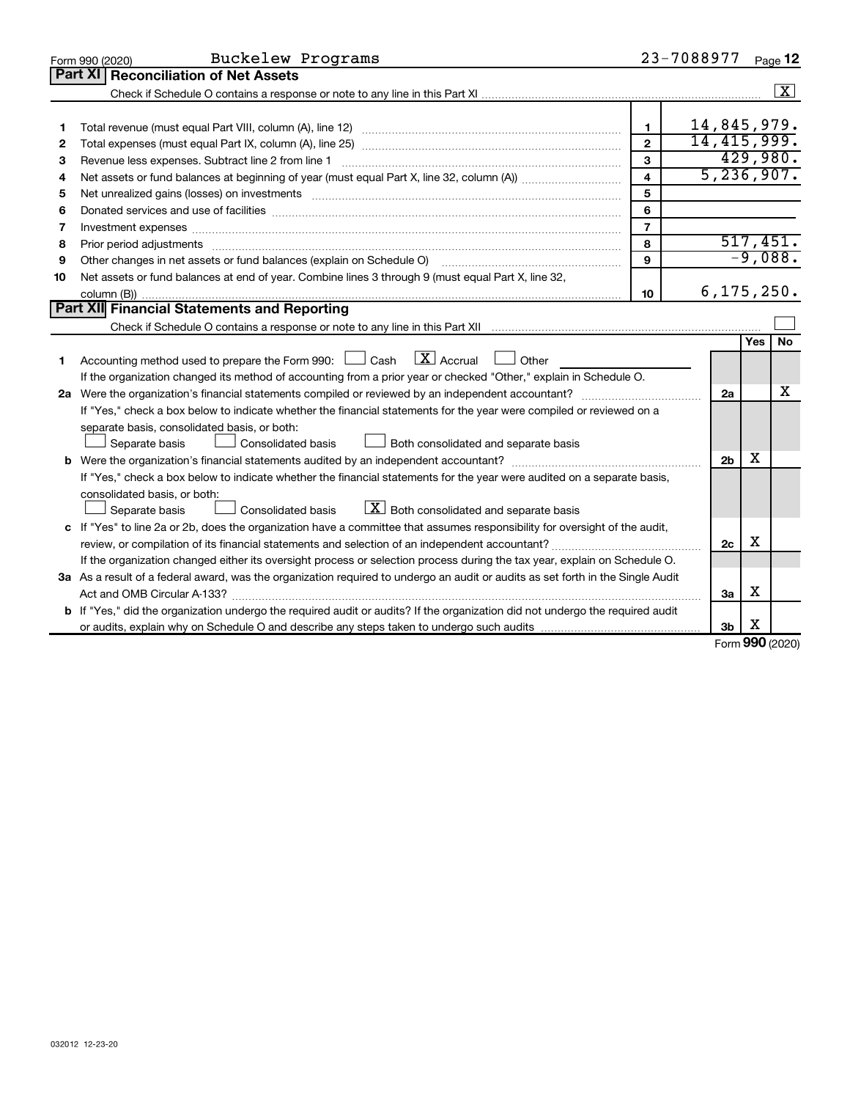|    | Buckelew Programs<br>Form 990 (2020)                                                                                                                                                                                           |                         | 23-7088977     |            | Page 12                 |
|----|--------------------------------------------------------------------------------------------------------------------------------------------------------------------------------------------------------------------------------|-------------------------|----------------|------------|-------------------------|
|    | Part XI<br><b>Reconciliation of Net Assets</b>                                                                                                                                                                                 |                         |                |            |                         |
|    |                                                                                                                                                                                                                                |                         |                |            | $\overline{\mathbf{x}}$ |
|    |                                                                                                                                                                                                                                |                         |                |            |                         |
| 1  |                                                                                                                                                                                                                                | 1                       | 14,845,979.    |            |                         |
| 2  |                                                                                                                                                                                                                                | $\overline{2}$          | 14, 415, 999.  |            |                         |
| 3  | Revenue less expenses. Subtract line 2 from line 1                                                                                                                                                                             | 3                       |                |            | 429,980.                |
| 4  |                                                                                                                                                                                                                                | $\overline{\mathbf{4}}$ | 5,236,907.     |            |                         |
| 5  |                                                                                                                                                                                                                                | 5                       |                |            |                         |
| 6  | Donated services and use of facilities [[111][12] matter is a series and service in the services and use of facilities [[11][12] matter is a service of facilities [[11] matter is a service of the service of the service of  | 6                       |                |            |                         |
| 7  | Investment expenses www.communication.com/www.communication.com/www.communication.com/www.com                                                                                                                                  | $\overline{7}$          |                |            |                         |
| 8  | Prior period adjustments material contents and content and content and content and content and content and content and content and content and content and content and content and content and content and content and content | 8                       |                |            | 517,451.                |
| 9  | Other changes in net assets or fund balances (explain on Schedule O)                                                                                                                                                           | 9                       |                |            | $-9,088.$               |
| 10 | Net assets or fund balances at end of year. Combine lines 3 through 9 (must equal Part X, line 32,                                                                                                                             |                         |                |            |                         |
|    |                                                                                                                                                                                                                                | 10                      | 6, 175, 250.   |            |                         |
|    | Part XII Financial Statements and Reporting                                                                                                                                                                                    |                         |                |            |                         |
|    |                                                                                                                                                                                                                                |                         |                |            |                         |
|    |                                                                                                                                                                                                                                |                         |                | <b>Yes</b> | No                      |
| 1  | $\boxed{\text{X}}$ Accrual<br>Accounting method used to prepare the Form 990: $\Box$ Cash<br>$\Box$ Other                                                                                                                      |                         |                |            |                         |
|    | If the organization changed its method of accounting from a prior year or checked "Other," explain in Schedule O.                                                                                                              |                         |                |            |                         |
|    |                                                                                                                                                                                                                                |                         | 2a             |            | х                       |
|    | If "Yes," check a box below to indicate whether the financial statements for the year were compiled or reviewed on a                                                                                                           |                         |                |            |                         |
|    | separate basis, consolidated basis, or both:                                                                                                                                                                                   |                         |                |            |                         |
|    | Both consolidated and separate basis<br>Separate basis<br>Consolidated basis                                                                                                                                                   |                         |                |            |                         |
|    |                                                                                                                                                                                                                                |                         | 2 <sub>b</sub> | х          |                         |
|    | If "Yes," check a box below to indicate whether the financial statements for the year were audited on a separate basis,                                                                                                        |                         |                |            |                         |
|    | consolidated basis, or both:                                                                                                                                                                                                   |                         |                |            |                         |
|    | $\boxed{\textbf{X}}$ Both consolidated and separate basis<br>Consolidated basis<br>Separate basis                                                                                                                              |                         |                |            |                         |
|    | c If "Yes" to line 2a or 2b, does the organization have a committee that assumes responsibility for oversight of the audit,                                                                                                    |                         |                |            |                         |
|    |                                                                                                                                                                                                                                |                         | 2c             | х          |                         |
|    | If the organization changed either its oversight process or selection process during the tax year, explain on Schedule O.                                                                                                      |                         |                |            |                         |
|    | 3a As a result of a federal award, was the organization required to undergo an audit or audits as set forth in the Single Audit                                                                                                |                         |                |            |                         |
|    |                                                                                                                                                                                                                                |                         | За             | х          |                         |
|    | <b>b</b> If "Yes," did the organization undergo the required audit or audits? If the organization did not undergo the required audit                                                                                           |                         |                |            |                         |
|    |                                                                                                                                                                                                                                |                         | 3 <sub>b</sub> | х          |                         |

Form (2020) **990**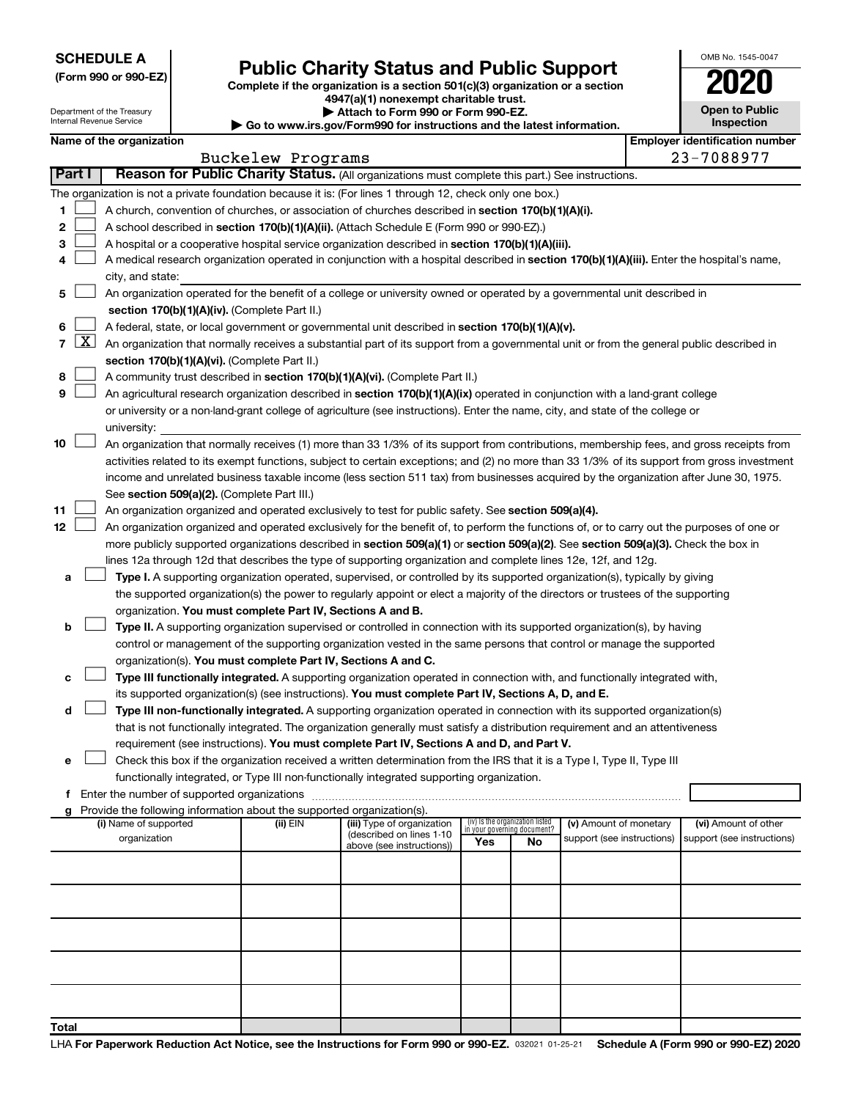**SCHEDULE A**

#### Department of the Treasury Internal Revenue Service

# Form 990 or 990-EZ) **Public Charity Status and Public Support**<br>
Complete if the organization is a section 501(c)(3) organization or a section<br> **2020**

**4947(a)(1) nonexempt charitable trust.**

**| Attach to Form 990 or Form 990-EZ.** 

**| Go to www.irs.gov/Form990 for instructions and the latest information.**

| OMB No 1545-0047                    |
|-------------------------------------|
| 2020                                |
| <b>Open to Public</b><br>Inspection |

|  | Name of the organization |  |
|--|--------------------------|--|

| Name of the organization<br><b>Employer identification number</b> |               |                                                                                                                                                   |                   |                            |                                    |                                 |                            |  |                            |  |
|-------------------------------------------------------------------|---------------|---------------------------------------------------------------------------------------------------------------------------------------------------|-------------------|----------------------------|------------------------------------|---------------------------------|----------------------------|--|----------------------------|--|
|                                                                   |               |                                                                                                                                                   | Buckelew Programs |                            |                                    |                                 |                            |  | 23-7088977                 |  |
|                                                                   | <b>Part I</b> | Reason for Public Charity Status. (All organizations must complete this part.) See instructions.                                                  |                   |                            |                                    |                                 |                            |  |                            |  |
|                                                                   |               | The organization is not a private foundation because it is: (For lines 1 through 12, check only one box.)                                         |                   |                            |                                    |                                 |                            |  |                            |  |
| 1.                                                                |               | A church, convention of churches, or association of churches described in section 170(b)(1)(A)(i).                                                |                   |                            |                                    |                                 |                            |  |                            |  |
| 2                                                                 |               | A school described in section 170(b)(1)(A)(ii). (Attach Schedule E (Form 990 or 990-EZ).)                                                         |                   |                            |                                    |                                 |                            |  |                            |  |
| з                                                                 |               | A hospital or a cooperative hospital service organization described in section 170(b)(1)(A)(iii).                                                 |                   |                            |                                    |                                 |                            |  |                            |  |
| 4                                                                 |               | A medical research organization operated in conjunction with a hospital described in section 170(b)(1)(A)(iii). Enter the hospital's name,        |                   |                            |                                    |                                 |                            |  |                            |  |
|                                                                   |               | city, and state:                                                                                                                                  |                   |                            |                                    |                                 |                            |  |                            |  |
| 5                                                                 |               | An organization operated for the benefit of a college or university owned or operated by a governmental unit described in                         |                   |                            |                                    |                                 |                            |  |                            |  |
|                                                                   |               | section 170(b)(1)(A)(iv). (Complete Part II.)                                                                                                     |                   |                            |                                    |                                 |                            |  |                            |  |
| 6                                                                 |               | A federal, state, or local government or governmental unit described in section 170(b)(1)(A)(v).                                                  |                   |                            |                                    |                                 |                            |  |                            |  |
|                                                                   |               | 7 $ X $ An organization that normally receives a substantial part of its support from a governmental unit or from the general public described in |                   |                            |                                    |                                 |                            |  |                            |  |
|                                                                   |               | section 170(b)(1)(A)(vi). (Complete Part II.)                                                                                                     |                   |                            |                                    |                                 |                            |  |                            |  |
| 8                                                                 |               | A community trust described in section 170(b)(1)(A)(vi). (Complete Part II.)                                                                      |                   |                            |                                    |                                 |                            |  |                            |  |
| 9                                                                 |               | An agricultural research organization described in section 170(b)(1)(A)(ix) operated in conjunction with a land-grant college                     |                   |                            |                                    |                                 |                            |  |                            |  |
|                                                                   |               | or university or a non-land-grant college of agriculture (see instructions). Enter the name, city, and state of the college or                    |                   |                            |                                    |                                 |                            |  |                            |  |
|                                                                   |               | university:                                                                                                                                       |                   |                            |                                    |                                 |                            |  |                            |  |
| 10                                                                |               | An organization that normally receives (1) more than 33 1/3% of its support from contributions, membership fees, and gross receipts from          |                   |                            |                                    |                                 |                            |  |                            |  |
|                                                                   |               | activities related to its exempt functions, subject to certain exceptions; and (2) no more than 33 1/3% of its support from gross investment      |                   |                            |                                    |                                 |                            |  |                            |  |
|                                                                   |               | income and unrelated business taxable income (less section 511 tax) from businesses acquired by the organization after June 30, 1975.             |                   |                            |                                    |                                 |                            |  |                            |  |
|                                                                   |               | See section 509(a)(2). (Complete Part III.)                                                                                                       |                   |                            |                                    |                                 |                            |  |                            |  |
| 11                                                                |               | An organization organized and operated exclusively to test for public safety. See section 509(a)(4).                                              |                   |                            |                                    |                                 |                            |  |                            |  |
| 12                                                                |               | An organization organized and operated exclusively for the benefit of, to perform the functions of, or to carry out the purposes of one or        |                   |                            |                                    |                                 |                            |  |                            |  |
|                                                                   |               | more publicly supported organizations described in section 509(a)(1) or section 509(a)(2). See section 509(a)(3). Check the box in                |                   |                            |                                    |                                 |                            |  |                            |  |
|                                                                   |               | lines 12a through 12d that describes the type of supporting organization and complete lines 12e, 12f, and 12g.                                    |                   |                            |                                    |                                 |                            |  |                            |  |
| a                                                                 |               | Type I. A supporting organization operated, supervised, or controlled by its supported organization(s), typically by giving                       |                   |                            |                                    |                                 |                            |  |                            |  |
|                                                                   |               | the supported organization(s) the power to regularly appoint or elect a majority of the directors or trustees of the supporting                   |                   |                            |                                    |                                 |                            |  |                            |  |
|                                                                   |               | organization. You must complete Part IV, Sections A and B.                                                                                        |                   |                            |                                    |                                 |                            |  |                            |  |
| b                                                                 |               | Type II. A supporting organization supervised or controlled in connection with its supported organization(s), by having                           |                   |                            |                                    |                                 |                            |  |                            |  |
|                                                                   |               | control or management of the supporting organization vested in the same persons that control or manage the supported                              |                   |                            |                                    |                                 |                            |  |                            |  |
|                                                                   |               | organization(s). You must complete Part IV, Sections A and C.                                                                                     |                   |                            |                                    |                                 |                            |  |                            |  |
| с                                                                 |               | Type III functionally integrated. A supporting organization operated in connection with, and functionally integrated with,                        |                   |                            |                                    |                                 |                            |  |                            |  |
|                                                                   |               | its supported organization(s) (see instructions). You must complete Part IV, Sections A, D, and E.                                                |                   |                            |                                    |                                 |                            |  |                            |  |
| d                                                                 |               | Type III non-functionally integrated. A supporting organization operated in connection with its supported organization(s)                         |                   |                            |                                    |                                 |                            |  |                            |  |
|                                                                   |               | that is not functionally integrated. The organization generally must satisfy a distribution requirement and an attentiveness                      |                   |                            |                                    |                                 |                            |  |                            |  |
|                                                                   |               | requirement (see instructions). You must complete Part IV, Sections A and D, and Part V.                                                          |                   |                            |                                    |                                 |                            |  |                            |  |
|                                                                   |               | Check this box if the organization received a written determination from the IRS that it is a Type I, Type II, Type III                           |                   |                            |                                    |                                 |                            |  |                            |  |
|                                                                   |               | functionally integrated, or Type III non-functionally integrated supporting organization.                                                         |                   |                            |                                    |                                 |                            |  |                            |  |
|                                                                   |               | f Enter the number of supported organizations                                                                                                     |                   |                            |                                    |                                 |                            |  |                            |  |
|                                                                   |               | g Provide the following information about the supported organization(s).<br>(i) Name of supported                                                 | (ii) $EIN$        | (iii) Type of organization |                                    | (iv) Is the organization listed | (v) Amount of monetary     |  | (vi) Amount of other       |  |
|                                                                   |               | organization                                                                                                                                      |                   | (described on lines 1-10   | in your governing document?<br>Yes | No                              | support (see instructions) |  | support (see instructions) |  |
|                                                                   |               |                                                                                                                                                   |                   | above (see instructions))  |                                    |                                 |                            |  |                            |  |
|                                                                   |               |                                                                                                                                                   |                   |                            |                                    |                                 |                            |  |                            |  |
|                                                                   |               |                                                                                                                                                   |                   |                            |                                    |                                 |                            |  |                            |  |
|                                                                   |               |                                                                                                                                                   |                   |                            |                                    |                                 |                            |  |                            |  |
|                                                                   |               |                                                                                                                                                   |                   |                            |                                    |                                 |                            |  |                            |  |
|                                                                   |               |                                                                                                                                                   |                   |                            |                                    |                                 |                            |  |                            |  |
|                                                                   |               |                                                                                                                                                   |                   |                            |                                    |                                 |                            |  |                            |  |
|                                                                   |               |                                                                                                                                                   |                   |                            |                                    |                                 |                            |  |                            |  |
|                                                                   |               |                                                                                                                                                   |                   |                            |                                    |                                 |                            |  |                            |  |
| Total                                                             |               |                                                                                                                                                   |                   |                            |                                    |                                 |                            |  |                            |  |
|                                                                   |               |                                                                                                                                                   |                   |                            |                                    |                                 |                            |  |                            |  |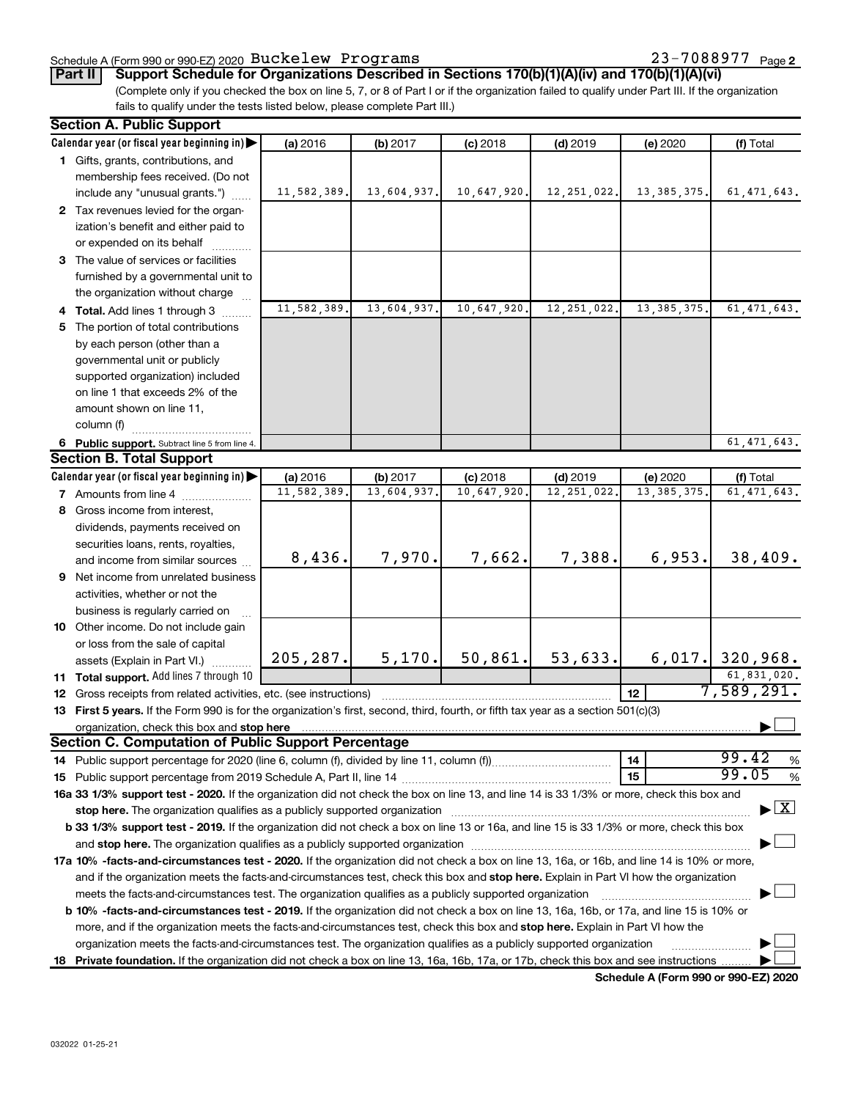### Schedule A (Form 990 or 990-EZ) 2020  $\, {\rm Buckelew} \,$  <code>Programs</code>  $\, 23-7088977 \,$  <code>Page</code>

23-7088977 Page 2

(Complete only if you checked the box on line 5, 7, or 8 of Part I or if the organization failed to qualify under Part III. If the organization **Part II Support Schedule for Organizations Described in Sections 170(b)(1)(A)(iv) and 170(b)(1)(A)(vi)**

fails to qualify under the tests listed below, please complete Part III.)

| <b>Section A. Public Support</b>                                                                                                                                                                                               |             |             |             |               |               |                                          |
|--------------------------------------------------------------------------------------------------------------------------------------------------------------------------------------------------------------------------------|-------------|-------------|-------------|---------------|---------------|------------------------------------------|
| Calendar year (or fiscal year beginning in)                                                                                                                                                                                    | (a) 2016    | (b) 2017    | $(c)$ 2018  | $(d)$ 2019    | (e) 2020      | (f) Total                                |
| 1 Gifts, grants, contributions, and                                                                                                                                                                                            |             |             |             |               |               |                                          |
| membership fees received. (Do not                                                                                                                                                                                              |             |             |             |               |               |                                          |
| include any "unusual grants.")                                                                                                                                                                                                 | 11,582,389. | 13,604,937. | 10,647,920. | 12, 251, 022. | 13, 385, 375. | 61, 471, 643.                            |
| 2 Tax revenues levied for the organ-                                                                                                                                                                                           |             |             |             |               |               |                                          |
| ization's benefit and either paid to                                                                                                                                                                                           |             |             |             |               |               |                                          |
| or expended on its behalf                                                                                                                                                                                                      |             |             |             |               |               |                                          |
| 3 The value of services or facilities                                                                                                                                                                                          |             |             |             |               |               |                                          |
| furnished by a governmental unit to                                                                                                                                                                                            |             |             |             |               |               |                                          |
| the organization without charge                                                                                                                                                                                                |             |             |             |               |               |                                          |
| 4 Total. Add lines 1 through 3                                                                                                                                                                                                 | 11,582,389. | 13,604,937. | 10,647,920  | 12, 251, 022. | 13, 385, 375. | 61, 471, 643.                            |
| 5 The portion of total contributions                                                                                                                                                                                           |             |             |             |               |               |                                          |
| by each person (other than a                                                                                                                                                                                                   |             |             |             |               |               |                                          |
| governmental unit or publicly                                                                                                                                                                                                  |             |             |             |               |               |                                          |
| supported organization) included                                                                                                                                                                                               |             |             |             |               |               |                                          |
| on line 1 that exceeds 2% of the                                                                                                                                                                                               |             |             |             |               |               |                                          |
| amount shown on line 11,                                                                                                                                                                                                       |             |             |             |               |               |                                          |
| column (f)                                                                                                                                                                                                                     |             |             |             |               |               |                                          |
| 6 Public support. Subtract line 5 from line 4.                                                                                                                                                                                 |             |             |             |               |               | $\overline{61, 471, 643}$ .              |
| <b>Section B. Total Support</b>                                                                                                                                                                                                |             |             |             |               |               |                                          |
| Calendar year (or fiscal year beginning in)                                                                                                                                                                                    | (a) 2016    | (b) 2017    | $(c)$ 2018  | $(d)$ 2019    | (e) 2020      | (f) Total                                |
| <b>7</b> Amounts from line 4                                                                                                                                                                                                   | 11,582,389. | 13,604,937  | 10,647,920  | 12, 251, 022  | 13, 385, 375. | 61, 471, 643.                            |
| 8 Gross income from interest,                                                                                                                                                                                                  |             |             |             |               |               |                                          |
| dividends, payments received on                                                                                                                                                                                                |             |             |             |               |               |                                          |
| securities loans, rents, royalties,                                                                                                                                                                                            |             |             |             |               |               |                                          |
| and income from similar sources                                                                                                                                                                                                | 8,436.      | 7,970.      | 7,662.      | 7,388.        | 6,953.        | 38,409.                                  |
| 9 Net income from unrelated business                                                                                                                                                                                           |             |             |             |               |               |                                          |
| activities, whether or not the                                                                                                                                                                                                 |             |             |             |               |               |                                          |
| business is regularly carried on                                                                                                                                                                                               |             |             |             |               |               |                                          |
| 10 Other income. Do not include gain                                                                                                                                                                                           |             |             |             |               |               |                                          |
| or loss from the sale of capital                                                                                                                                                                                               |             |             |             |               |               |                                          |
| assets (Explain in Part VI.)                                                                                                                                                                                                   | 205, 287.   | 5, 170.     | 50,861.     | 53,633.       |               | $6,017.$ 320,968.                        |
| 11 Total support. Add lines 7 through 10                                                                                                                                                                                       |             |             |             |               |               | 61,831,020.                              |
| 12 Gross receipts from related activities, etc. (see instructions)                                                                                                                                                             |             |             |             |               | 12            | 7,589,291.                               |
| 13 First 5 years. If the Form 990 is for the organization's first, second, third, fourth, or fifth tax year as a section 501(c)(3)                                                                                             |             |             |             |               |               |                                          |
|                                                                                                                                                                                                                                |             |             |             |               |               |                                          |
| <b>Section C. Computation of Public Support Percentage</b>                                                                                                                                                                     |             |             |             |               |               |                                          |
|                                                                                                                                                                                                                                |             |             |             |               | 14            | 99.42<br>$\%$                            |
|                                                                                                                                                                                                                                |             |             |             |               | 15            | 99.05<br>$\%$                            |
| 16a 33 1/3% support test - 2020. If the organization did not check the box on line 13, and line 14 is 33 1/3% or more, check this box and                                                                                      |             |             |             |               |               |                                          |
|                                                                                                                                                                                                                                |             |             |             |               |               | $\blacktriangleright$ $\boxed{\text{X}}$ |
| b 33 1/3% support test - 2019. If the organization did not check a box on line 13 or 16a, and line 15 is 33 1/3% or more, check this box                                                                                       |             |             |             |               |               |                                          |
| and stop here. The organization qualifies as a publicly supported organization manufaction manufacture or manufacture or and a function of the organization manufacture or and a function of the original and state of the ori |             |             |             |               |               |                                          |
| 17a 10% -facts-and-circumstances test - 2020. If the organization did not check a box on line 13, 16a, or 16b, and line 14 is 10% or more,                                                                                     |             |             |             |               |               |                                          |
| and if the organization meets the facts-and-circumstances test, check this box and stop here. Explain in Part VI how the organization                                                                                          |             |             |             |               |               |                                          |
| meets the facts-and-circumstances test. The organization qualifies as a publicly supported organization                                                                                                                        |             |             |             |               |               |                                          |
| <b>b 10%</b> -facts-and-circumstances test - 2019. If the organization did not check a box on line 13, 16a, 16b, or 17a, and line 15 is 10% or                                                                                 |             |             |             |               |               |                                          |
| more, and if the organization meets the facts-and-circumstances test, check this box and stop here. Explain in Part VI how the                                                                                                 |             |             |             |               |               |                                          |
| organization meets the facts-and-circumstances test. The organization qualifies as a publicly supported organization                                                                                                           |             |             |             |               |               |                                          |
| 18 Private foundation. If the organization did not check a box on line 13, 16a, 16b, 17a, or 17b, check this box and see instructions                                                                                          |             |             |             |               |               |                                          |
|                                                                                                                                                                                                                                |             |             |             |               |               |                                          |

**Schedule A (Form 990 or 990-EZ) 2020**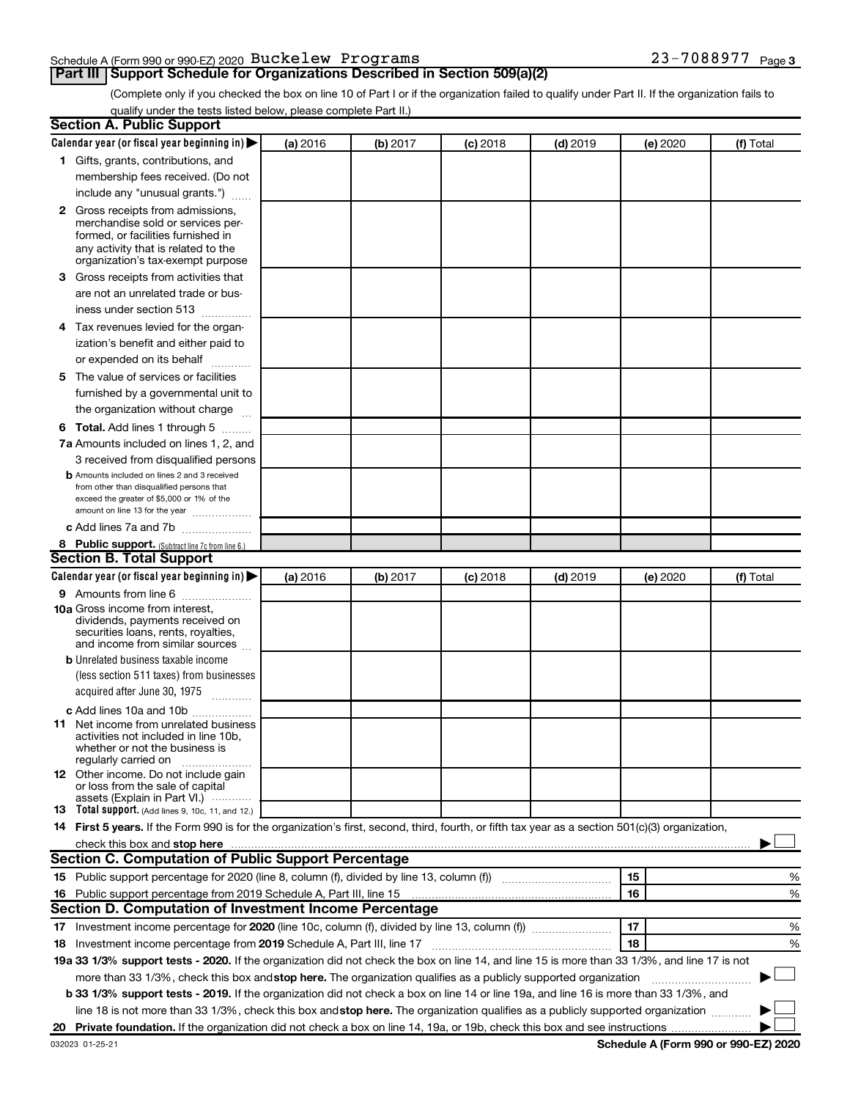### Schedule A (Form 990 or 990-EZ) 2020  $\, {\rm Buckelew} \,$  <code>Programs</code>  $\, 23-7088977 \,$  <code>Page</code>

### **Part III Support Schedule for Organizations Described in Section 509(a)(2)**

23-7088977 Page 3

(Complete only if you checked the box on line 10 of Part I or if the organization failed to qualify under Part II. If the organization fails to qualify under the tests listed below, please complete Part II.)

| <b>Section A. Public Support</b>                                                                                                                                                                                                                                                                |          |          |          |            |          |           |
|-------------------------------------------------------------------------------------------------------------------------------------------------------------------------------------------------------------------------------------------------------------------------------------------------|----------|----------|----------|------------|----------|-----------|
| Calendar year (or fiscal year beginning in)                                                                                                                                                                                                                                                     | (a) 2016 | (b) 2017 | (c) 2018 | $(d)$ 2019 | (e) 2020 | (f) Total |
| 1 Gifts, grants, contributions, and                                                                                                                                                                                                                                                             |          |          |          |            |          |           |
| membership fees received. (Do not                                                                                                                                                                                                                                                               |          |          |          |            |          |           |
| include any "unusual grants.")                                                                                                                                                                                                                                                                  |          |          |          |            |          |           |
| <b>2</b> Gross receipts from admissions,                                                                                                                                                                                                                                                        |          |          |          |            |          |           |
| merchandise sold or services per-                                                                                                                                                                                                                                                               |          |          |          |            |          |           |
| formed, or facilities furnished in                                                                                                                                                                                                                                                              |          |          |          |            |          |           |
| any activity that is related to the<br>organization's tax-exempt purpose                                                                                                                                                                                                                        |          |          |          |            |          |           |
| 3 Gross receipts from activities that                                                                                                                                                                                                                                                           |          |          |          |            |          |           |
| are not an unrelated trade or bus-                                                                                                                                                                                                                                                              |          |          |          |            |          |           |
| iness under section 513                                                                                                                                                                                                                                                                         |          |          |          |            |          |           |
| 4 Tax revenues levied for the organ-                                                                                                                                                                                                                                                            |          |          |          |            |          |           |
| ization's benefit and either paid to                                                                                                                                                                                                                                                            |          |          |          |            |          |           |
| or expended on its behalf                                                                                                                                                                                                                                                                       |          |          |          |            |          |           |
| .<br>5 The value of services or facilities                                                                                                                                                                                                                                                      |          |          |          |            |          |           |
|                                                                                                                                                                                                                                                                                                 |          |          |          |            |          |           |
| furnished by a governmental unit to                                                                                                                                                                                                                                                             |          |          |          |            |          |           |
| the organization without charge                                                                                                                                                                                                                                                                 |          |          |          |            |          |           |
| <b>6 Total.</b> Add lines 1 through 5                                                                                                                                                                                                                                                           |          |          |          |            |          |           |
| 7a Amounts included on lines 1, 2, and                                                                                                                                                                                                                                                          |          |          |          |            |          |           |
| 3 received from disqualified persons                                                                                                                                                                                                                                                            |          |          |          |            |          |           |
| <b>b</b> Amounts included on lines 2 and 3 received<br>from other than disqualified persons that                                                                                                                                                                                                |          |          |          |            |          |           |
| exceed the greater of \$5,000 or 1% of the                                                                                                                                                                                                                                                      |          |          |          |            |          |           |
| amount on line 13 for the year                                                                                                                                                                                                                                                                  |          |          |          |            |          |           |
| c Add lines 7a and 7b                                                                                                                                                                                                                                                                           |          |          |          |            |          |           |
| 8 Public support. (Subtract line 7c from line 6.)                                                                                                                                                                                                                                               |          |          |          |            |          |           |
| <b>Section B. Total Support</b>                                                                                                                                                                                                                                                                 |          |          |          |            |          |           |
| Calendar year (or fiscal year beginning in)                                                                                                                                                                                                                                                     | (a) 2016 | (b) 2017 | (c) 2018 | $(d)$ 2019 | (e) 2020 | (f) Total |
| <b>9</b> Amounts from line 6                                                                                                                                                                                                                                                                    |          |          |          |            |          |           |
| <b>10a</b> Gross income from interest,                                                                                                                                                                                                                                                          |          |          |          |            |          |           |
| dividends, payments received on<br>securities loans, rents, royalties,                                                                                                                                                                                                                          |          |          |          |            |          |           |
| and income from similar sources                                                                                                                                                                                                                                                                 |          |          |          |            |          |           |
| <b>b</b> Unrelated business taxable income                                                                                                                                                                                                                                                      |          |          |          |            |          |           |
| (less section 511 taxes) from businesses                                                                                                                                                                                                                                                        |          |          |          |            |          |           |
| acquired after June 30, 1975                                                                                                                                                                                                                                                                    |          |          |          |            |          |           |
| c Add lines 10a and 10b                                                                                                                                                                                                                                                                         |          |          |          |            |          |           |
| <b>11</b> Net income from unrelated business                                                                                                                                                                                                                                                    |          |          |          |            |          |           |
| activities not included in line 10b.                                                                                                                                                                                                                                                            |          |          |          |            |          |           |
| whether or not the business is<br>regularly carried on                                                                                                                                                                                                                                          |          |          |          |            |          |           |
| 12 Other income. Do not include gain                                                                                                                                                                                                                                                            |          |          |          |            |          |           |
| or loss from the sale of capital                                                                                                                                                                                                                                                                |          |          |          |            |          |           |
| assets (Explain in Part VI.)                                                                                                                                                                                                                                                                    |          |          |          |            |          |           |
| <b>13</b> Total support. (Add lines 9, 10c, 11, and 12.)                                                                                                                                                                                                                                        |          |          |          |            |          |           |
| 14 First 5 years. If the Form 990 is for the organization's first, second, third, fourth, or fifth tax year as a section 501(c)(3) organization,                                                                                                                                                |          |          |          |            |          |           |
| check this box and stop here <b>construction and construction</b> and check this box and stop here <b>construction</b> and construction and construction and construction and construction and construction and construction and constru<br>Section C. Computation of Public Support Percentage |          |          |          |            |          |           |
|                                                                                                                                                                                                                                                                                                 |          |          |          |            |          |           |
| 15 Public support percentage for 2020 (line 8, column (f), divided by line 13, column (f) <i>manumeronominium</i>                                                                                                                                                                               |          |          |          |            | 15       | %         |
| 16 Public support percentage from 2019 Schedule A, Part III, line 15                                                                                                                                                                                                                            |          |          |          |            | 16       | %         |
| Section D. Computation of Investment Income Percentage                                                                                                                                                                                                                                          |          |          |          |            |          |           |
| 17 Investment income percentage for 2020 (line 10c, column (f), divided by line 13, column (f))                                                                                                                                                                                                 |          |          |          |            | 17       | %         |
| 18 Investment income percentage from 2019 Schedule A, Part III, line 17                                                                                                                                                                                                                         |          |          |          |            | 18       | %         |
| 19a 33 1/3% support tests - 2020. If the organization did not check the box on line 14, and line 15 is more than 33 1/3%, and line 17 is not                                                                                                                                                    |          |          |          |            |          |           |
| more than 33 1/3%, check this box and stop here. The organization qualifies as a publicly supported organization                                                                                                                                                                                |          |          |          |            |          |           |
| b 33 1/3% support tests - 2019. If the organization did not check a box on line 14 or line 19a, and line 16 is more than 33 1/3%, and                                                                                                                                                           |          |          |          |            |          |           |
| line 18 is not more than 33 1/3%, check this box and stop here. The organization qualifies as a publicly supported organization                                                                                                                                                                 |          |          |          |            |          |           |
|                                                                                                                                                                                                                                                                                                 |          |          |          |            |          |           |

**Schedule A (Form 990 or 990-EZ) 2020**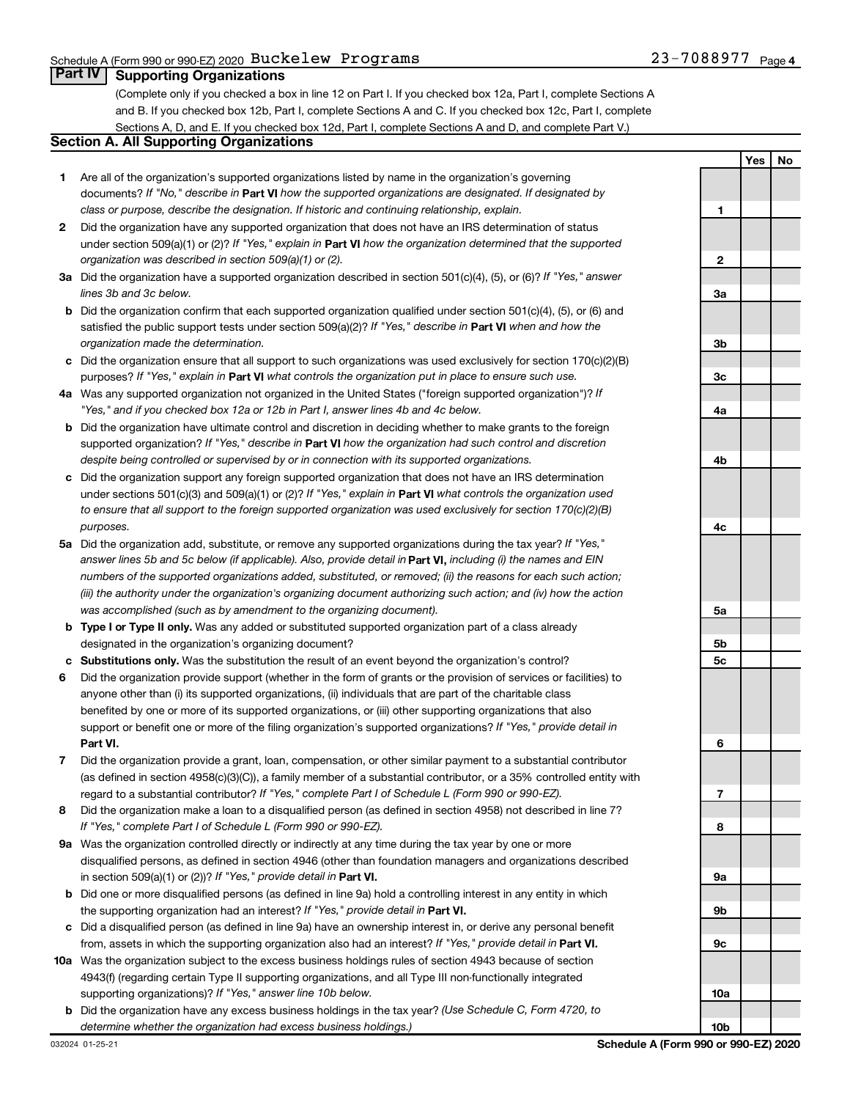### **Part IV Supporting Organizations**

(Complete only if you checked a box in line 12 on Part I. If you checked box 12a, Part I, complete Sections A and B. If you checked box 12b, Part I, complete Sections A and C. If you checked box 12c, Part I, complete Sections A, D, and E. If you checked box 12d, Part I, complete Sections A and D, and complete Part V.)

### **Section A. All Supporting Organizations**

- **1** Are all of the organization's supported organizations listed by name in the organization's governing documents? If "No," describe in Part VI how the supported organizations are designated. If designated by *class or purpose, describe the designation. If historic and continuing relationship, explain.*
- **2** Did the organization have any supported organization that does not have an IRS determination of status under section 509(a)(1) or (2)? If "Yes," explain in Part **VI** how the organization determined that the supported *organization was described in section 509(a)(1) or (2).*
- **3a** Did the organization have a supported organization described in section 501(c)(4), (5), or (6)? If "Yes," answer *lines 3b and 3c below.*
- **b** Did the organization confirm that each supported organization qualified under section 501(c)(4), (5), or (6) and satisfied the public support tests under section 509(a)(2)? If "Yes," describe in Part VI when and how the *organization made the determination.*
- **c** Did the organization ensure that all support to such organizations was used exclusively for section 170(c)(2)(B) purposes? If "Yes," explain in Part VI what controls the organization put in place to ensure such use.
- **4 a** *If* Was any supported organization not organized in the United States ("foreign supported organization")? *"Yes," and if you checked box 12a or 12b in Part I, answer lines 4b and 4c below.*
- **b** Did the organization have ultimate control and discretion in deciding whether to make grants to the foreign supported organization? If "Yes," describe in Part VI how the organization had such control and discretion *despite being controlled or supervised by or in connection with its supported organizations.*
- **c** Did the organization support any foreign supported organization that does not have an IRS determination under sections 501(c)(3) and 509(a)(1) or (2)? If "Yes," explain in Part VI what controls the organization used *to ensure that all support to the foreign supported organization was used exclusively for section 170(c)(2)(B) purposes.*
- **5a** Did the organization add, substitute, or remove any supported organizations during the tax year? If "Yes," answer lines 5b and 5c below (if applicable). Also, provide detail in **Part VI,** including (i) the names and EIN *numbers of the supported organizations added, substituted, or removed; (ii) the reasons for each such action; (iii) the authority under the organization's organizing document authorizing such action; and (iv) how the action was accomplished (such as by amendment to the organizing document).*
- **b** Type I or Type II only. Was any added or substituted supported organization part of a class already designated in the organization's organizing document?
- **c Substitutions only.**  Was the substitution the result of an event beyond the organization's control?
- **6** Did the organization provide support (whether in the form of grants or the provision of services or facilities) to **Part VI.** support or benefit one or more of the filing organization's supported organizations? If "Yes," provide detail in anyone other than (i) its supported organizations, (ii) individuals that are part of the charitable class benefited by one or more of its supported organizations, or (iii) other supporting organizations that also
- **7** Did the organization provide a grant, loan, compensation, or other similar payment to a substantial contributor regard to a substantial contributor? If "Yes," complete Part I of Schedule L (Form 990 or 990-EZ). (as defined in section 4958(c)(3)(C)), a family member of a substantial contributor, or a 35% controlled entity with
- **8** Did the organization make a loan to a disqualified person (as defined in section 4958) not described in line 7? *If "Yes," complete Part I of Schedule L (Form 990 or 990-EZ).*
- **9 a** Was the organization controlled directly or indirectly at any time during the tax year by one or more in section 509(a)(1) or (2))? If "Yes," provide detail in **Part VI.** disqualified persons, as defined in section 4946 (other than foundation managers and organizations described
- **b** Did one or more disqualified persons (as defined in line 9a) hold a controlling interest in any entity in which the supporting organization had an interest? If "Yes," provide detail in Part VI.
- **c** Did a disqualified person (as defined in line 9a) have an ownership interest in, or derive any personal benefit from, assets in which the supporting organization also had an interest? If "Yes," provide detail in Part VI.
- **10 a** Was the organization subject to the excess business holdings rules of section 4943 because of section supporting organizations)? If "Yes," answer line 10b below. 4943(f) (regarding certain Type II supporting organizations, and all Type III non-functionally integrated
	- **b** Did the organization have any excess business holdings in the tax year? (Use Schedule C, Form 4720, to *determine whether the organization had excess business holdings.)*

**Yes No 1 2 3a 3b 3c 4a 4b 4c 5a 5b 5c 6 7 8 9a 9b 9c 10a 10b**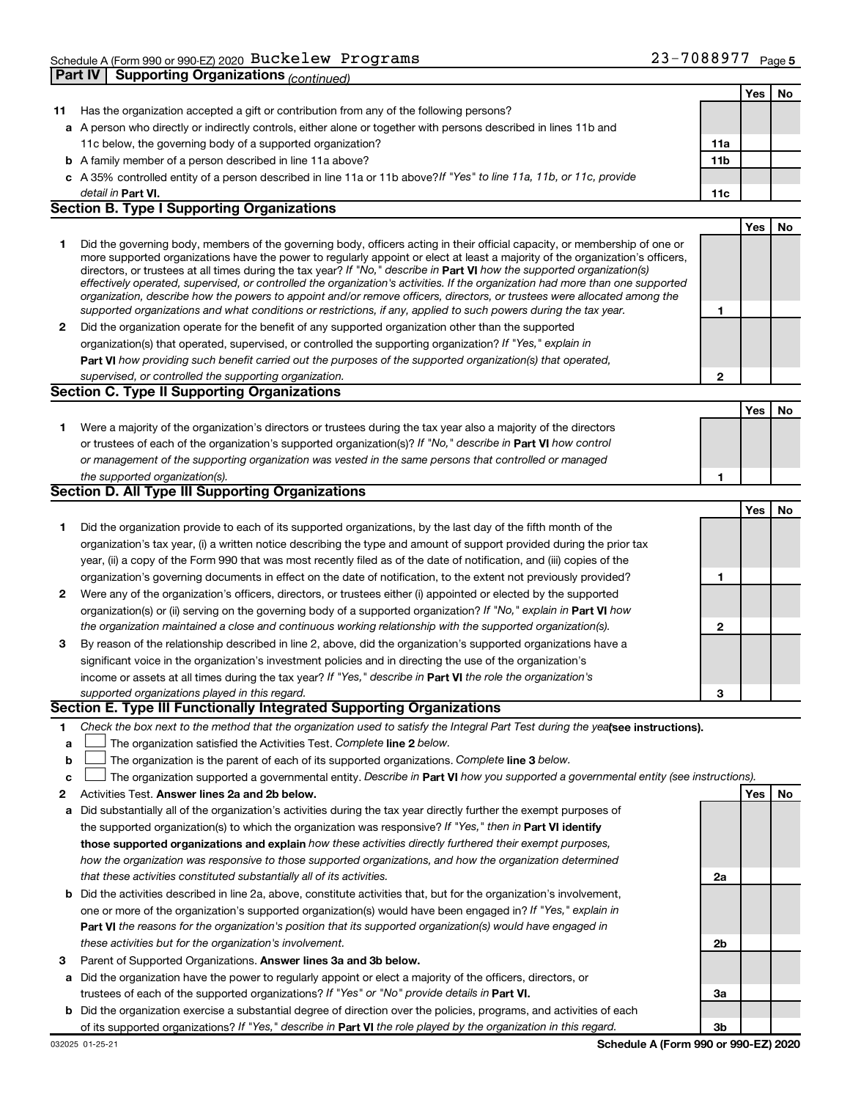|              |                                                                                                                                                                                                                                                            |     | Yes | No        |
|--------------|------------------------------------------------------------------------------------------------------------------------------------------------------------------------------------------------------------------------------------------------------------|-----|-----|-----------|
| 11           | Has the organization accepted a gift or contribution from any of the following persons?                                                                                                                                                                    |     |     |           |
|              | a A person who directly or indirectly controls, either alone or together with persons described in lines 11b and                                                                                                                                           |     |     |           |
|              | 11c below, the governing body of a supported organization?                                                                                                                                                                                                 | 11a |     |           |
|              | <b>b</b> A family member of a person described in line 11a above?                                                                                                                                                                                          | 11b |     |           |
|              | c A 35% controlled entity of a person described in line 11a or 11b above? If "Yes" to line 11a, 11b, or 11c, provide                                                                                                                                       |     |     |           |
|              | detail in <b>Part VI.</b>                                                                                                                                                                                                                                  | 11c |     |           |
|              | <b>Section B. Type I Supporting Organizations</b>                                                                                                                                                                                                          |     |     |           |
|              |                                                                                                                                                                                                                                                            |     | Yes | No        |
| 1            | Did the governing body, members of the governing body, officers acting in their official capacity, or membership of one or                                                                                                                                 |     |     |           |
|              | more supported organizations have the power to regularly appoint or elect at least a majority of the organization's officers,                                                                                                                              |     |     |           |
|              | directors, or trustees at all times during the tax year? If "No," describe in Part VI how the supported organization(s)                                                                                                                                    |     |     |           |
|              | effectively operated, supervised, or controlled the organization's activities. If the organization had more than one supported<br>organization, describe how the powers to appoint and/or remove officers, directors, or trustees were allocated among the |     |     |           |
|              | supported organizations and what conditions or restrictions, if any, applied to such powers during the tax year.                                                                                                                                           | 1   |     |           |
| $\mathbf{2}$ | Did the organization operate for the benefit of any supported organization other than the supported                                                                                                                                                        |     |     |           |
|              | organization(s) that operated, supervised, or controlled the supporting organization? If "Yes," explain in                                                                                                                                                 |     |     |           |
|              | Part VI how providing such benefit carried out the purposes of the supported organization(s) that operated,                                                                                                                                                |     |     |           |
|              | supervised, or controlled the supporting organization.                                                                                                                                                                                                     | 2   |     |           |
|              | Section C. Type II Supporting Organizations                                                                                                                                                                                                                |     |     |           |
|              |                                                                                                                                                                                                                                                            |     | Yes | <b>No</b> |
| 1.           | Were a majority of the organization's directors or trustees during the tax year also a majority of the directors                                                                                                                                           |     |     |           |
|              | or trustees of each of the organization's supported organization(s)? If "No," describe in Part VI how control                                                                                                                                              |     |     |           |
|              | or management of the supporting organization was vested in the same persons that controlled or managed                                                                                                                                                     |     |     |           |
|              | the supported organization(s).                                                                                                                                                                                                                             | 1   |     |           |
|              | Section D. All Type III Supporting Organizations                                                                                                                                                                                                           |     |     |           |
|              |                                                                                                                                                                                                                                                            |     | Yes | No        |
| 1.           | Did the organization provide to each of its supported organizations, by the last day of the fifth month of the                                                                                                                                             |     |     |           |
|              | organization's tax year, (i) a written notice describing the type and amount of support provided during the prior tax                                                                                                                                      |     |     |           |
|              | year, (ii) a copy of the Form 990 that was most recently filed as of the date of notification, and (iii) copies of the                                                                                                                                     |     |     |           |
|              | organization's governing documents in effect on the date of notification, to the extent not previously provided?                                                                                                                                           | 1   |     |           |
| $\mathbf{2}$ | Were any of the organization's officers, directors, or trustees either (i) appointed or elected by the supported                                                                                                                                           |     |     |           |
|              | organization(s) or (ii) serving on the governing body of a supported organization? If "No," explain in Part VI how                                                                                                                                         |     |     |           |
|              | the organization maintained a close and continuous working relationship with the supported organization(s).                                                                                                                                                | 2   |     |           |
| 3            | By reason of the relationship described in line 2, above, did the organization's supported organizations have a                                                                                                                                            |     |     |           |
|              | significant voice in the organization's investment policies and in directing the use of the organization's                                                                                                                                                 |     |     |           |
|              | income or assets at all times during the tax year? If "Yes," describe in Part VI the role the organization's                                                                                                                                               |     |     |           |
|              | supported organizations played in this regard.                                                                                                                                                                                                             | З   |     |           |
|              | Section E. Type III Functionally Integrated Supporting Organizations                                                                                                                                                                                       |     |     |           |
| 1            | Check the box next to the method that the organization used to satisfy the Integral Part Test during the yealsee instructions).                                                                                                                            |     |     |           |
| а            | The organization satisfied the Activities Test. Complete line 2 below.                                                                                                                                                                                     |     |     |           |
| b            | The organization is the parent of each of its supported organizations. Complete line 3 below.                                                                                                                                                              |     |     |           |
| c            | The organization supported a governmental entity. Describe in Part VI how you supported a governmental entity (see instructions).                                                                                                                          |     |     |           |
| 2            | Activities Test. Answer lines 2a and 2b below.                                                                                                                                                                                                             |     | Yes | No        |
| а            | Did substantially all of the organization's activities during the tax year directly further the exempt purposes of                                                                                                                                         |     |     |           |
|              | the supported organization(s) to which the organization was responsive? If "Yes," then in Part VI identify                                                                                                                                                 |     |     |           |
|              | those supported organizations and explain how these activities directly furthered their exempt purposes,                                                                                                                                                   |     |     |           |
|              | how the organization was responsive to those supported organizations, and how the organization determined                                                                                                                                                  |     |     |           |
|              | that these activities constituted substantially all of its activities.                                                                                                                                                                                     | 2a  |     |           |
|              | <b>b</b> Did the activities described in line 2a, above, constitute activities that, but for the organization's involvement,                                                                                                                               |     |     |           |
|              | one or more of the organization's supported organization(s) would have been engaged in? If "Yes," explain in                                                                                                                                               |     |     |           |
|              | <b>Part VI</b> the reasons for the organization's position that its supported organization(s) would have engaged in                                                                                                                                        |     |     |           |
|              | these activities but for the organization's involvement.                                                                                                                                                                                                   | 2b  |     |           |
| З            | Parent of Supported Organizations. Answer lines 3a and 3b below.                                                                                                                                                                                           |     |     |           |
|              | a Did the organization have the power to regularly appoint or elect a majority of the officers, directors, or                                                                                                                                              |     |     |           |
|              | trustees of each of the supported organizations? If "Yes" or "No" provide details in Part VI.                                                                                                                                                              | 3a  |     |           |

**b** Did the organization exercise a substantial degree of direction over the policies, programs, and activities of each of its supported organizations? If "Yes," describe in Part VI the role played by the organization in this regard.

**3b**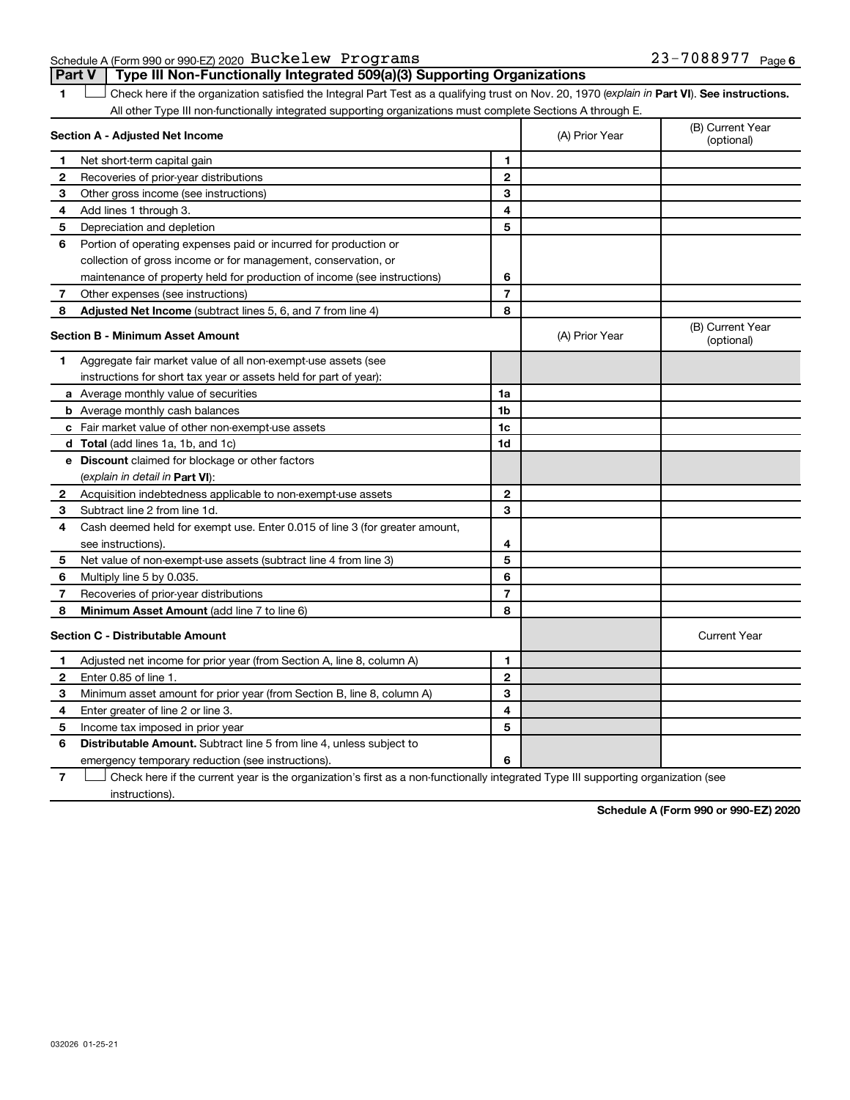Schedule A (Form 990 or 990-EZ) 2020  $\, {\rm Buckelew} \,$  <code>Programs</code>  $\, 23-7088977 \,$  <code>Page</code> **Part V Type III Non-Functionally Integrated 509(a)(3) Supporting Organizations** 

1 **Letter See instructions.** Check here if the organization satisfied the Integral Part Test as a qualifying trust on Nov. 20, 1970 (*explain in* Part **VI**). See instructions. All other Type III non-functionally integrated supporting organizations must complete Sections A through E.

|              | Section A - Adjusted Net Income                                             |                | (A) Prior Year | (B) Current Year<br>(optional) |
|--------------|-----------------------------------------------------------------------------|----------------|----------------|--------------------------------|
| 1            | Net short-term capital gain                                                 | 1              |                |                                |
| 2            | Recoveries of prior-year distributions                                      | $\mathbf{2}$   |                |                                |
| з            | Other gross income (see instructions)                                       | 3              |                |                                |
| 4            | Add lines 1 through 3.                                                      | 4              |                |                                |
| 5            | Depreciation and depletion                                                  | 5              |                |                                |
| 6            | Portion of operating expenses paid or incurred for production or            |                |                |                                |
|              | collection of gross income or for management, conservation, or              |                |                |                                |
|              | maintenance of property held for production of income (see instructions)    | 6              |                |                                |
| 7            | Other expenses (see instructions)                                           | $\overline{7}$ |                |                                |
| 8            | Adjusted Net Income (subtract lines 5, 6, and 7 from line 4)                | 8              |                |                                |
|              | <b>Section B - Minimum Asset Amount</b>                                     |                | (A) Prior Year | (B) Current Year<br>(optional) |
| 1.           | Aggregate fair market value of all non-exempt-use assets (see               |                |                |                                |
|              | instructions for short tax year or assets held for part of year):           |                |                |                                |
|              | a Average monthly value of securities                                       | 1a             |                |                                |
|              | <b>b</b> Average monthly cash balances                                      | 1b             |                |                                |
|              | c Fair market value of other non-exempt-use assets                          | 1c             |                |                                |
|              | <b>d</b> Total (add lines 1a, 1b, and 1c)                                   | 1d             |                |                                |
|              | e Discount claimed for blockage or other factors                            |                |                |                                |
|              | (explain in detail in <b>Part VI</b> ):                                     |                |                |                                |
| 2            | Acquisition indebtedness applicable to non-exempt-use assets                | $\mathbf{2}$   |                |                                |
| 3            | Subtract line 2 from line 1d.                                               | 3              |                |                                |
| 4            | Cash deemed held for exempt use. Enter 0.015 of line 3 (for greater amount, |                |                |                                |
|              | see instructions).                                                          | 4              |                |                                |
| 5            | Net value of non-exempt-use assets (subtract line 4 from line 3)            | 5              |                |                                |
| 6            | Multiply line 5 by 0.035.                                                   | 6              |                |                                |
| 7            | Recoveries of prior-year distributions                                      | $\overline{7}$ |                |                                |
| 8            | Minimum Asset Amount (add line 7 to line 6)                                 | 8              |                |                                |
|              | <b>Section C - Distributable Amount</b>                                     |                |                | <b>Current Year</b>            |
| 1            | Adjusted net income for prior year (from Section A, line 8, column A)       | 1              |                |                                |
| $\mathbf{2}$ | Enter 0.85 of line 1.                                                       | $\mathbf{2}$   |                |                                |
| 3            | Minimum asset amount for prior year (from Section B, line 8, column A)      | 3              |                |                                |
| 4            | Enter greater of line 2 or line 3.                                          | 4              |                |                                |
| 5            | Income tax imposed in prior year                                            | 5              |                |                                |
| 6            | <b>Distributable Amount.</b> Subtract line 5 from line 4, unless subject to |                |                |                                |
|              | emergency temporary reduction (see instructions).                           | 6              |                |                                |

**7** Let Check here if the current year is the organization's first as a non-functionally integrated Type III supporting organization (see instructions).

**Schedule A (Form 990 or 990-EZ) 2020**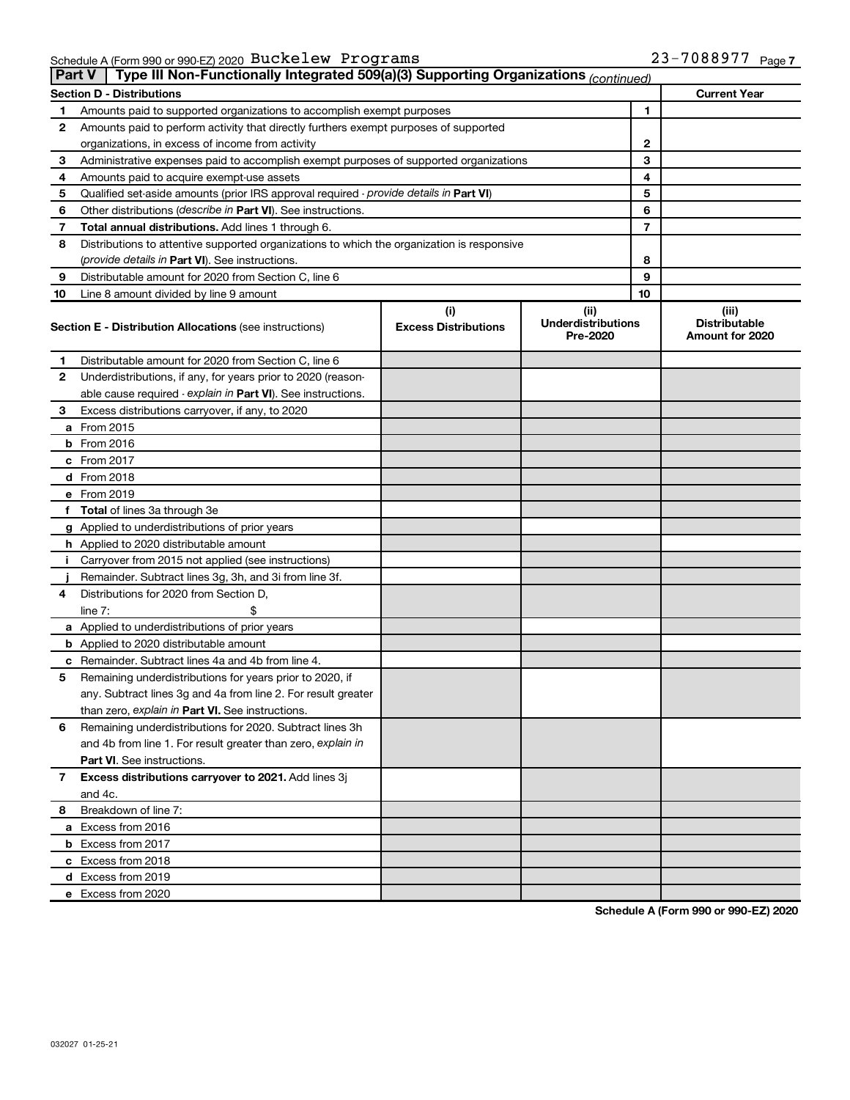Schedule A (Form 990 or 990-EZ) 2020 Page Buckelew Programs 23-7088977

|    | Type III Non-Functionally Integrated 509(a)(3) Supporting Organizations (continued)<br>Part V                             |                                    |                                               |                                                  |
|----|---------------------------------------------------------------------------------------------------------------------------|------------------------------------|-----------------------------------------------|--------------------------------------------------|
|    | <b>Section D - Distributions</b>                                                                                          |                                    |                                               | <b>Current Year</b>                              |
| 1  | Amounts paid to supported organizations to accomplish exempt purposes                                                     |                                    | 1                                             |                                                  |
| 2  | Amounts paid to perform activity that directly furthers exempt purposes of supported                                      |                                    |                                               |                                                  |
|    | organizations, in excess of income from activity                                                                          |                                    | 2                                             |                                                  |
| 3  | Administrative expenses paid to accomplish exempt purposes of supported organizations                                     |                                    | 3                                             |                                                  |
| 4  | Amounts paid to acquire exempt-use assets                                                                                 |                                    | 4                                             |                                                  |
| 5  | Qualified set-aside amounts (prior IRS approval required - provide details in Part VI)                                    |                                    | 5                                             |                                                  |
| 6  | Other distributions ( <i>describe in Part VI</i> ). See instructions.                                                     |                                    | 6                                             |                                                  |
| 7  | Total annual distributions. Add lines 1 through 6.                                                                        |                                    | 7                                             |                                                  |
| 8  | Distributions to attentive supported organizations to which the organization is responsive                                |                                    |                                               |                                                  |
|    | ( <i>provide details in Part VI</i> ). See instructions.                                                                  |                                    | 8                                             |                                                  |
| 9  | Distributable amount for 2020 from Section C, line 6                                                                      |                                    | 9                                             |                                                  |
| 10 | Line 8 amount divided by line 9 amount                                                                                    |                                    | 10                                            |                                                  |
|    | <b>Section E - Distribution Allocations (see instructions)</b>                                                            | (i)<br><b>Excess Distributions</b> | (ii)<br><b>Underdistributions</b><br>Pre-2020 | (iii)<br><b>Distributable</b><br>Amount for 2020 |
| 1  | Distributable amount for 2020 from Section C, line 6                                                                      |                                    |                                               |                                                  |
| 2  | Underdistributions, if any, for years prior to 2020 (reason-                                                              |                                    |                                               |                                                  |
|    | able cause required - explain in Part VI). See instructions.                                                              |                                    |                                               |                                                  |
| 3  | Excess distributions carryover, if any, to 2020                                                                           |                                    |                                               |                                                  |
|    | a From 2015                                                                                                               |                                    |                                               |                                                  |
|    | $b$ From 2016                                                                                                             |                                    |                                               |                                                  |
|    | c From 2017                                                                                                               |                                    |                                               |                                                  |
|    | <b>d</b> From 2018                                                                                                        |                                    |                                               |                                                  |
|    | e From 2019                                                                                                               |                                    |                                               |                                                  |
|    | f Total of lines 3a through 3e                                                                                            |                                    |                                               |                                                  |
|    | g Applied to underdistributions of prior years                                                                            |                                    |                                               |                                                  |
|    | h Applied to 2020 distributable amount                                                                                    |                                    |                                               |                                                  |
| Ť. | Carryover from 2015 not applied (see instructions)                                                                        |                                    |                                               |                                                  |
|    | Remainder. Subtract lines 3g, 3h, and 3i from line 3f.                                                                    |                                    |                                               |                                                  |
| 4  | Distributions for 2020 from Section D,                                                                                    |                                    |                                               |                                                  |
|    | line $7:$                                                                                                                 |                                    |                                               |                                                  |
|    | a Applied to underdistributions of prior years                                                                            |                                    |                                               |                                                  |
|    | <b>b</b> Applied to 2020 distributable amount                                                                             |                                    |                                               |                                                  |
|    | c Remainder. Subtract lines 4a and 4b from line 4.                                                                        |                                    |                                               |                                                  |
| 5  | Remaining underdistributions for years prior to 2020, if<br>any. Subtract lines 3g and 4a from line 2. For result greater |                                    |                                               |                                                  |
|    | than zero, explain in Part VI. See instructions.                                                                          |                                    |                                               |                                                  |
| 6  | Remaining underdistributions for 2020. Subtract lines 3h                                                                  |                                    |                                               |                                                  |
|    | and 4b from line 1. For result greater than zero, explain in                                                              |                                    |                                               |                                                  |
|    | <b>Part VI.</b> See instructions.                                                                                         |                                    |                                               |                                                  |
| 7  | Excess distributions carryover to 2021. Add lines 3j                                                                      |                                    |                                               |                                                  |
|    | and 4c.                                                                                                                   |                                    |                                               |                                                  |
| 8  | Breakdown of line 7:                                                                                                      |                                    |                                               |                                                  |
|    | a Excess from 2016                                                                                                        |                                    |                                               |                                                  |
|    | <b>b</b> Excess from 2017                                                                                                 |                                    |                                               |                                                  |
|    | c Excess from 2018                                                                                                        |                                    |                                               |                                                  |
|    | d Excess from 2019                                                                                                        |                                    |                                               |                                                  |
|    | e Excess from 2020                                                                                                        |                                    |                                               |                                                  |

**Schedule A (Form 990 or 990-EZ) 2020**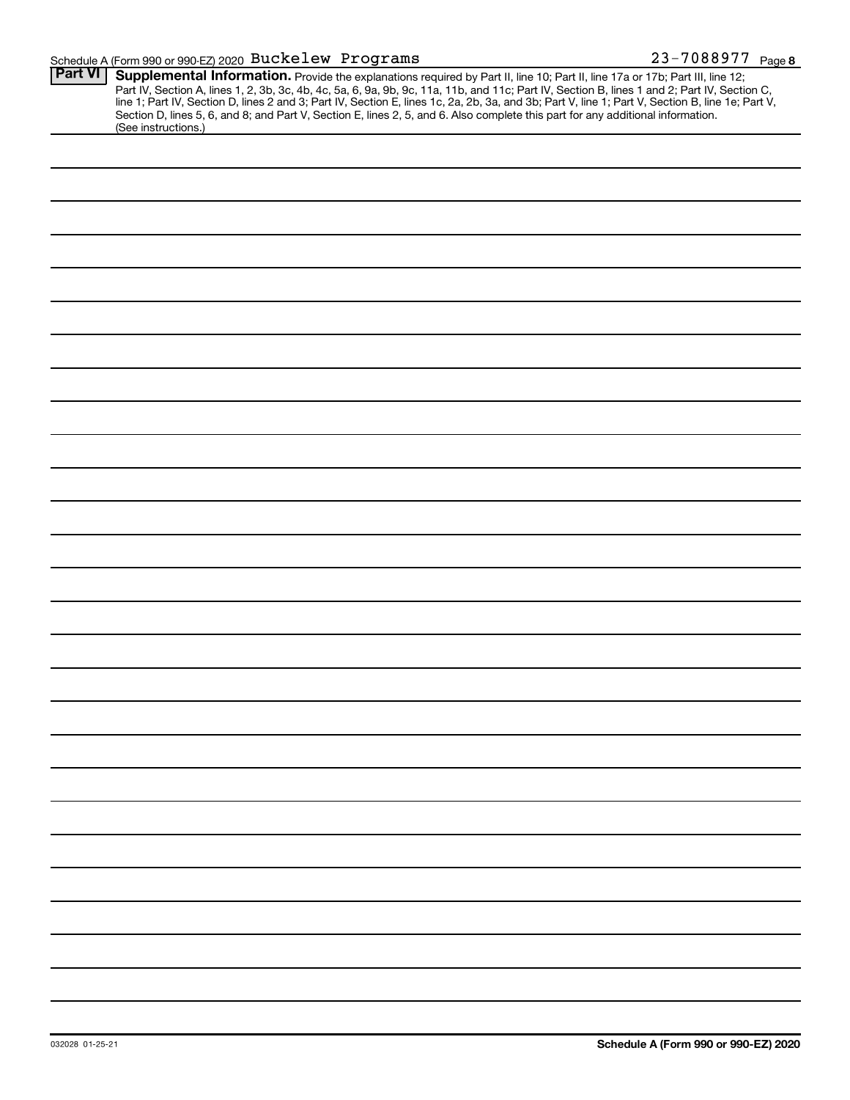### Schedule A (Form 990 or 990-EZ) 2020  $\, {\rm Buckelew} \,$  <code>Programs</code>  $\, 23-7088977 \,$  <code>Page</code>

| <b>Part VI</b> |                                                                                                                                                                                                                                                                                                                                                                                                                                                                                                                                                                      |
|----------------|----------------------------------------------------------------------------------------------------------------------------------------------------------------------------------------------------------------------------------------------------------------------------------------------------------------------------------------------------------------------------------------------------------------------------------------------------------------------------------------------------------------------------------------------------------------------|
|                | Supplemental Information. Provide the explanations required by Part II, line 10; Part II, line 17a or 17b; Part III, line 12;<br>Part IV, Section A, lines 1, 2, 3b, 3c, 4b, 4c, 5a, 6, 9a, 9b, 9c, 11a, 11b, and 11c; Part IV, Section B, lines 1 and 2; Part IV, Section C,<br>line 1; Part IV, Section D, lines 2 and 3; Part IV, Section E, lines 1c, 2a, 2b, 3a, and 3b; Part V, line 1; Part V, Section B, line 1e; Part V,<br>Section D, lines 5, 6, and 8; and Part V, Section E, lines 2, 5, and 6. Also complete this part for any additional information. |
|                | (See instructions.)                                                                                                                                                                                                                                                                                                                                                                                                                                                                                                                                                  |
|                |                                                                                                                                                                                                                                                                                                                                                                                                                                                                                                                                                                      |
|                |                                                                                                                                                                                                                                                                                                                                                                                                                                                                                                                                                                      |
|                |                                                                                                                                                                                                                                                                                                                                                                                                                                                                                                                                                                      |
|                |                                                                                                                                                                                                                                                                                                                                                                                                                                                                                                                                                                      |
|                |                                                                                                                                                                                                                                                                                                                                                                                                                                                                                                                                                                      |
|                |                                                                                                                                                                                                                                                                                                                                                                                                                                                                                                                                                                      |
|                |                                                                                                                                                                                                                                                                                                                                                                                                                                                                                                                                                                      |
|                |                                                                                                                                                                                                                                                                                                                                                                                                                                                                                                                                                                      |
|                |                                                                                                                                                                                                                                                                                                                                                                                                                                                                                                                                                                      |
|                |                                                                                                                                                                                                                                                                                                                                                                                                                                                                                                                                                                      |
|                |                                                                                                                                                                                                                                                                                                                                                                                                                                                                                                                                                                      |
|                |                                                                                                                                                                                                                                                                                                                                                                                                                                                                                                                                                                      |
|                |                                                                                                                                                                                                                                                                                                                                                                                                                                                                                                                                                                      |
|                |                                                                                                                                                                                                                                                                                                                                                                                                                                                                                                                                                                      |
|                |                                                                                                                                                                                                                                                                                                                                                                                                                                                                                                                                                                      |
|                |                                                                                                                                                                                                                                                                                                                                                                                                                                                                                                                                                                      |
|                |                                                                                                                                                                                                                                                                                                                                                                                                                                                                                                                                                                      |
|                |                                                                                                                                                                                                                                                                                                                                                                                                                                                                                                                                                                      |
|                |                                                                                                                                                                                                                                                                                                                                                                                                                                                                                                                                                                      |
|                |                                                                                                                                                                                                                                                                                                                                                                                                                                                                                                                                                                      |
|                |                                                                                                                                                                                                                                                                                                                                                                                                                                                                                                                                                                      |
|                |                                                                                                                                                                                                                                                                                                                                                                                                                                                                                                                                                                      |
|                |                                                                                                                                                                                                                                                                                                                                                                                                                                                                                                                                                                      |
|                |                                                                                                                                                                                                                                                                                                                                                                                                                                                                                                                                                                      |
|                |                                                                                                                                                                                                                                                                                                                                                                                                                                                                                                                                                                      |
|                |                                                                                                                                                                                                                                                                                                                                                                                                                                                                                                                                                                      |
|                |                                                                                                                                                                                                                                                                                                                                                                                                                                                                                                                                                                      |
|                |                                                                                                                                                                                                                                                                                                                                                                                                                                                                                                                                                                      |
|                |                                                                                                                                                                                                                                                                                                                                                                                                                                                                                                                                                                      |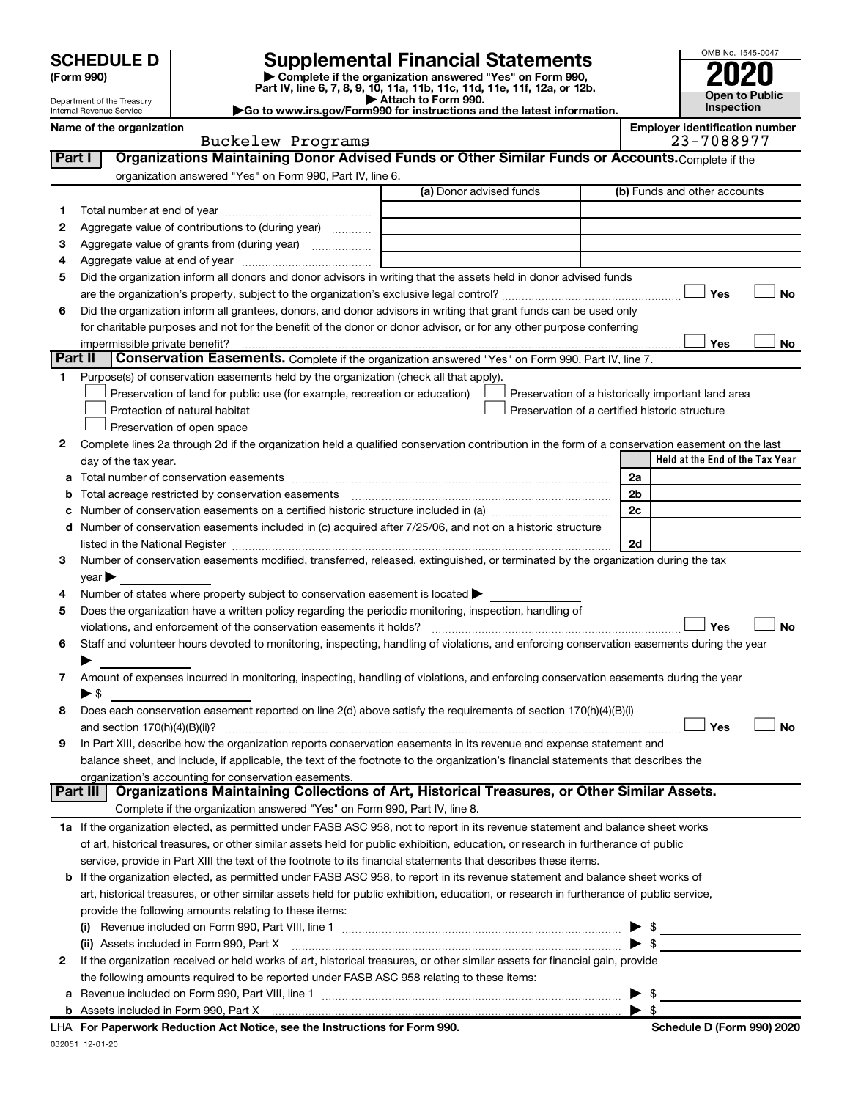| <b>SCHEDULE D</b> |  |
|-------------------|--|
|-------------------|--|

# **SCHEDULE D Supplemental Financial Statements**<br> **Form 990 2020**<br> **Part IV** line 6.7.8.9.10, 11a, 11b, 11d, 11d, 11d, 11d, 11d, 12a, 0r, 12b

**(Form 990) | Complete if the organization answered "Yes" on Form 990, Part IV, line 6, 7, 8, 9, 10, 11a, 11b, 11c, 11d, 11e, 11f, 12a, or 12b.**

**| Attach to Form 990. |Go to www.irs.gov/Form990 for instructions and the latest information.**



Department of the Treasury Internal Revenue Service

| Name of the organization | <b>Emplover identification number</b> |
|--------------------------|---------------------------------------|
| Buckelew Programs        | 23-7088977                            |

|        | Buckelew Programs                                                                                                                              | 23-7088977                                         |
|--------|------------------------------------------------------------------------------------------------------------------------------------------------|----------------------------------------------------|
| Part I | Organizations Maintaining Donor Advised Funds or Other Similar Funds or Accounts. Complete if the                                              |                                                    |
|        | organization answered "Yes" on Form 990, Part IV, line 6.                                                                                      |                                                    |
|        | (a) Donor advised funds                                                                                                                        | (b) Funds and other accounts                       |
| 1      |                                                                                                                                                |                                                    |
| 2      | Aggregate value of contributions to (during year)                                                                                              |                                                    |
| з      | Aggregate value of grants from (during year)                                                                                                   |                                                    |
| 4      |                                                                                                                                                |                                                    |
| 5      | Did the organization inform all donors and donor advisors in writing that the assets held in donor advised funds                               |                                                    |
|        |                                                                                                                                                | Yes<br>No                                          |
| 6      | Did the organization inform all grantees, donors, and donor advisors in writing that grant funds can be used only                              |                                                    |
|        | for charitable purposes and not for the benefit of the donor or donor advisor, or for any other purpose conferring                             |                                                    |
|        | impermissible private benefit?                                                                                                                 | Yes<br>No                                          |
|        | Part II<br>Conservation Easements. Complete if the organization answered "Yes" on Form 990, Part IV, line 7.                                   |                                                    |
| 1.     | Purpose(s) of conservation easements held by the organization (check all that apply).                                                          |                                                    |
|        | Preservation of land for public use (for example, recreation or education)                                                                     | Preservation of a historically important land area |
|        | Protection of natural habitat                                                                                                                  | Preservation of a certified historic structure     |
|        | Preservation of open space                                                                                                                     |                                                    |
| 2      | Complete lines 2a through 2d if the organization held a qualified conservation contribution in the form of a conservation easement on the last |                                                    |
|        | day of the tax year.                                                                                                                           | Held at the End of the Tax Year                    |
|        |                                                                                                                                                | 2a                                                 |
|        | Total acreage restricted by conservation easements                                                                                             | 2b                                                 |
|        |                                                                                                                                                | 2c                                                 |
|        | d Number of conservation easements included in (c) acquired after 7/25/06, and not on a historic structure                                     |                                                    |
|        | listed in the National Register [111] [12] The Manual Manual Manual Manual Manual Manual Manual Manual Manual                                  | 2d                                                 |
| з      | Number of conservation easements modified, transferred, released, extinguished, or terminated by the organization during the tax               |                                                    |
|        | $year \triangleright$                                                                                                                          |                                                    |
| 4      | Number of states where property subject to conservation easement is located >                                                                  |                                                    |
| 5      | Does the organization have a written policy regarding the periodic monitoring, inspection, handling of                                         |                                                    |
|        | violations, and enforcement of the conservation easements it holds?                                                                            | Yes<br>No                                          |
| 6      | Staff and volunteer hours devoted to monitoring, inspecting, handling of violations, and enforcing conservation easements during the year      |                                                    |
|        |                                                                                                                                                |                                                    |
| 7      | Amount of expenses incurred in monitoring, inspecting, handling of violations, and enforcing conservation easements during the year            |                                                    |
|        | ▶ \$                                                                                                                                           |                                                    |
| 8      | Does each conservation easement reported on line 2(d) above satisfy the requirements of section 170(h)(4)(B)(i)                                |                                                    |
|        |                                                                                                                                                | Yes<br>No                                          |
| 9      | In Part XIII, describe how the organization reports conservation easements in its revenue and expense statement and                            |                                                    |
|        | balance sheet, and include, if applicable, the text of the footnote to the organization's financial statements that describes the              |                                                    |
|        | organization's accounting for conservation easements.                                                                                          |                                                    |
|        | Organizations Maintaining Collections of Art, Historical Treasures, or Other Similar Assets.<br>Part III                                       |                                                    |
|        | Complete if the organization answered "Yes" on Form 990, Part IV, line 8.                                                                      |                                                    |
|        | 1a If the organization elected, as permitted under FASB ASC 958, not to report in its revenue statement and balance sheet works                |                                                    |
|        | of art, historical treasures, or other similar assets held for public exhibition, education, or research in furtherance of public              |                                                    |
|        | service, provide in Part XIII the text of the footnote to its financial statements that describes these items.                                 |                                                    |
|        | b If the organization elected, as permitted under FASB ASC 958, to report in its revenue statement and balance sheet works of                  |                                                    |
|        | art, historical treasures, or other similar assets held for public exhibition, education, or research in furtherance of public service,        |                                                    |
|        | provide the following amounts relating to these items:                                                                                         |                                                    |
|        |                                                                                                                                                | -\$                                                |
|        | (ii) Assets included in Form 990, Part X                                                                                                       | $\blacktriangleright$ s                            |
| 2      | If the organization received or held works of art, historical treasures, or other similar assets for financial gain, provide                   |                                                    |
|        | the following amounts required to be reported under FASB ASC 958 relating to these items:                                                      |                                                    |
|        |                                                                                                                                                | -\$                                                |
|        |                                                                                                                                                | $\blacktriangleright$ s                            |

| Schedule D (Form 990) 2020 |  |  |
|----------------------------|--|--|
|                            |  |  |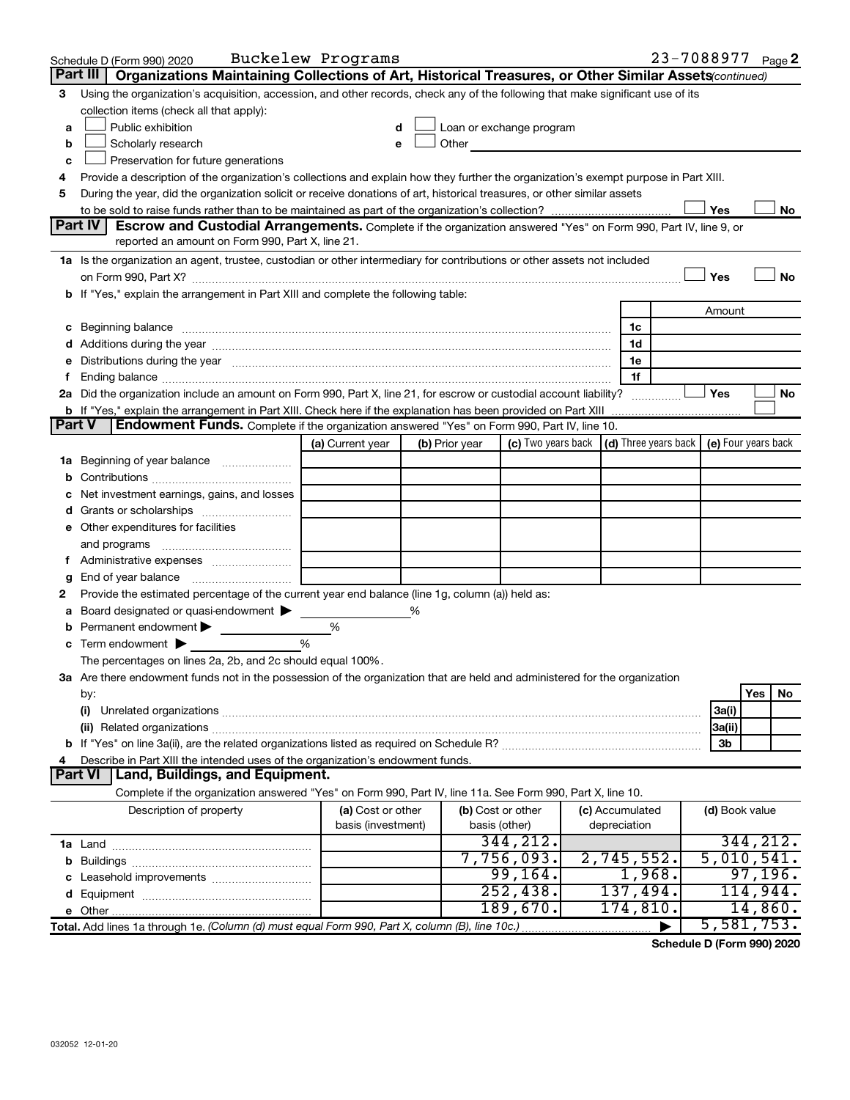|        | Schedule D (Form 990) 2020                                                                                                                                                                                                     | Buckelew Programs  |   |                |                                                                                                                                                                                                                               |                 |   |                | 23-7088977 Page 2 |
|--------|--------------------------------------------------------------------------------------------------------------------------------------------------------------------------------------------------------------------------------|--------------------|---|----------------|-------------------------------------------------------------------------------------------------------------------------------------------------------------------------------------------------------------------------------|-----------------|---|----------------|-------------------|
|        | Part III   Organizations Maintaining Collections of Art, Historical Treasures, or Other Similar Assets(continued)                                                                                                              |                    |   |                |                                                                                                                                                                                                                               |                 |   |                |                   |
| 3      | Using the organization's acquisition, accession, and other records, check any of the following that make significant use of its                                                                                                |                    |   |                |                                                                                                                                                                                                                               |                 |   |                |                   |
|        | collection items (check all that apply):                                                                                                                                                                                       |                    |   |                |                                                                                                                                                                                                                               |                 |   |                |                   |
| a      | Public exhibition                                                                                                                                                                                                              | d                  |   |                | Loan or exchange program                                                                                                                                                                                                      |                 |   |                |                   |
| b      | Scholarly research                                                                                                                                                                                                             | e                  |   |                | Other and the contract of the contract of the contract of the contract of the contract of the contract of the contract of the contract of the contract of the contract of the contract of the contract of the contract of the |                 |   |                |                   |
| с      | Preservation for future generations                                                                                                                                                                                            |                    |   |                |                                                                                                                                                                                                                               |                 |   |                |                   |
|        | Provide a description of the organization's collections and explain how they further the organization's exempt purpose in Part XIII.                                                                                           |                    |   |                |                                                                                                                                                                                                                               |                 |   |                |                   |
| 5      | During the year, did the organization solicit or receive donations of art, historical treasures, or other similar assets                                                                                                       |                    |   |                |                                                                                                                                                                                                                               |                 |   |                |                   |
|        |                                                                                                                                                                                                                                |                    |   |                |                                                                                                                                                                                                                               |                 |   | Yes            | No                |
|        | <b>Part IV</b><br><b>Escrow and Custodial Arrangements.</b> Complete if the organization answered "Yes" on Form 990, Part IV, line 9, or                                                                                       |                    |   |                |                                                                                                                                                                                                                               |                 |   |                |                   |
|        | reported an amount on Form 990, Part X, line 21.                                                                                                                                                                               |                    |   |                |                                                                                                                                                                                                                               |                 |   |                |                   |
|        | 1a Is the organization an agent, trustee, custodian or other intermediary for contributions or other assets not included                                                                                                       |                    |   |                |                                                                                                                                                                                                                               |                 |   |                |                   |
|        |                                                                                                                                                                                                                                |                    |   |                |                                                                                                                                                                                                                               |                 |   | Yes            | No                |
|        | b If "Yes," explain the arrangement in Part XIII and complete the following table:                                                                                                                                             |                    |   |                |                                                                                                                                                                                                                               |                 |   |                |                   |
|        |                                                                                                                                                                                                                                |                    |   |                |                                                                                                                                                                                                                               |                 |   | Amount         |                   |
|        | c Beginning balance measurements and the contract of the contract of the contract of the contract of the contract of the contract of the contract of the contract of the contract of the contract of the contract of the contr |                    |   |                |                                                                                                                                                                                                                               | 1c              |   |                |                   |
|        |                                                                                                                                                                                                                                |                    |   |                |                                                                                                                                                                                                                               | 1d              |   |                |                   |
|        | e Distributions during the year manufactured and contain an account of the year manufactured and the year manufactured and the year manufactured and the year manufactured and the year manufactured and the year manufactured |                    |   |                |                                                                                                                                                                                                                               | 1e              |   |                |                   |
|        |                                                                                                                                                                                                                                |                    |   |                |                                                                                                                                                                                                                               | 1f              |   |                |                   |
|        | 2a Did the organization include an amount on Form 990, Part X, line 21, for escrow or custodial account liability?                                                                                                             |                    |   |                |                                                                                                                                                                                                                               |                 | . | ∣ Yes          | No                |
|        | <b>b</b> If "Yes," explain the arrangement in Part XIII. Check here if the explanation has been provided on Part XIII                                                                                                          |                    |   |                |                                                                                                                                                                                                                               |                 |   |                |                   |
| Part V | Endowment Funds. Complete if the organization answered "Yes" on Form 990, Part IV, line 10.                                                                                                                                    |                    |   |                |                                                                                                                                                                                                                               |                 |   |                |                   |
|        |                                                                                                                                                                                                                                | (a) Current year   |   | (b) Prior year | (c) Two years back $\vert$ (d) Three years back $\vert$ (e) Four years back                                                                                                                                                   |                 |   |                |                   |
| ٦а     | Beginning of year balance                                                                                                                                                                                                      |                    |   |                |                                                                                                                                                                                                                               |                 |   |                |                   |
|        |                                                                                                                                                                                                                                |                    |   |                |                                                                                                                                                                                                                               |                 |   |                |                   |
|        | Net investment earnings, gains, and losses                                                                                                                                                                                     |                    |   |                |                                                                                                                                                                                                                               |                 |   |                |                   |
|        | Grants or scholarships                                                                                                                                                                                                         |                    |   |                |                                                                                                                                                                                                                               |                 |   |                |                   |
|        | e Other expenditures for facilities                                                                                                                                                                                            |                    |   |                |                                                                                                                                                                                                                               |                 |   |                |                   |
|        |                                                                                                                                                                                                                                |                    |   |                |                                                                                                                                                                                                                               |                 |   |                |                   |
|        |                                                                                                                                                                                                                                |                    |   |                |                                                                                                                                                                                                                               |                 |   |                |                   |
| g      | Provide the estimated percentage of the current year end balance (line 1g, column (a)) held as:                                                                                                                                |                    |   |                |                                                                                                                                                                                                                               |                 |   |                |                   |
| 2      |                                                                                                                                                                                                                                |                    |   |                |                                                                                                                                                                                                                               |                 |   |                |                   |
| а      | Board designated or quasi-endowment<br>Permanent endowment                                                                                                                                                                     | %                  | % |                |                                                                                                                                                                                                                               |                 |   |                |                   |
|        | Term endowment $\blacktriangleright$                                                                                                                                                                                           | $\frac{0}{0}$      |   |                |                                                                                                                                                                                                                               |                 |   |                |                   |
|        | The percentages on lines 2a, 2b, and 2c should equal 100%.                                                                                                                                                                     |                    |   |                |                                                                                                                                                                                                                               |                 |   |                |                   |
|        | 3a Are there endowment funds not in the possession of the organization that are held and administered for the organization                                                                                                     |                    |   |                |                                                                                                                                                                                                                               |                 |   |                |                   |
|        | by:                                                                                                                                                                                                                            |                    |   |                |                                                                                                                                                                                                                               |                 |   |                | Yes<br>No         |
|        | (i)                                                                                                                                                                                                                            |                    |   |                |                                                                                                                                                                                                                               |                 |   | 3a(i)          |                   |
|        |                                                                                                                                                                                                                                |                    |   |                |                                                                                                                                                                                                                               |                 |   | 3a(ii)         |                   |
|        |                                                                                                                                                                                                                                |                    |   |                |                                                                                                                                                                                                                               |                 |   | 3b             |                   |
|        | Describe in Part XIII the intended uses of the organization's endowment funds.                                                                                                                                                 |                    |   |                |                                                                                                                                                                                                                               |                 |   |                |                   |
|        | Land, Buildings, and Equipment.<br><b>Part VI</b>                                                                                                                                                                              |                    |   |                |                                                                                                                                                                                                                               |                 |   |                |                   |
|        | Complete if the organization answered "Yes" on Form 990, Part IV, line 11a. See Form 990, Part X, line 10.                                                                                                                     |                    |   |                |                                                                                                                                                                                                                               |                 |   |                |                   |
|        | Description of property                                                                                                                                                                                                        | (a) Cost or other  |   |                | (b) Cost or other                                                                                                                                                                                                             | (c) Accumulated |   | (d) Book value |                   |
|        |                                                                                                                                                                                                                                | basis (investment) |   |                | basis (other)                                                                                                                                                                                                                 | depreciation    |   |                |                   |
|        |                                                                                                                                                                                                                                |                    |   |                | 344,212.                                                                                                                                                                                                                      |                 |   |                | 344, 212.         |
|        |                                                                                                                                                                                                                                |                    |   |                | 7,756,093.                                                                                                                                                                                                                    | 2,745,552.      |   |                | 5,010,541.        |
|        |                                                                                                                                                                                                                                |                    |   |                | 99, 164.                                                                                                                                                                                                                      | 1,968.          |   |                | 97,196.           |
|        |                                                                                                                                                                                                                                |                    |   |                | 252, 438.                                                                                                                                                                                                                     | 137,494.        |   |                | 114,944.          |
|        |                                                                                                                                                                                                                                |                    |   |                | 189,670.                                                                                                                                                                                                                      | 174,810.        |   |                | 14,860.           |
|        | Total. Add lines 1a through 1e. (Column (d) must equal Form 990, Part X, column (B), line 10c.)                                                                                                                                |                    |   |                |                                                                                                                                                                                                                               |                 |   |                | 5,581,753.        |

**Schedule D (Form 990) 2020**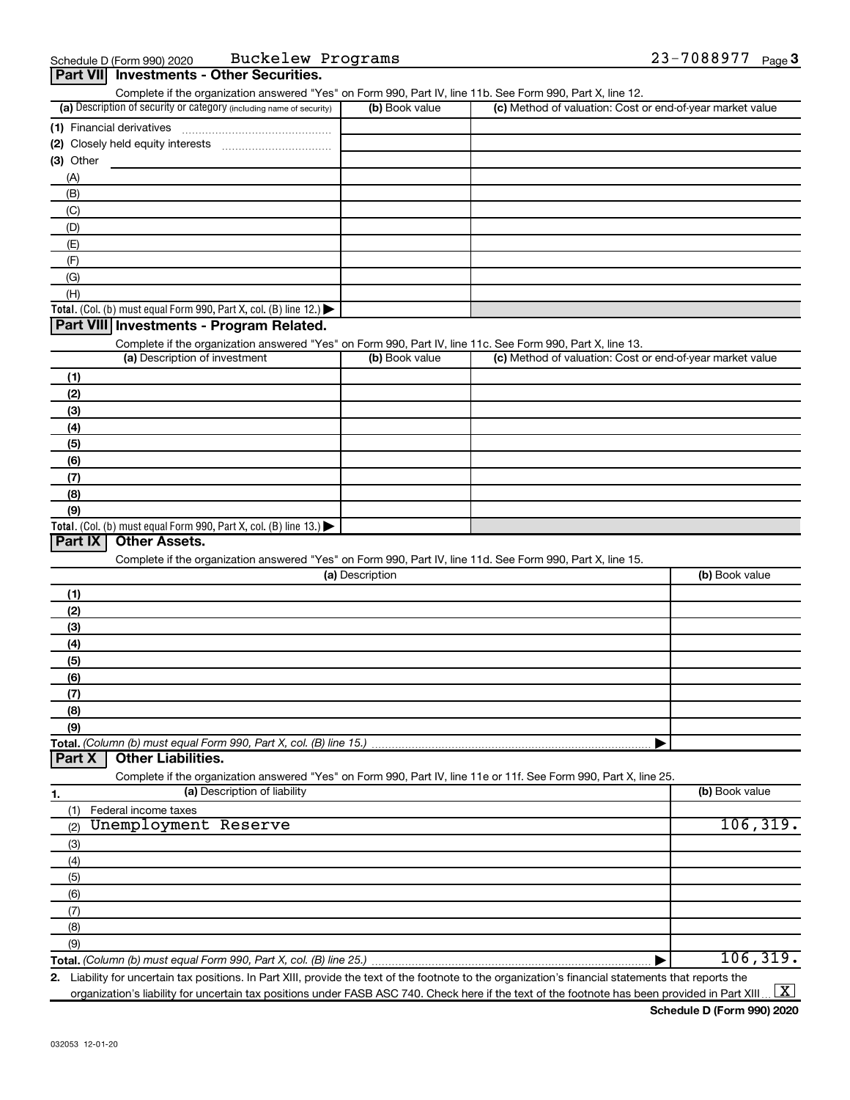| Part VII Investments - Other Securities.                                                                                                                                           |                 |                                                           |                |
|------------------------------------------------------------------------------------------------------------------------------------------------------------------------------------|-----------------|-----------------------------------------------------------|----------------|
| Complete if the organization answered "Yes" on Form 990, Part IV, line 11b. See Form 990, Part X, line 12.<br>(a) Description of security or category (including name of security) | (b) Book value  | (c) Method of valuation: Cost or end-of-year market value |                |
|                                                                                                                                                                                    |                 |                                                           |                |
|                                                                                                                                                                                    |                 |                                                           |                |
| $(3)$ Other                                                                                                                                                                        |                 |                                                           |                |
| (A)                                                                                                                                                                                |                 |                                                           |                |
| (B)                                                                                                                                                                                |                 |                                                           |                |
| (C)                                                                                                                                                                                |                 |                                                           |                |
| (D)                                                                                                                                                                                |                 |                                                           |                |
| (E)                                                                                                                                                                                |                 |                                                           |                |
| (F)                                                                                                                                                                                |                 |                                                           |                |
| (G)                                                                                                                                                                                |                 |                                                           |                |
| (H)                                                                                                                                                                                |                 |                                                           |                |
| Total. (Col. (b) must equal Form 990, Part X, col. (B) line 12.) $\blacktriangleright$                                                                                             |                 |                                                           |                |
| Part VIII Investments - Program Related.                                                                                                                                           |                 |                                                           |                |
| Complete if the organization answered "Yes" on Form 990, Part IV, line 11c. See Form 990, Part X, line 13.                                                                         |                 |                                                           |                |
| (a) Description of investment                                                                                                                                                      | (b) Book value  | (c) Method of valuation: Cost or end-of-year market value |                |
| (1)                                                                                                                                                                                |                 |                                                           |                |
| (2)                                                                                                                                                                                |                 |                                                           |                |
| (3)                                                                                                                                                                                |                 |                                                           |                |
| (4)                                                                                                                                                                                |                 |                                                           |                |
| (5)                                                                                                                                                                                |                 |                                                           |                |
| (6)                                                                                                                                                                                |                 |                                                           |                |
| (7)                                                                                                                                                                                |                 |                                                           |                |
| (8)                                                                                                                                                                                |                 |                                                           |                |
| (9)                                                                                                                                                                                |                 |                                                           |                |
| Total. (Col. (b) must equal Form 990, Part X, col. (B) line 13.) $\blacktriangleright$<br>Part IX<br><b>Other Assets.</b>                                                          |                 |                                                           |                |
|                                                                                                                                                                                    |                 |                                                           |                |
| Complete if the organization answered "Yes" on Form 990, Part IV, line 11d. See Form 990, Part X, line 15.                                                                         | (a) Description |                                                           | (b) Book value |
|                                                                                                                                                                                    |                 |                                                           |                |
| (1)<br>(2)                                                                                                                                                                         |                 |                                                           |                |
| (3)                                                                                                                                                                                |                 |                                                           |                |
| (4)                                                                                                                                                                                |                 |                                                           |                |
| (5)                                                                                                                                                                                |                 |                                                           |                |
| (6)                                                                                                                                                                                |                 |                                                           |                |
| (7)                                                                                                                                                                                |                 |                                                           |                |
| (8)                                                                                                                                                                                |                 |                                                           |                |
| (9)                                                                                                                                                                                |                 |                                                           |                |
| Total. (Column (b) must equal Form 990, Part X, col. (B) line 15.)                                                                                                                 |                 | ▶                                                         |                |
| <b>Other Liabilities.</b><br>Part X                                                                                                                                                |                 |                                                           |                |
| Complete if the organization answered "Yes" on Form 990, Part IV, line 11e or 11f. See Form 990, Part X, line 25.                                                                  |                 |                                                           |                |
| (a) Description of liability<br>1.                                                                                                                                                 |                 |                                                           | (b) Book value |
| Federal income taxes<br>(1)                                                                                                                                                        |                 |                                                           |                |
| Unemployment Reserve<br>(2)                                                                                                                                                        |                 |                                                           | 106, 319.      |
| (3)                                                                                                                                                                                |                 |                                                           |                |
| (4)                                                                                                                                                                                |                 |                                                           |                |
| (5)                                                                                                                                                                                |                 |                                                           |                |
| (6)                                                                                                                                                                                |                 |                                                           |                |
| (7)                                                                                                                                                                                |                 |                                                           |                |
| (8)                                                                                                                                                                                |                 |                                                           |                |
| (9)                                                                                                                                                                                |                 |                                                           |                |
| Total. (Column (b) must equal Form 990, Part X, col. (B) line 25.)                                                                                                                 |                 | ▶                                                         | 106, 319.      |

**2.** Liability for uncertain tax positions. In Part XIII, provide the text of the footnote to the organization's financial statements that reports the organization's liability for uncertain tax positions under FASB ASC 740. Check here if the text of the footnote has been provided in Part XIII ...  $\fbox{\bf X}$ 

**Schedule D (Form 990) 2020**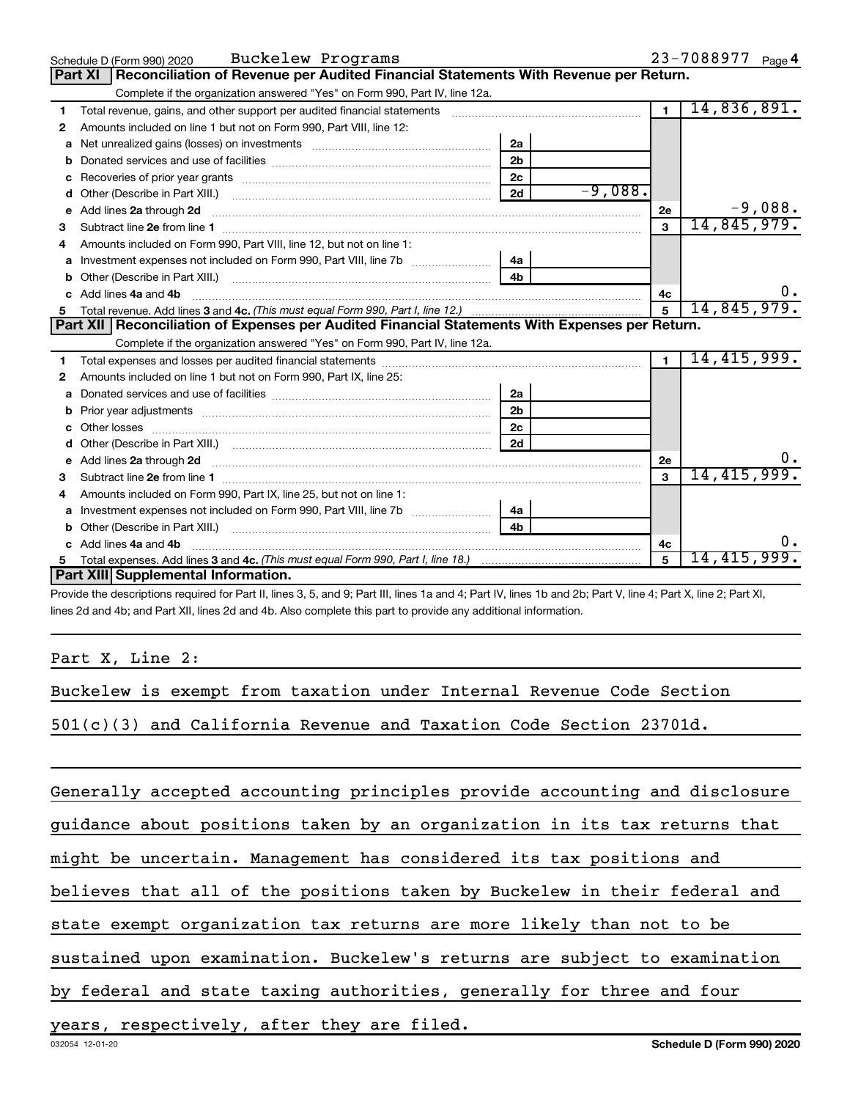|    | Schedule D (Form 990) 2020 Buckelew Programs                                                                                                                                                                                                           |                |           |                | $23 - 7088977$ Page 4 |
|----|--------------------------------------------------------------------------------------------------------------------------------------------------------------------------------------------------------------------------------------------------------|----------------|-----------|----------------|-----------------------|
|    | Reconciliation of Revenue per Audited Financial Statements With Revenue per Return.<br><b>Part XI</b>                                                                                                                                                  |                |           |                |                       |
|    | Complete if the organization answered "Yes" on Form 990, Part IV, line 12a.                                                                                                                                                                            |                |           |                |                       |
| 1  | Total revenue, gains, and other support per audited financial statements [11] [11] Total revenue, [21] Total revenue of the support per audited financial statements                                                                                   |                |           | $\overline{1}$ | 14,836,891.           |
| 2  | Amounts included on line 1 but not on Form 990, Part VIII, line 12:                                                                                                                                                                                    |                |           |                |                       |
| a  | Net unrealized gains (losses) on investments [111] [12] matter and the unrealized gains (losses) on investments                                                                                                                                        | 2a             |           |                |                       |
|    |                                                                                                                                                                                                                                                        | 2 <sub>b</sub> |           |                |                       |
| c  | Recoveries of prior year grants [11,111] [11] Recoveries of prior year grants [11] [11] Recoveries of prior year grants [11] [11] [11] $\frac{1}{2}$ [11] $\frac{1}{2}$ [11] $\frac{1}{2}$ [11] $\frac{1}{2}$ [11] $\frac{1}{2}$ [11] $\frac{1}{2}$ [1 | 2 <sub>c</sub> |           |                |                       |
| d  |                                                                                                                                                                                                                                                        | 2d             | $-9,088.$ |                |                       |
| е  | Add lines 2a through 2d <b>[10]</b> University contracts and the set of the set of the set of the set of the set of the set of the set of the set of the set of the set of the set of the set of the set of the set of the set of t                    |                |           | 2e             | $-9,088.$             |
| 3  |                                                                                                                                                                                                                                                        |                |           | $\mathbf{3}$   | 14,845,979.           |
| 4  | Amounts included on Form 990, Part VIII, line 12, but not on line 1:                                                                                                                                                                                   |                |           |                |                       |
|    |                                                                                                                                                                                                                                                        |                |           |                |                       |
| b  |                                                                                                                                                                                                                                                        | 4 <sub>b</sub> |           |                |                       |
| C. | Add lines 4a and 4b                                                                                                                                                                                                                                    |                |           | 4с             |                       |
|    |                                                                                                                                                                                                                                                        |                |           | 5              | 14,845,979.           |
|    |                                                                                                                                                                                                                                                        |                |           |                |                       |
|    | Part XII   Reconciliation of Expenses per Audited Financial Statements With Expenses per Return.                                                                                                                                                       |                |           |                |                       |
|    | Complete if the organization answered "Yes" on Form 990, Part IV, line 12a.                                                                                                                                                                            |                |           |                |                       |
| 1  |                                                                                                                                                                                                                                                        |                |           | $\mathbf{1}$   | 14, 415, 999.         |
| 2  | Amounts included on line 1 but not on Form 990, Part IX, line 25:                                                                                                                                                                                      |                |           |                |                       |
| a  |                                                                                                                                                                                                                                                        | 2a             |           |                |                       |
| b  |                                                                                                                                                                                                                                                        | 2 <sub>b</sub> |           |                |                       |
| c  |                                                                                                                                                                                                                                                        | 2 <sub>c</sub> |           |                |                       |
|    |                                                                                                                                                                                                                                                        | 2d             |           |                |                       |
|    | Add lines 2a through 2d <b>must be a constructed as the constant of the construction of the construction</b> and the construction of the construction of the construction of the construction of the construction of the constructi                    |                |           | 2e             | 0.                    |
| з  |                                                                                                                                                                                                                                                        |                |           | 3              | 14, 415, 999.         |
| 4  | Amounts included on Form 990, Part IX, line 25, but not on line 1:                                                                                                                                                                                     |                |           |                |                       |
| a  |                                                                                                                                                                                                                                                        |                |           |                |                       |
| b  |                                                                                                                                                                                                                                                        | 4b             |           |                |                       |
| C. | Add lines 4a and 4b                                                                                                                                                                                                                                    |                |           | 4с             |                       |
|    | Part XIII Supplemental Information.                                                                                                                                                                                                                    |                |           | 5              | 14,415,999.           |

Provide the descriptions required for Part II, lines 3, 5, and 9; Part III, lines 1a and 4; Part IV, lines 1b and 2b; Part V, line 4; Part X, line 2; Part XI, lines 2d and 4b; and Part XII, lines 2d and 4b. Also complete this part to provide any additional information.

Part X, Line 2:

Buckelew is exempt from taxation under Internal Revenue Code Section

501(c)(3) and California Revenue and Taxation Code Section 23701d.

Generally accepted accounting principles provide accounting and disclosure

guidance about positions taken by an organization in its tax returns that

might be uncertain. Management has considered its tax positions and

believes that all of the positions taken by Buckelew in their federal and

state exempt organization tax returns are more likely than not to be

sustained upon examination. Buckelew's returns are subject to examination

by federal and state taxing authorities, generally for three and four

years, respectively, after they are filed.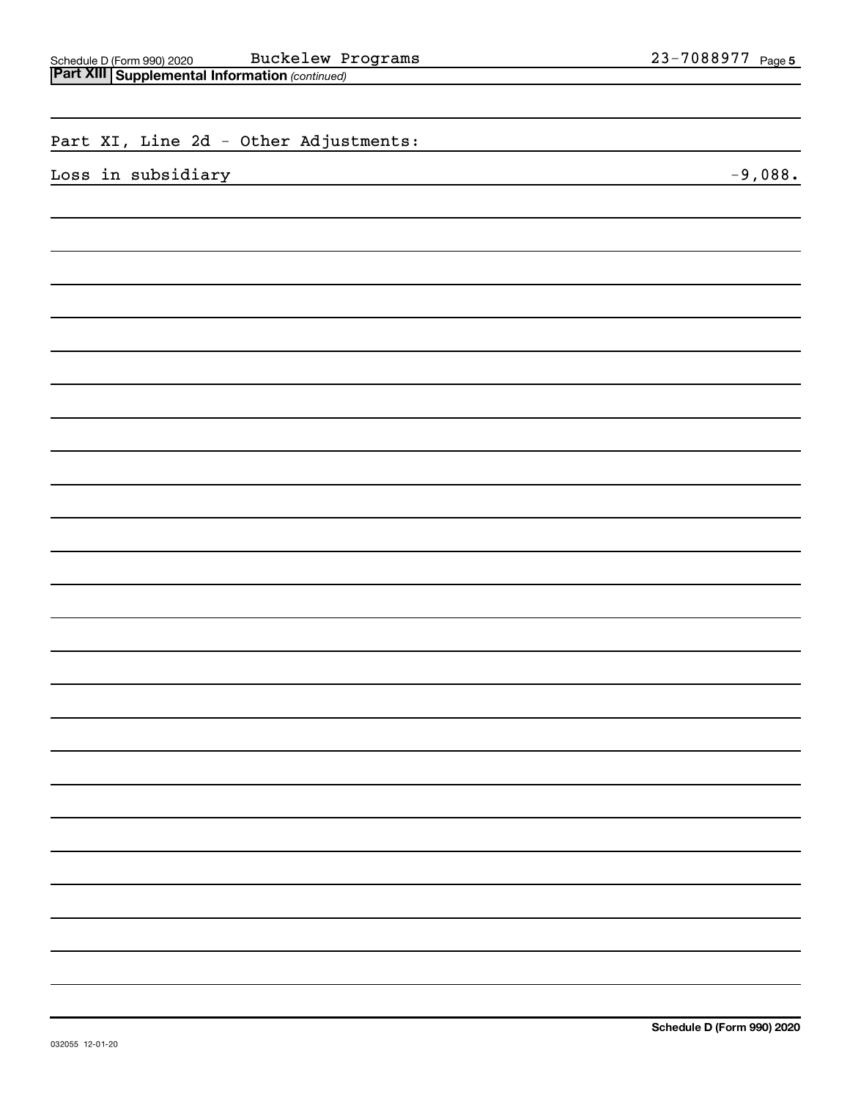| Buckelew Programs                                                                              | 23-7088977 Page 5 |
|------------------------------------------------------------------------------------------------|-------------------|
| Schedule D (Form 990) 2020 Buckelew P<br><b>Part XIII Supplemental Information</b> (continued) |                   |
|                                                                                                |                   |
|                                                                                                |                   |
| Part XI, Line 2d - Other Adjustments:                                                          |                   |
|                                                                                                |                   |
| Loss in subsidiary                                                                             | $-9,088.$         |
|                                                                                                |                   |
|                                                                                                |                   |
|                                                                                                |                   |
|                                                                                                |                   |
|                                                                                                |                   |
|                                                                                                |                   |
|                                                                                                |                   |
|                                                                                                |                   |
|                                                                                                |                   |
|                                                                                                |                   |
|                                                                                                |                   |
|                                                                                                |                   |
|                                                                                                |                   |
|                                                                                                |                   |
|                                                                                                |                   |
|                                                                                                |                   |
|                                                                                                |                   |
|                                                                                                |                   |
|                                                                                                |                   |
|                                                                                                |                   |
|                                                                                                |                   |
|                                                                                                |                   |
|                                                                                                |                   |
|                                                                                                |                   |
|                                                                                                |                   |
|                                                                                                |                   |
|                                                                                                |                   |
|                                                                                                |                   |
|                                                                                                |                   |
|                                                                                                |                   |
|                                                                                                |                   |
|                                                                                                |                   |
|                                                                                                |                   |
|                                                                                                |                   |
|                                                                                                |                   |
|                                                                                                |                   |
|                                                                                                |                   |
|                                                                                                |                   |
|                                                                                                |                   |
|                                                                                                |                   |
|                                                                                                |                   |
|                                                                                                |                   |
|                                                                                                |                   |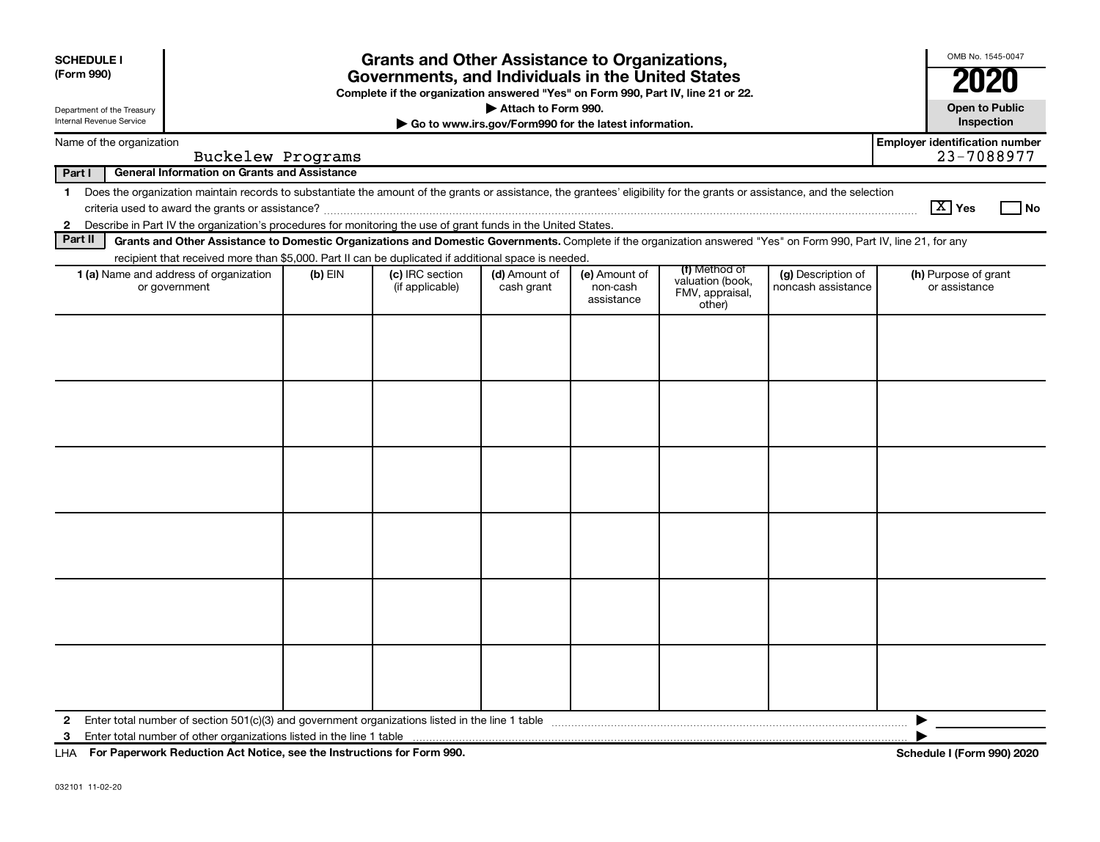| <b>SCHEDULE I</b><br>(Form 990)<br>Department of the Treasury | <b>Grants and Other Assistance to Organizations,</b><br>Governments, and Individuals in the United States<br>Complete if the organization answered "Yes" on Form 990, Part IV, line 21 or 22.<br>Attach to Form 990. |           |                 |                                                       |                        |                                               |                    |                                       | OMB No. 1545-0047<br><b>2020</b><br><b>Open to Public</b> |
|---------------------------------------------------------------|----------------------------------------------------------------------------------------------------------------------------------------------------------------------------------------------------------------------|-----------|-----------------|-------------------------------------------------------|------------------------|-----------------------------------------------|--------------------|---------------------------------------|-----------------------------------------------------------|
| <b>Internal Revenue Service</b>                               |                                                                                                                                                                                                                      |           |                 | Go to www.irs.gov/Form990 for the latest information. |                        |                                               |                    |                                       | Inspection                                                |
| Name of the organization                                      | Buckelew Programs                                                                                                                                                                                                    |           |                 |                                                       |                        |                                               |                    | <b>Employer identification number</b> | 23-7088977                                                |
| Part I                                                        | <b>General Information on Grants and Assistance</b>                                                                                                                                                                  |           |                 |                                                       |                        |                                               |                    |                                       |                                                           |
| $\mathbf 1$                                                   | Does the organization maintain records to substantiate the amount of the grants or assistance, the grantees' eligibility for the grants or assistance, and the selection                                             |           |                 |                                                       |                        |                                               |                    |                                       |                                                           |
|                                                               |                                                                                                                                                                                                                      |           |                 |                                                       |                        |                                               |                    | $\boxed{\text{X}}$ Yes                | $ $ No                                                    |
| $\mathbf{2}$                                                  | Describe in Part IV the organization's procedures for monitoring the use of grant funds in the United States.                                                                                                        |           |                 |                                                       |                        |                                               |                    |                                       |                                                           |
| Part II                                                       | Grants and Other Assistance to Domestic Organizations and Domestic Governments. Complete if the organization answered "Yes" on Form 990, Part IV, line 21, for any                                                   |           |                 |                                                       |                        |                                               |                    |                                       |                                                           |
|                                                               | recipient that received more than \$5,000. Part II can be duplicated if additional space is needed.<br><b>1 (a)</b> Name and address of organization                                                                 | $(b)$ EIN | (c) IRC section | (d) Amount of                                         | (e) Amount of          | (f) Method of                                 | (g) Description of | (h) Purpose of grant                  |                                                           |
|                                                               | or government                                                                                                                                                                                                        |           | (if applicable) | cash grant                                            | non-cash<br>assistance | valuation (book,<br>FMV, appraisal,<br>other) | noncash assistance | or assistance                         |                                                           |
|                                                               |                                                                                                                                                                                                                      |           |                 |                                                       |                        |                                               |                    |                                       |                                                           |
|                                                               |                                                                                                                                                                                                                      |           |                 |                                                       |                        |                                               |                    |                                       |                                                           |
|                                                               |                                                                                                                                                                                                                      |           |                 |                                                       |                        |                                               |                    |                                       |                                                           |
|                                                               |                                                                                                                                                                                                                      |           |                 |                                                       |                        |                                               |                    |                                       |                                                           |
|                                                               |                                                                                                                                                                                                                      |           |                 |                                                       |                        |                                               |                    |                                       |                                                           |
|                                                               |                                                                                                                                                                                                                      |           |                 |                                                       |                        |                                               |                    |                                       |                                                           |
|                                                               |                                                                                                                                                                                                                      |           |                 |                                                       |                        |                                               |                    |                                       |                                                           |
|                                                               |                                                                                                                                                                                                                      |           |                 |                                                       |                        |                                               |                    |                                       |                                                           |
|                                                               |                                                                                                                                                                                                                      |           |                 |                                                       |                        |                                               |                    |                                       |                                                           |
|                                                               |                                                                                                                                                                                                                      |           |                 |                                                       |                        |                                               |                    |                                       |                                                           |
|                                                               |                                                                                                                                                                                                                      |           |                 |                                                       |                        |                                               |                    |                                       |                                                           |
|                                                               |                                                                                                                                                                                                                      |           |                 |                                                       |                        |                                               |                    |                                       |                                                           |
|                                                               |                                                                                                                                                                                                                      |           |                 |                                                       |                        |                                               |                    |                                       |                                                           |
|                                                               |                                                                                                                                                                                                                      |           |                 |                                                       |                        |                                               |                    |                                       |                                                           |
|                                                               |                                                                                                                                                                                                                      |           |                 |                                                       |                        |                                               |                    |                                       |                                                           |
|                                                               |                                                                                                                                                                                                                      |           |                 |                                                       |                        |                                               |                    |                                       |                                                           |
|                                                               |                                                                                                                                                                                                                      |           |                 |                                                       |                        |                                               |                    |                                       |                                                           |
|                                                               |                                                                                                                                                                                                                      |           |                 |                                                       |                        |                                               |                    |                                       |                                                           |
|                                                               |                                                                                                                                                                                                                      |           |                 |                                                       |                        |                                               |                    |                                       |                                                           |
|                                                               |                                                                                                                                                                                                                      |           |                 |                                                       |                        |                                               |                    |                                       |                                                           |
|                                                               |                                                                                                                                                                                                                      |           |                 |                                                       |                        |                                               |                    |                                       |                                                           |
| $\mathbf{2}$                                                  | Enter total number of section 501(c)(3) and government organizations listed in the line 1 table                                                                                                                      |           |                 |                                                       |                        |                                               |                    |                                       |                                                           |
| 3                                                             |                                                                                                                                                                                                                      |           |                 |                                                       |                        |                                               |                    |                                       |                                                           |
|                                                               | LHA For Paperwork Reduction Act Notice, see the Instructions for Form 990.                                                                                                                                           |           |                 |                                                       |                        |                                               |                    | <b>Schedule I (Form 990) 2020</b>     |                                                           |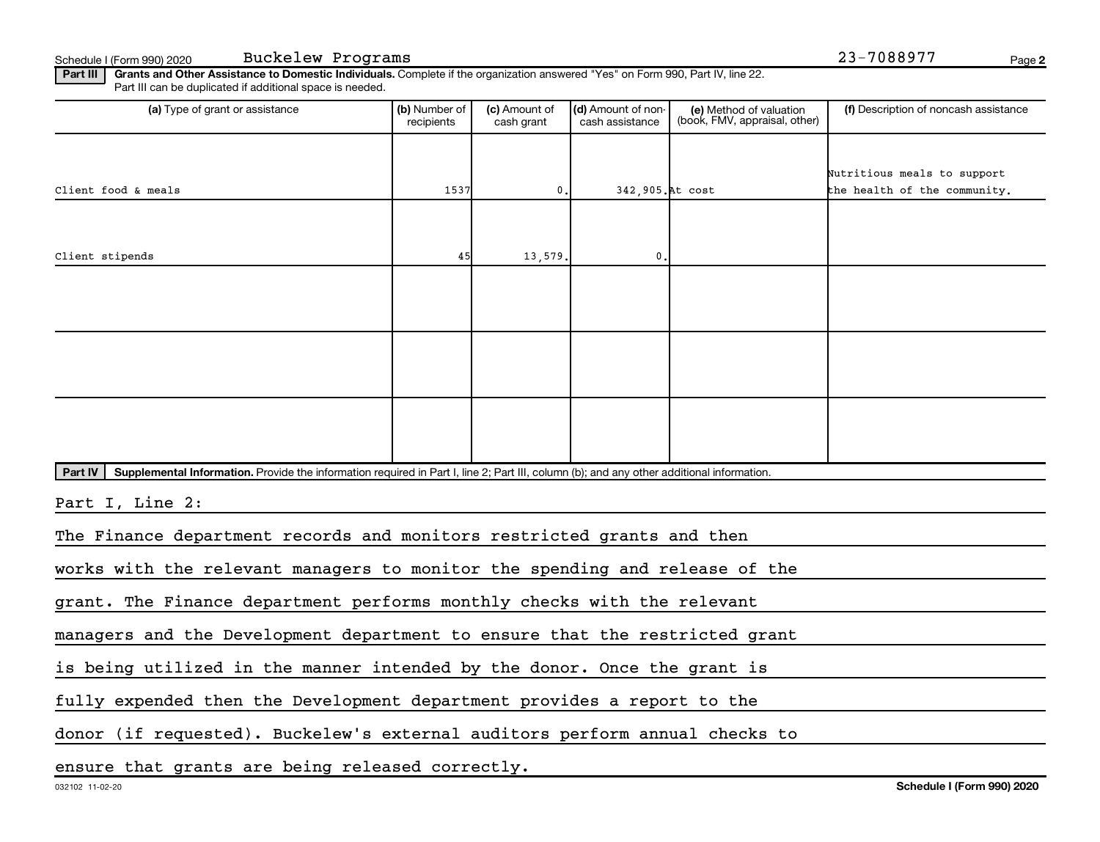Schedule I (Form 990) 2020 Page Buckelew Programs 23-7088977

**2**

Part III | Grants and Other Assistance to Domestic Individuals. Complete if the organization answered "Yes" on Form 990, Part IV, line 22. Part III can be duplicated if additional space is needed.

| (a) Type of grant or assistance                                                                                                                      | (b) Number of<br>recipients | (c) Amount of<br>cash grant | (d) Amount of non-<br>cash assistance | (e) Method of valuation<br>(book, FMV, appraisal, other) | (f) Description of noncash assistance |
|------------------------------------------------------------------------------------------------------------------------------------------------------|-----------------------------|-----------------------------|---------------------------------------|----------------------------------------------------------|---------------------------------------|
|                                                                                                                                                      |                             |                             |                                       |                                                          |                                       |
|                                                                                                                                                      |                             |                             |                                       |                                                          | Nutritious meals to support           |
| Client food & meals                                                                                                                                  | 1537                        | 0.                          | 342,905. At cost                      |                                                          | the health of the community.          |
|                                                                                                                                                      |                             |                             |                                       |                                                          |                                       |
|                                                                                                                                                      |                             |                             |                                       |                                                          |                                       |
| Client stipends                                                                                                                                      | 45                          | 13,579.                     | $\mathbf{0}$ .                        |                                                          |                                       |
|                                                                                                                                                      |                             |                             |                                       |                                                          |                                       |
|                                                                                                                                                      |                             |                             |                                       |                                                          |                                       |
|                                                                                                                                                      |                             |                             |                                       |                                                          |                                       |
|                                                                                                                                                      |                             |                             |                                       |                                                          |                                       |
|                                                                                                                                                      |                             |                             |                                       |                                                          |                                       |
|                                                                                                                                                      |                             |                             |                                       |                                                          |                                       |
|                                                                                                                                                      |                             |                             |                                       |                                                          |                                       |
|                                                                                                                                                      |                             |                             |                                       |                                                          |                                       |
|                                                                                                                                                      |                             |                             |                                       |                                                          |                                       |
|                                                                                                                                                      |                             |                             |                                       |                                                          |                                       |
| Part IV<br>Supplemental Information. Provide the information required in Part I, line 2; Part III, column (b); and any other additional information. |                             |                             |                                       |                                                          |                                       |
| Part I, Line 2:                                                                                                                                      |                             |                             |                                       |                                                          |                                       |
|                                                                                                                                                      |                             |                             |                                       |                                                          |                                       |
| The Finance department records and monitors restricted grants and then                                                                               |                             |                             |                                       |                                                          |                                       |
|                                                                                                                                                      |                             |                             |                                       |                                                          |                                       |
| works with the relevant managers to monitor the spending and release of the                                                                          |                             |                             |                                       |                                                          |                                       |
| grant. The Finance department performs monthly checks with the relevant                                                                              |                             |                             |                                       |                                                          |                                       |
| managers and the Development department to ensure that the restricted grant                                                                          |                             |                             |                                       |                                                          |                                       |

is being utilized in the manner intended by the donor. Once the grant is

fully expended then the Development department provides a report to the

donor (if requested). Buckelew's external auditors perform annual checks to

ensure that grants are being released correctly.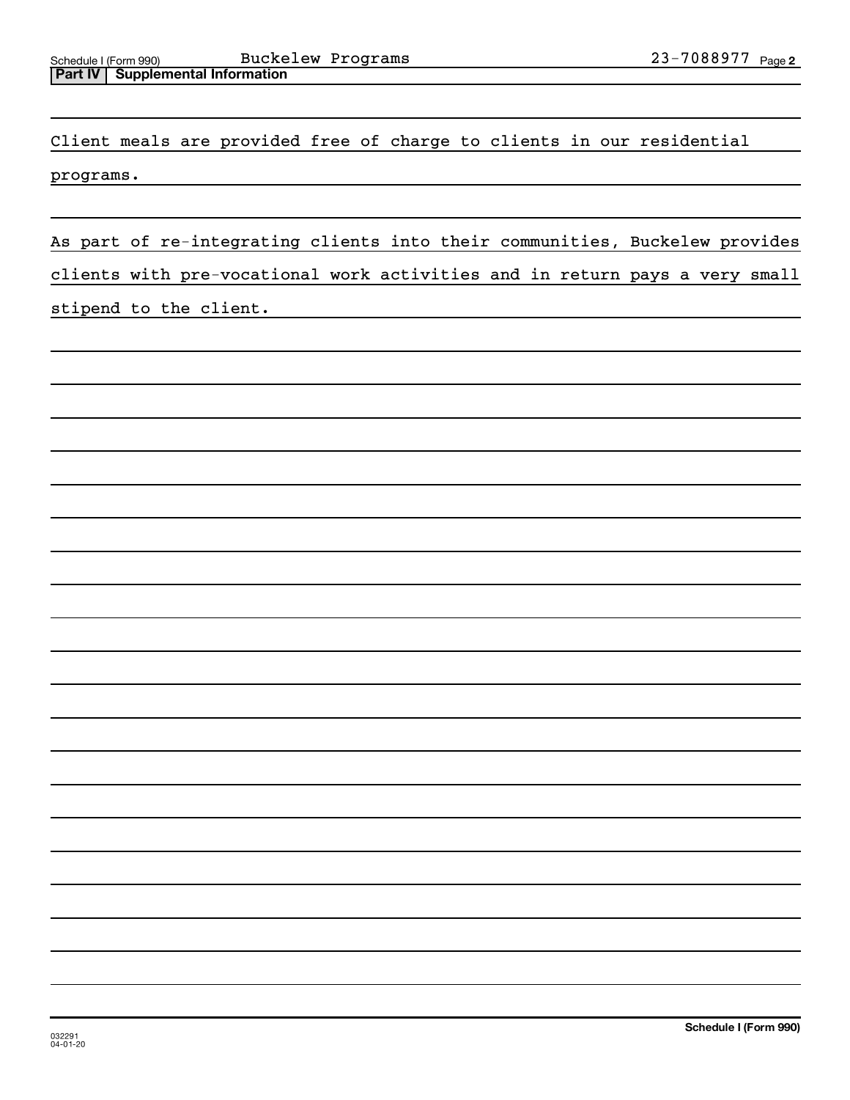Client meals are provided free of charge to clients in our residential programs.

As part of re-integrating clients into their communities, Buckelew provides clients with pre-vocational work activities and in return pays a very small stipend to the client.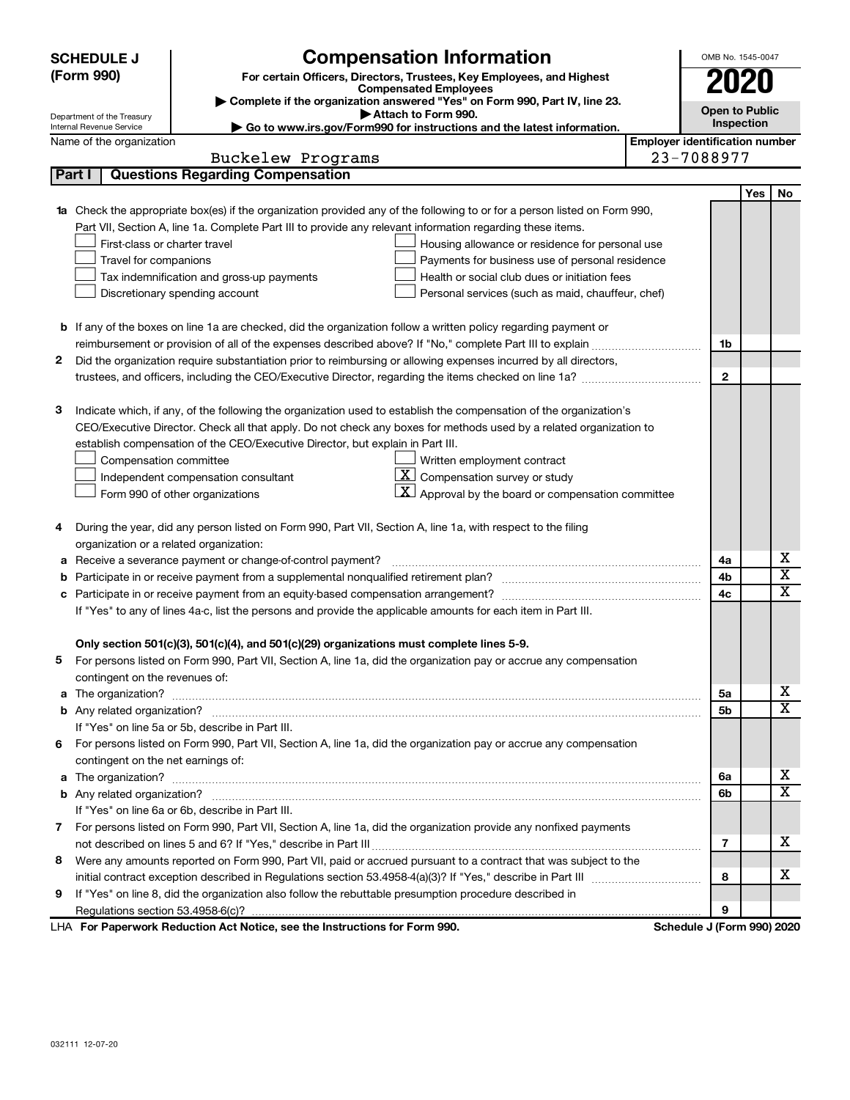|              | <b>SCHEDULE J</b>                                                                                          |                                                              | <b>Compensation Information</b>                                                                                                                                                                                                      |                                       | OMB No. 1545-0047     |     |                         |
|--------------|------------------------------------------------------------------------------------------------------------|--------------------------------------------------------------|--------------------------------------------------------------------------------------------------------------------------------------------------------------------------------------------------------------------------------------|---------------------------------------|-----------------------|-----|-------------------------|
|              | (Form 990)                                                                                                 |                                                              | For certain Officers, Directors, Trustees, Key Employees, and Highest                                                                                                                                                                |                                       |                       | UZU |                         |
|              | <b>Compensated Employees</b><br>Complete if the organization answered "Yes" on Form 990, Part IV, line 23. |                                                              |                                                                                                                                                                                                                                      |                                       |                       |     |                         |
|              | Department of the Treasury                                                                                 |                                                              | Attach to Form 990.                                                                                                                                                                                                                  |                                       | <b>Open to Public</b> |     |                         |
|              | Internal Revenue Service                                                                                   |                                                              | ► Go to www.irs.gov/Form990 for instructions and the latest information.                                                                                                                                                             |                                       | Inspection            |     |                         |
|              | Name of the organization                                                                                   |                                                              |                                                                                                                                                                                                                                      | <b>Employer identification number</b> |                       |     |                         |
|              |                                                                                                            | Buckelew Programs<br><b>Questions Regarding Compensation</b> |                                                                                                                                                                                                                                      | 23-7088977                            |                       |     |                         |
|              | Part I                                                                                                     |                                                              |                                                                                                                                                                                                                                      |                                       |                       |     |                         |
|              |                                                                                                            |                                                              |                                                                                                                                                                                                                                      |                                       |                       | Yes | No                      |
| 1a           |                                                                                                            |                                                              | Check the appropriate box(es) if the organization provided any of the following to or for a person listed on Form 990,<br>Part VII, Section A, line 1a. Complete Part III to provide any relevant information regarding these items. |                                       |                       |     |                         |
|              | First-class or charter travel                                                                              |                                                              | Housing allowance or residence for personal use                                                                                                                                                                                      |                                       |                       |     |                         |
|              | Travel for companions                                                                                      |                                                              | Payments for business use of personal residence                                                                                                                                                                                      |                                       |                       |     |                         |
|              | Tax indemnification and gross-up payments                                                                  |                                                              | Health or social club dues or initiation fees                                                                                                                                                                                        |                                       |                       |     |                         |
|              | Discretionary spending account                                                                             |                                                              | Personal services (such as maid, chauffeur, chef)                                                                                                                                                                                    |                                       |                       |     |                         |
|              |                                                                                                            |                                                              |                                                                                                                                                                                                                                      |                                       |                       |     |                         |
|              |                                                                                                            |                                                              | <b>b</b> If any of the boxes on line 1a are checked, did the organization follow a written policy regarding payment or                                                                                                               |                                       |                       |     |                         |
|              |                                                                                                            |                                                              |                                                                                                                                                                                                                                      |                                       | 1b                    |     |                         |
| $\mathbf{2}$ |                                                                                                            |                                                              | Did the organization require substantiation prior to reimbursing or allowing expenses incurred by all directors,                                                                                                                     |                                       |                       |     |                         |
|              |                                                                                                            |                                                              |                                                                                                                                                                                                                                      |                                       | $\mathbf{2}$          |     |                         |
|              |                                                                                                            |                                                              |                                                                                                                                                                                                                                      |                                       |                       |     |                         |
| з            |                                                                                                            |                                                              | Indicate which, if any, of the following the organization used to establish the compensation of the organization's                                                                                                                   |                                       |                       |     |                         |
|              |                                                                                                            |                                                              | CEO/Executive Director. Check all that apply. Do not check any boxes for methods used by a related organization to                                                                                                                   |                                       |                       |     |                         |
|              | establish compensation of the CEO/Executive Director, but explain in Part III.                             |                                                              |                                                                                                                                                                                                                                      |                                       |                       |     |                         |
|              | Compensation committee                                                                                     |                                                              | Written employment contract                                                                                                                                                                                                          |                                       |                       |     |                         |
|              | Independent compensation consultant                                                                        |                                                              | $\overline{\mathbf{X}}$ Compensation survey or study                                                                                                                                                                                 |                                       |                       |     |                         |
|              | Form 990 of other organizations                                                                            |                                                              | $\mathbf{X}$<br>Approval by the board or compensation committee                                                                                                                                                                      |                                       |                       |     |                         |
|              |                                                                                                            |                                                              |                                                                                                                                                                                                                                      |                                       |                       |     |                         |
| 4            |                                                                                                            |                                                              | During the year, did any person listed on Form 990, Part VII, Section A, line 1a, with respect to the filing                                                                                                                         |                                       |                       |     |                         |
|              | organization or a related organization:                                                                    |                                                              |                                                                                                                                                                                                                                      |                                       |                       |     |                         |
| а            | Receive a severance payment or change-of-control payment?                                                  |                                                              |                                                                                                                                                                                                                                      |                                       | 4a                    |     | x                       |
| b            |                                                                                                            |                                                              |                                                                                                                                                                                                                                      |                                       | 4b                    |     | X                       |
| с            |                                                                                                            |                                                              |                                                                                                                                                                                                                                      |                                       | 4c                    |     | $\overline{\textbf{x}}$ |
|              |                                                                                                            |                                                              | If "Yes" to any of lines 4a-c, list the persons and provide the applicable amounts for each item in Part III.                                                                                                                        |                                       |                       |     |                         |
|              |                                                                                                            |                                                              |                                                                                                                                                                                                                                      |                                       |                       |     |                         |
|              |                                                                                                            |                                                              | Only section 501(c)(3), 501(c)(4), and 501(c)(29) organizations must complete lines 5-9.                                                                                                                                             |                                       |                       |     |                         |
|              |                                                                                                            |                                                              | 5 For persons listed on Form 990, Part VII, Section A, line 1a, did the organization pay or accrue any compensation                                                                                                                  |                                       |                       |     |                         |
|              | contingent on the revenues of:                                                                             |                                                              |                                                                                                                                                                                                                                      |                                       |                       |     |                         |
|              |                                                                                                            |                                                              |                                                                                                                                                                                                                                      |                                       | 5a                    |     | x                       |
|              |                                                                                                            |                                                              |                                                                                                                                                                                                                                      |                                       | 5b                    |     | $\overline{\textbf{X}}$ |
|              | If "Yes" on line 5a or 5b, describe in Part III.                                                           |                                                              |                                                                                                                                                                                                                                      |                                       |                       |     |                         |
| 6            |                                                                                                            |                                                              | For persons listed on Form 990, Part VII, Section A, line 1a, did the organization pay or accrue any compensation                                                                                                                    |                                       |                       |     |                         |
|              | contingent on the net earnings of:                                                                         |                                                              |                                                                                                                                                                                                                                      |                                       |                       |     |                         |
| a            |                                                                                                            |                                                              |                                                                                                                                                                                                                                      |                                       | 6a                    |     | х                       |
|              |                                                                                                            |                                                              |                                                                                                                                                                                                                                      |                                       | 6b                    |     | X                       |
|              | If "Yes" on line 6a or 6b, describe in Part III.                                                           |                                                              |                                                                                                                                                                                                                                      |                                       |                       |     |                         |
|              |                                                                                                            |                                                              | 7 For persons listed on Form 990, Part VII, Section A, line 1a, did the organization provide any nonfixed payments                                                                                                                   |                                       |                       |     |                         |
|              |                                                                                                            |                                                              |                                                                                                                                                                                                                                      |                                       | 7                     |     | х                       |
| 8            |                                                                                                            |                                                              | Were any amounts reported on Form 990, Part VII, paid or accrued pursuant to a contract that was subject to the                                                                                                                      |                                       |                       |     |                         |
|              |                                                                                                            |                                                              |                                                                                                                                                                                                                                      |                                       | 8                     |     | х                       |
| 9            |                                                                                                            |                                                              | If "Yes" on line 8, did the organization also follow the rebuttable presumption procedure described in                                                                                                                               |                                       |                       |     |                         |
|              |                                                                                                            |                                                              |                                                                                                                                                                                                                                      |                                       | 9                     |     |                         |
|              | LHA For Paperwork Reduction Act Notice, see the Instructions for Form 990.                                 |                                                              |                                                                                                                                                                                                                                      | Schedule J (Form 990) 2020            |                       |     |                         |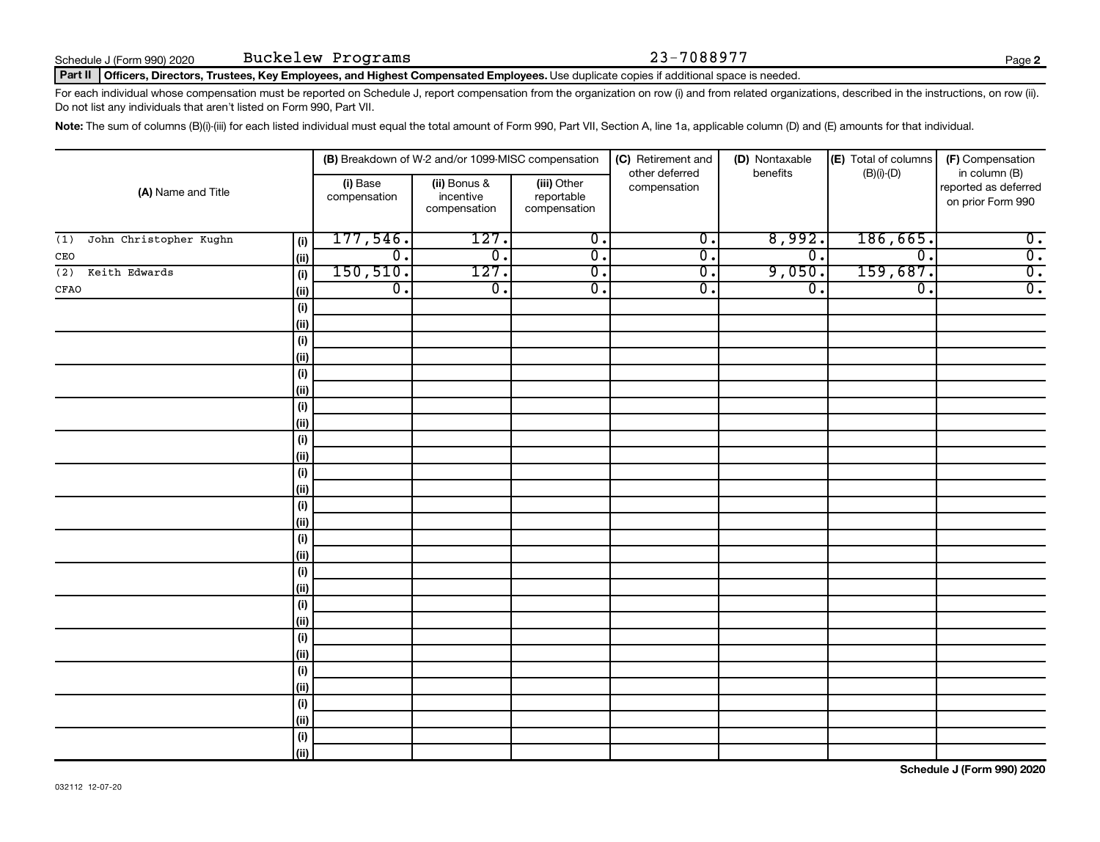### Part II | Officers, Directors, Trustees, Key Employees, and Highest Compensated Employees. Use duplicate copies if additional space is needed.

For each individual whose compensation must be reported on Schedule J, report compensation from the organization on row (i) and from related organizations, described in the instructions, on row (ii). Do not list any individuals that aren't listed on Form 990, Part VII.

Note: The sum of columns (B)(i)-(iii) for each listed individual must equal the total amount of Form 990, Part VII, Section A, line 1a, applicable column (D) and (E) amounts for that individual.

|                                      |                          | (B) Breakdown of W-2 and/or 1099-MISC compensation |                                           | (D) Nontaxable<br>(C) Retirement and |                  | (E) Total of columns<br>(F) Compensation |                                                            |  |
|--------------------------------------|--------------------------|----------------------------------------------------|-------------------------------------------|--------------------------------------|------------------|------------------------------------------|------------------------------------------------------------|--|
| (A) Name and Title                   | (i) Base<br>compensation | (ii) Bonus &<br>incentive<br>compensation          | (iii) Other<br>reportable<br>compensation | other deferred<br>compensation       | benefits         | $(B)(i)$ - $(D)$                         | in column (B)<br>reported as deferred<br>on prior Form 990 |  |
| John Christopher Kughn<br>(1)<br>(i) | 177,546.                 | 127.                                               | $\overline{0}$ .                          | $\overline{0}$ .                     | 8,992.           | 186,665.                                 | $\overline{0}$ .                                           |  |
| $\vert$ (ii)<br>CEO                  | $\overline{0}$ .         | $\overline{0}$ .                                   | $\overline{0}$ .                          | $\overline{0}$ .                     | $\overline{0}$ . | $\overline{\mathfrak{o}}$ .              | $\overline{0}$ .                                           |  |
| Keith Edwards<br>(i)<br>(2)          | 150, 510.                | 127.                                               | $\overline{0}$ .                          | $\overline{0}$ .                     | 9,050.           | 159,687.                                 | $\overline{0}$ .                                           |  |
| $\vert$ (ii)<br>CFAO                 | $\overline{0}$ .         | $\overline{0}$ .                                   | $\overline{0}$ .                          | $\overline{0}$ .                     | $\overline{0}$ . | $\overline{\mathfrak{o}}$ .              | $\overline{0}$ .                                           |  |
| (i)                                  |                          |                                                    |                                           |                                      |                  |                                          |                                                            |  |
| (ii)                                 |                          |                                                    |                                           |                                      |                  |                                          |                                                            |  |
| (i)                                  |                          |                                                    |                                           |                                      |                  |                                          |                                                            |  |
| (ii)                                 |                          |                                                    |                                           |                                      |                  |                                          |                                                            |  |
| (i)                                  |                          |                                                    |                                           |                                      |                  |                                          |                                                            |  |
| $\vert$ (ii)                         |                          |                                                    |                                           |                                      |                  |                                          |                                                            |  |
| (i)                                  |                          |                                                    |                                           |                                      |                  |                                          |                                                            |  |
| (ii)                                 |                          |                                                    |                                           |                                      |                  |                                          |                                                            |  |
| (i)                                  |                          |                                                    |                                           |                                      |                  |                                          |                                                            |  |
| (ii)                                 |                          |                                                    |                                           |                                      |                  |                                          |                                                            |  |
| (i)                                  |                          |                                                    |                                           |                                      |                  |                                          |                                                            |  |
| (ii)                                 |                          |                                                    |                                           |                                      |                  |                                          |                                                            |  |
| (i)                                  |                          |                                                    |                                           |                                      |                  |                                          |                                                            |  |
| (ii)<br>(i)                          |                          |                                                    |                                           |                                      |                  |                                          |                                                            |  |
| (ii)                                 |                          |                                                    |                                           |                                      |                  |                                          |                                                            |  |
| (i)                                  |                          |                                                    |                                           |                                      |                  |                                          |                                                            |  |
| (ii)                                 |                          |                                                    |                                           |                                      |                  |                                          |                                                            |  |
| (i)                                  |                          |                                                    |                                           |                                      |                  |                                          |                                                            |  |
| (ii)                                 |                          |                                                    |                                           |                                      |                  |                                          |                                                            |  |
| (i)                                  |                          |                                                    |                                           |                                      |                  |                                          |                                                            |  |
| (ii)                                 |                          |                                                    |                                           |                                      |                  |                                          |                                                            |  |
| (i)                                  |                          |                                                    |                                           |                                      |                  |                                          |                                                            |  |
| (i)                                  |                          |                                                    |                                           |                                      |                  |                                          |                                                            |  |
| (i)                                  |                          |                                                    |                                           |                                      |                  |                                          |                                                            |  |
| (ii)                                 |                          |                                                    |                                           |                                      |                  |                                          |                                                            |  |
| $(\sf{i})$                           |                          |                                                    |                                           |                                      |                  |                                          |                                                            |  |
| (ii)                                 |                          |                                                    |                                           |                                      |                  |                                          |                                                            |  |

**Schedule J (Form 990) 2020**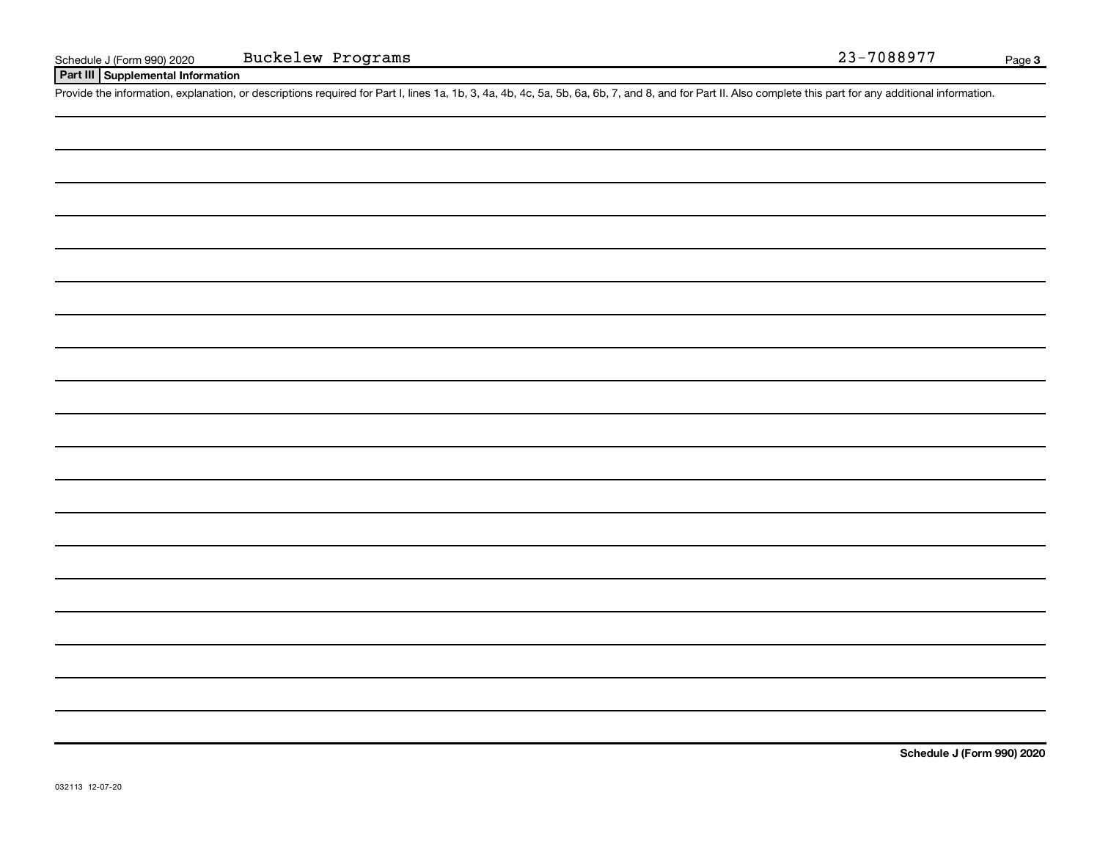### **Part III Supplemental Information**

Provide the information, explanation, or descriptions required for Part I, lines 1a, 1b, 3, 4a, 4b, 4c, 5a, 5b, 6a, 6b, 7, and 8, and for Part II. Also complete this part for any additional information.

**Schedule J (Form 990) 2020**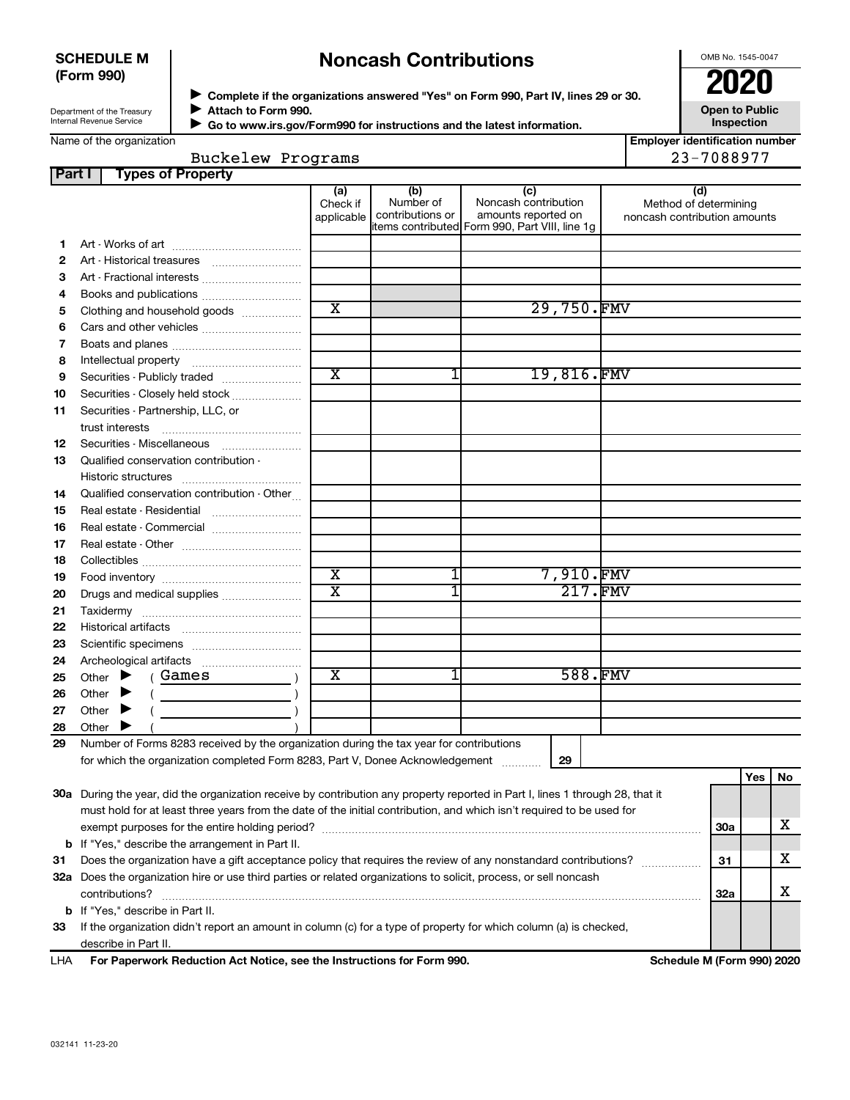### **SCHEDULE M (Form 990)**

## **Noncash Contributions**

OMB No. 1545-0047

**Employer identification number**

Buckelew Programs 23-7088977

Department of the Treasury Internal Revenue Service

◆ Complete if the organizations answered "Yes" on Form 990, Part IV, lines 29 or 30.<br>● Complete if the organizations answered "Yes" on Form 990, Part IV, lines 29 or 30. **Attach to Form 990.**  $\blacktriangleright$ 

 **Go to www.irs.gov/Form990 for instructions and the latest information.** J

**Open to Public Inspection**

Name of the organization

| Buckelew Programs |  |
|-------------------|--|
|                   |  |

| Part I | <b>Types of Property</b>                                                                                                       |                        |                  |                                                |                                                       |     |     |     |
|--------|--------------------------------------------------------------------------------------------------------------------------------|------------------------|------------------|------------------------------------------------|-------------------------------------------------------|-----|-----|-----|
|        |                                                                                                                                | (a)                    | (b)<br>Number of | (c)<br>Noncash contribution                    | (d)                                                   |     |     |     |
|        |                                                                                                                                | Check if<br>applicable | contributions or | amounts reported on                            | Method of determining<br>noncash contribution amounts |     |     |     |
|        |                                                                                                                                |                        |                  | items contributed Form 990, Part VIII, line 1g |                                                       |     |     |     |
| 1.     |                                                                                                                                |                        |                  |                                                |                                                       |     |     |     |
| 2      |                                                                                                                                |                        |                  |                                                |                                                       |     |     |     |
| З      | Art - Fractional interests                                                                                                     |                        |                  |                                                |                                                       |     |     |     |
| 4      |                                                                                                                                |                        |                  |                                                |                                                       |     |     |     |
| 5      | Clothing and household goods                                                                                                   | $\overline{\text{x}}$  |                  | 29,750.FMV                                     |                                                       |     |     |     |
| 6      |                                                                                                                                |                        |                  |                                                |                                                       |     |     |     |
| 7      |                                                                                                                                |                        |                  |                                                |                                                       |     |     |     |
| 8      |                                                                                                                                |                        |                  |                                                |                                                       |     |     |     |
| 9      | Securities - Publicly traded                                                                                                   | $\overline{\text{x}}$  |                  | 19,816.FMV                                     |                                                       |     |     |     |
| 10     | Securities - Closely held stock                                                                                                |                        |                  |                                                |                                                       |     |     |     |
| 11     | Securities - Partnership, LLC, or                                                                                              |                        |                  |                                                |                                                       |     |     |     |
|        | trust interests                                                                                                                |                        |                  |                                                |                                                       |     |     |     |
| 12     | Securities - Miscellaneous                                                                                                     |                        |                  |                                                |                                                       |     |     |     |
| 13     | Qualified conservation contribution -                                                                                          |                        |                  |                                                |                                                       |     |     |     |
|        |                                                                                                                                |                        |                  |                                                |                                                       |     |     |     |
| 14     | Qualified conservation contribution - Other                                                                                    |                        |                  |                                                |                                                       |     |     |     |
| 15     | Real estate - Residential                                                                                                      |                        |                  |                                                |                                                       |     |     |     |
| 16     | Real estate - Commercial                                                                                                       |                        |                  |                                                |                                                       |     |     |     |
| 17     |                                                                                                                                |                        |                  |                                                |                                                       |     |     |     |
| 18     |                                                                                                                                |                        |                  |                                                |                                                       |     |     |     |
| 19     |                                                                                                                                | $\overline{\text{x}}$  |                  | 7,910.FMV                                      |                                                       |     |     |     |
| 20     | Drugs and medical supplies                                                                                                     | $\overline{\text{x}}$  |                  | 217.FMV                                        |                                                       |     |     |     |
| 21     |                                                                                                                                |                        |                  |                                                |                                                       |     |     |     |
| 22     |                                                                                                                                |                        |                  |                                                |                                                       |     |     |     |
| 23     |                                                                                                                                |                        |                  |                                                |                                                       |     |     |     |
| 24     |                                                                                                                                |                        |                  |                                                |                                                       |     |     |     |
| 25     | Games<br>Other $\blacktriangleright$                                                                                           | X                      |                  | 588.FMV                                        |                                                       |     |     |     |
| 26     | Other $\blacktriangleright$                                                                                                    |                        |                  |                                                |                                                       |     |     |     |
| 27     | Other $\blacktriangleright$                                                                                                    |                        |                  |                                                |                                                       |     |     |     |
| 28     | Other $\blacktriangleright$                                                                                                    |                        |                  |                                                |                                                       |     |     |     |
| 29     | Number of Forms 8283 received by the organization during the tax year for contributions                                        |                        |                  |                                                |                                                       |     |     |     |
|        | for which the organization completed Form 8283, Part V, Donee Acknowledgement                                                  |                        |                  | 29                                             |                                                       |     |     |     |
|        |                                                                                                                                |                        |                  |                                                |                                                       |     | Yes | No. |
|        | 30a During the year, did the organization receive by contribution any property reported in Part I, lines 1 through 28, that it |                        |                  |                                                |                                                       |     |     |     |
|        | must hold for at least three years from the date of the initial contribution, and which isn't required to be used for          |                        |                  |                                                |                                                       |     |     |     |
|        |                                                                                                                                |                        |                  |                                                |                                                       | 30a |     | х   |
|        | <b>b</b> If "Yes," describe the arrangement in Part II.                                                                        |                        |                  |                                                |                                                       |     |     |     |
| 31     | Does the organization have a gift acceptance policy that requires the review of any nonstandard contributions?                 |                        |                  |                                                |                                                       | 31  |     | x   |
|        | 32a Does the organization hire or use third parties or related organizations to solicit, process, or sell noncash              |                        |                  |                                                |                                                       |     |     |     |
|        | contributions?                                                                                                                 |                        |                  |                                                |                                                       | 32a |     | х   |
|        | <b>b</b> If "Yes," describe in Part II.                                                                                        |                        |                  |                                                |                                                       |     |     |     |
| 33     | If the organization didn't report an amount in column (c) for a type of property for which column (a) is checked,              |                        |                  |                                                |                                                       |     |     |     |
|        | describe in Part II.                                                                                                           |                        |                  |                                                |                                                       |     |     |     |

**For Paperwork Reduction Act Notice, see the Instructions for Form 990. Schedule M (Form 990) 2020** LHA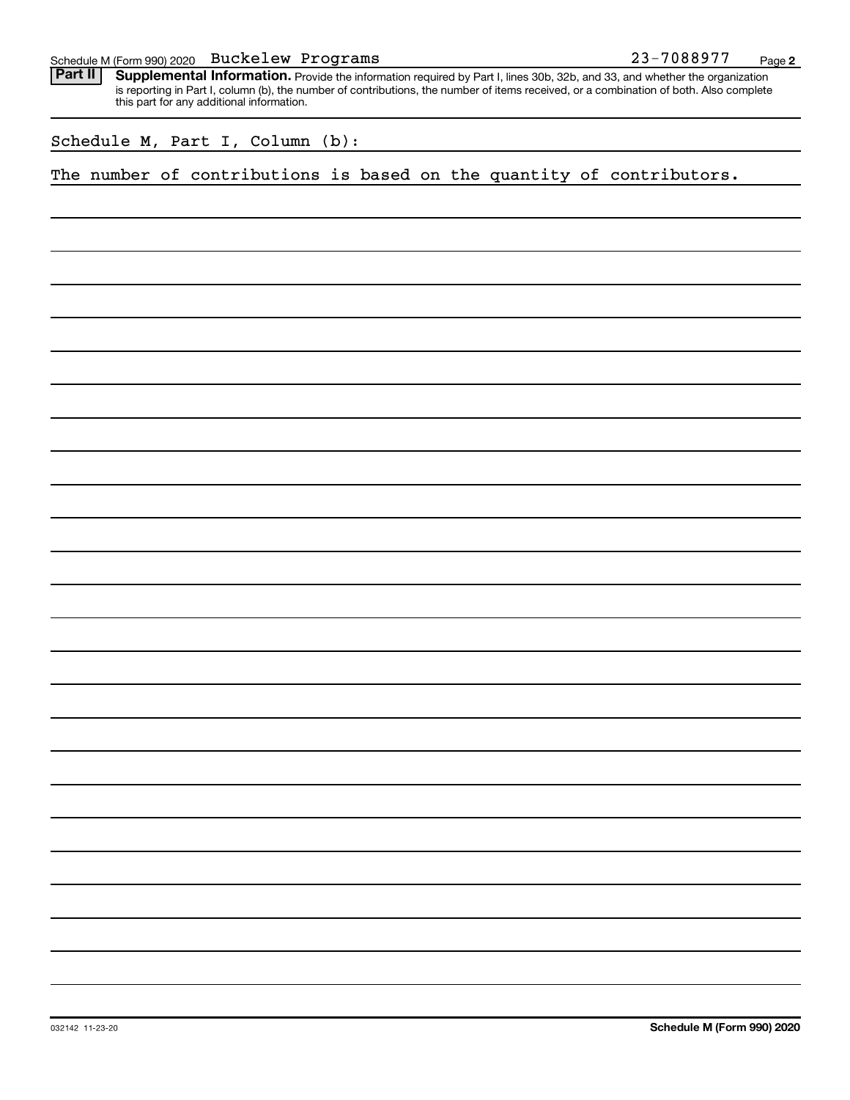|  |  | Schedule M (Form 990) 2020 $\;$ <code>Buckelew Programs</code> |  | 23-7088977 | Page |  |
|--|--|----------------------------------------------------------------|--|------------|------|--|
|--|--|----------------------------------------------------------------|--|------------|------|--|

Provide the information required by Part I, lines 30b, 32b, and 33, and whether the organization is reporting in Part I, column (b), the number of contributions, the number of items received, or a combination of both. Also complete this part for any additional information. **Part II Supplemental Information.** 

Schedule M, Part I, Column (b):

The number of contributions is based on the quantity of contributors.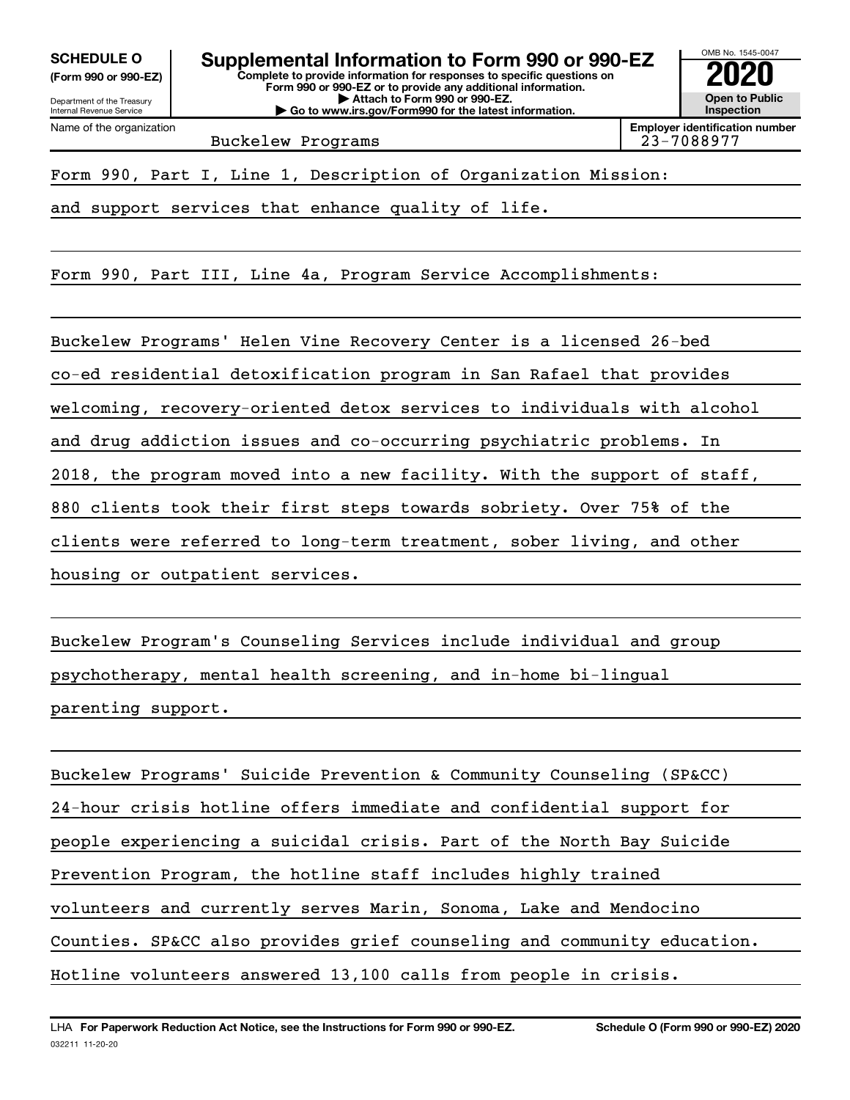**(Form 990 or 990-EZ)**

Name of the organization



Buckelew Programs

Form 990, Part I, Line 1, Description of Organization Mission:

and support services that enhance quality of life.

Form 990, Part III, Line 4a, Program Service Accomplishments:

Buckelew Programs' Helen Vine Recovery Center is a licensed 26-bed co-ed residential detoxification program in San Rafael that provides welcoming, recovery-oriented detox services to individuals with alcohol and drug addiction issues and co-occurring psychiatric problems. In 2018, the program moved into a new facility. With the support of staff, 880 clients took their first steps towards sobriety. Over 75% of the clients were referred to long-term treatment, sober living, and other housing or outpatient services.

Buckelew Program's Counseling Services include individual and group psychotherapy, mental health screening, and in-home bi-lingual parenting support.

Buckelew Programs' Suicide Prevention & Community Counseling (SP&CC) 24-hour crisis hotline offers immediate and confidential support for people experiencing a suicidal crisis. Part of the North Bay Suicide Prevention Program, the hotline staff includes highly trained volunteers and currently serves Marin, Sonoma, Lake and Mendocino Counties. SP&CC also provides grief counseling and community education. Hotline volunteers answered 13,100 calls from people in crisis.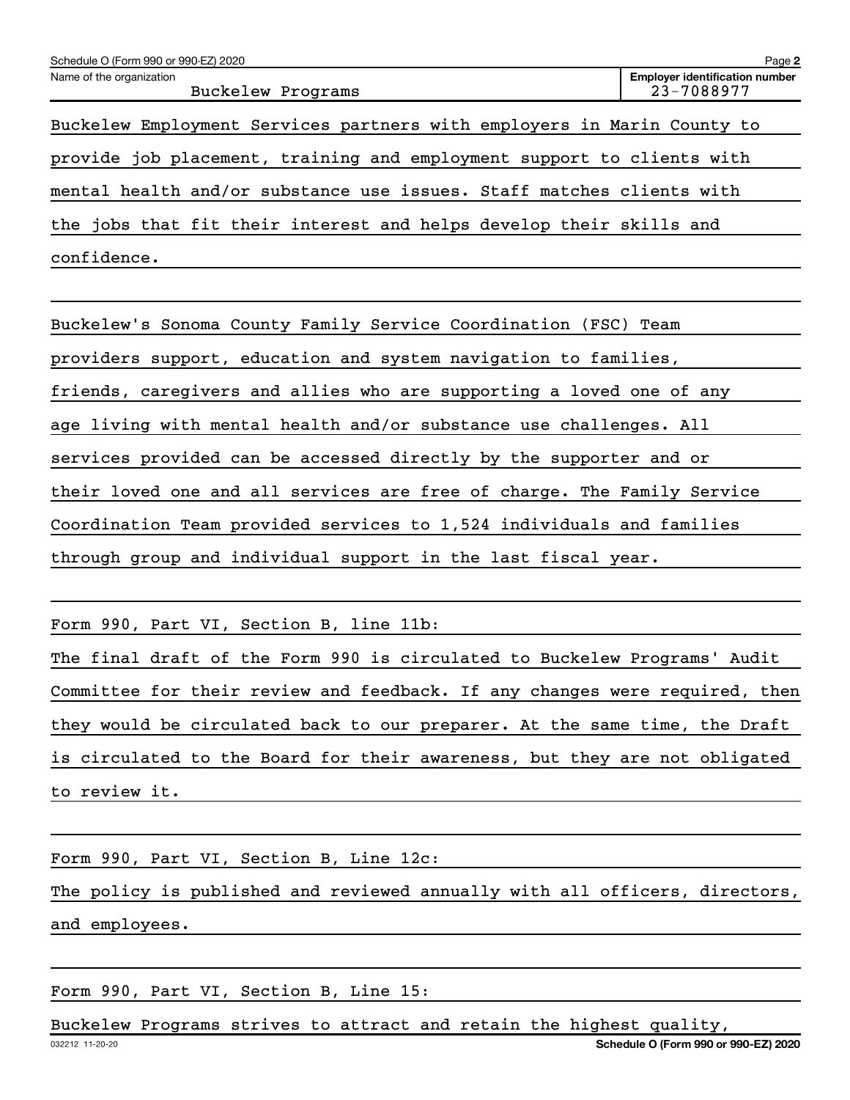| Schedule O (Form 990 or 990-EZ) 2020                                    | Page 2                                              |
|-------------------------------------------------------------------------|-----------------------------------------------------|
| Name of the organization<br>Buckelew Programs                           | <b>Employer identification number</b><br>23-7088977 |
| Buckelew Employment Services partners with employers in Marin County to |                                                     |
| provide job placement, training and employment support to clients with  |                                                     |
| mental health and/or substance use issues. Staff matches clients with   |                                                     |
| the jobs that fit their interest and helps develop their skills and     |                                                     |
| confidence.                                                             |                                                     |

Buckelew's Sonoma County Family Service Coordination (FSC) Team providers support, education and system navigation to families, friends, caregivers and allies who are supporting a loved one of any age living with mental health and/or substance use challenges. All services provided can be accessed directly by the supporter and or their loved one and all services are free of charge. The Family Service Coordination Team provided services to 1,524 individuals and families through group and individual support in the last fiscal year.

Form 990, Part VI, Section B, line 11b:

The final draft of the Form 990 is circulated to Buckelew Programs' Audit Committee for their review and feedback. If any changes were required, then they would be circulated back to our preparer. At the same time, the Draft is circulated to the Board for their awareness, but they are not obligated to review it.

Form 990, Part VI, Section B, Line 12c: The policy is published and reviewed annually with all officers, directors, and employees.

Form 990, Part VI, Section B, Line 15:

Buckelew Programs strives to attract and retain the highest quality,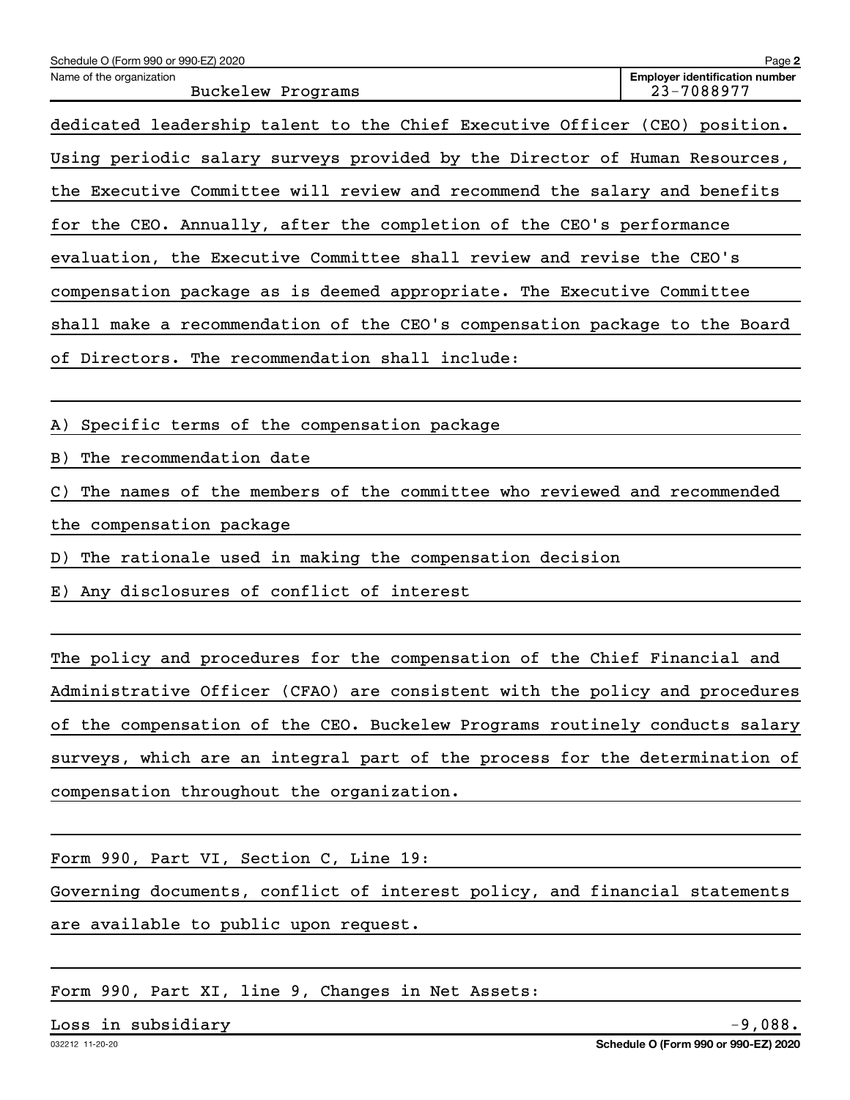| Schedule O (Form 990 or 990-EZ) 2020                                                     | Page 2                                              |
|------------------------------------------------------------------------------------------|-----------------------------------------------------|
| Name of the organization<br>Buckelew Programs                                            | <b>Employer identification number</b><br>23-7088977 |
| dedicated leadership talent to the Chief Executive Officer (CEO) position.               |                                                     |
| Using periodic salary surveys provided by the Director of Human Resources,               |                                                     |
| the Executive Committee will review and recommend the salary and benefits                |                                                     |
| for the CEO. Annually, after the completion of the CEO's performance                     |                                                     |
| evaluation, the Executive Committee shall review and revise the CEO's                    |                                                     |
| compensation package as is deemed appropriate. The Executive Committee                   |                                                     |
| shall make a recommendation of the CEO's compensation package to the Board               |                                                     |
| of Directors. The recommendation shall include:                                          |                                                     |
|                                                                                          |                                                     |
| A) Specific terms of the compensation package                                            |                                                     |
| The recommendation date<br>B)                                                            |                                                     |
| The names of the members of the committee who reviewed and recommended<br>$\mathsf{C}$ ) |                                                     |
| the compensation package                                                                 |                                                     |
| The rationale used in making the compensation decision<br>D)                             |                                                     |
| E) Any disclosures of conflict of interest                                               |                                                     |
|                                                                                          |                                                     |
| The policy and procedures for the compensation of the Chief Financial and                |                                                     |
| Administrative Officer (CFAO) are consistent with the policy and procedures              |                                                     |

surveys, which are an integral part of the process for the determination of compensation throughout the organization.

of the compensation of the CEO. Buckelew Programs routinely conducts salary

Form 990, Part VI, Section C, Line 19:

Governing documents, conflict of interest policy, and financial statements are available to public upon request.

Form 990, Part XI, line 9, Changes in Net Assets:

Loss in subsidiary -9,088.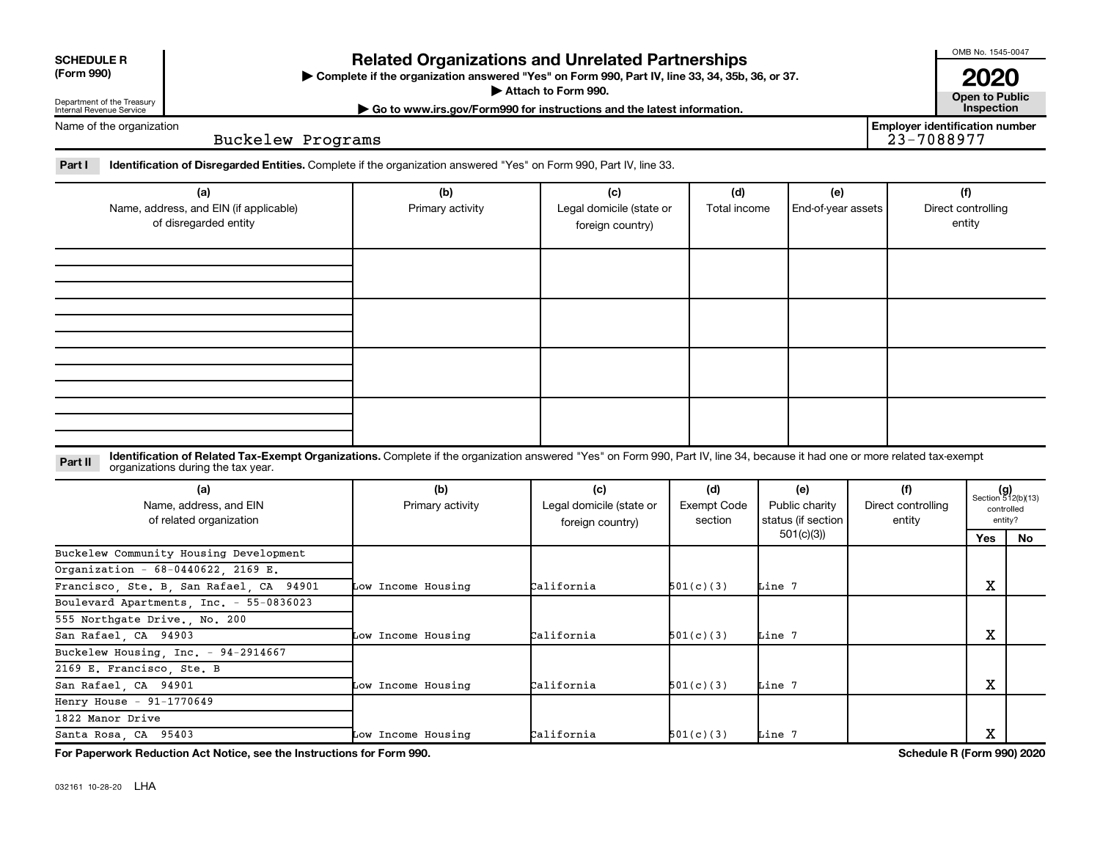| <b>SCHEDULE R</b>         |  |
|---------------------------|--|
| $\mathbf{r}$ $\mathbf{r}$ |  |

Department of the Treasury Internal Revenue Service

### **Related Organizations and Unrelated Partnerships**

**(Form 990) Complete if the organization answered "Yes" on Form 990, Part IV, line 33, 34, 35b, 36, or 37.** |

■ Attach to Form 990. **Dependent of Attach to Form 990.** Open to Public

**| Go to www.irs.gov/Form990 for instructions and the latest information. Inspection**

Name of the organization

Buckelew Programs

Part I ldentification of Disregarded Entities. Complete if the organization answered "Yes" on Form 990, Part IV, line 33.

| (a)<br>Name, address, and EIN (if applicable)<br>of disregarded entity | (b)<br>Primary activity | (c)<br>Legal domicile (state or<br>foreign country) | (d)<br>Total income | (e)<br>End-of-year assets | (f)<br>Direct controlling<br>entity |
|------------------------------------------------------------------------|-------------------------|-----------------------------------------------------|---------------------|---------------------------|-------------------------------------|
|                                                                        |                         |                                                     |                     |                           |                                     |
|                                                                        |                         |                                                     |                     |                           |                                     |
|                                                                        |                         |                                                     |                     |                           |                                     |
|                                                                        |                         |                                                     |                     |                           |                                     |

**Part II** Identification of Related Tax-Exempt Organizations. Complete if the organization answered "Yes" on Form 990, Part IV, line 34, because it had one or more related tax-exempt<br>Part II acconizations during the tax ye organizations during the tax year.

| (a)<br>Name, address, and EIN<br>of related organization | (b)<br>Primary activity | (c)<br>Legal domicile (state or<br>foreign country) | (d)<br>Exempt Code<br>section | (e)<br>Public charity<br>status (if section | (f)<br>Direct controlling<br>entity | $(g)$<br>Section 512(b)(13)<br>controlled<br>entity? |    |  |
|----------------------------------------------------------|-------------------------|-----------------------------------------------------|-------------------------------|---------------------------------------------|-------------------------------------|------------------------------------------------------|----|--|
|                                                          |                         |                                                     |                               | 501(c)(3))                                  |                                     | Yes                                                  | No |  |
| Buckelew Community Housing Development                   |                         |                                                     |                               |                                             |                                     |                                                      |    |  |
| Organization - 68-0440622, 2169 E.                       |                         |                                                     |                               |                                             |                                     |                                                      |    |  |
| Francisco, Ste. B, San Rafael, CA 94901                  | Low Income Housing      | California                                          | 501(c)(3)                     | Line 7                                      |                                     | х                                                    |    |  |
| Boulevard Apartments, Inc. - 55-0836023                  |                         |                                                     |                               |                                             |                                     |                                                      |    |  |
| 555 Northgate Drive., No. 200                            |                         |                                                     |                               |                                             |                                     |                                                      |    |  |
| San Rafael, CA 94903                                     | Low Income Housing      | California                                          | 501(c)(3)                     | Line 7                                      |                                     | X                                                    |    |  |
| Buckelew Housing, Inc. - 94-2914667                      |                         |                                                     |                               |                                             |                                     |                                                      |    |  |
| 2169 E. Francisco, Ste. B                                |                         |                                                     |                               |                                             |                                     |                                                      |    |  |
| San Rafael, CA 94901                                     | Low Income Housing      | California                                          | 501(c)(3)                     | Line 7                                      |                                     | х                                                    |    |  |
| Henry House - $91-1770649$                               |                         |                                                     |                               |                                             |                                     |                                                      |    |  |
| 1822 Manor Drive                                         |                         |                                                     |                               |                                             |                                     |                                                      |    |  |
| Santa Rosa, CA 95403                                     | Low Income Housing      | California                                          | 501(c)(3)                     | Line 7                                      |                                     | х                                                    |    |  |

**For Paperwork Reduction Act Notice, see the Instructions for Form 990. Schedule R (Form 990) 2020**

032161 10-28-20 LHA

OMB No. 1545-0047

**2020**<br>Open to Public

**Employer identification number**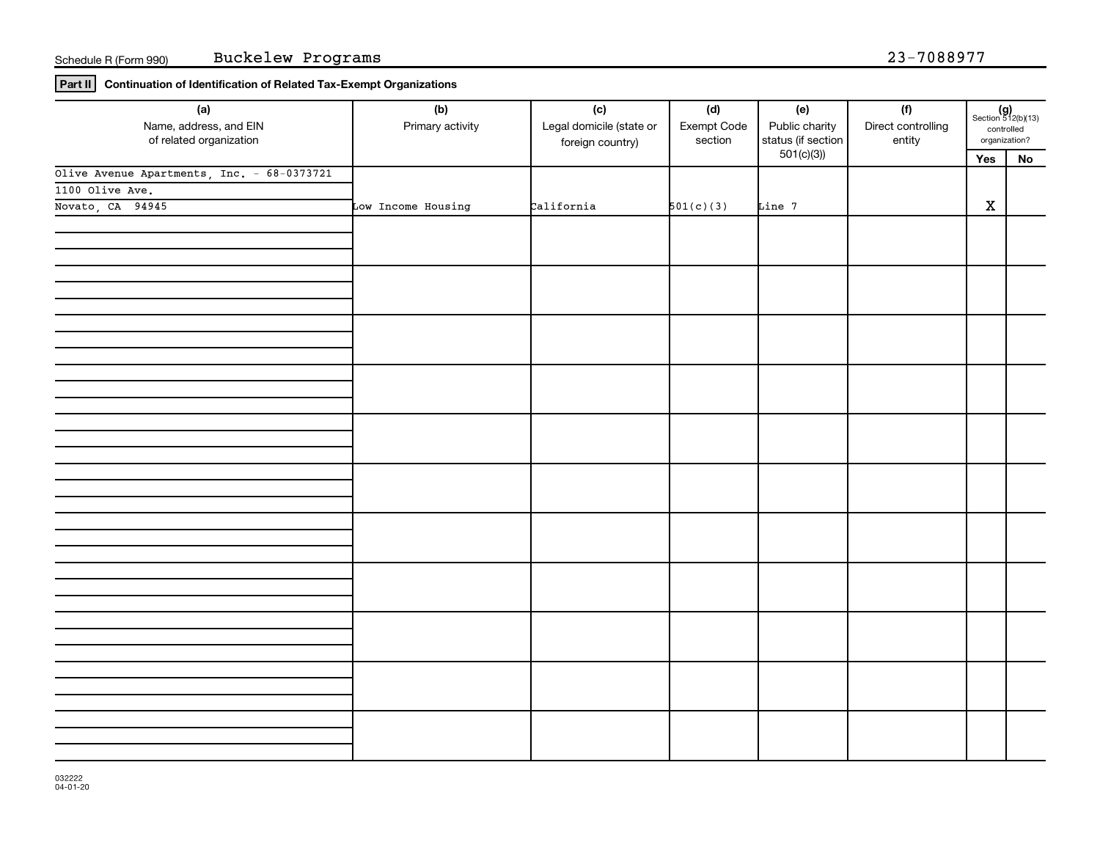**Part II Continuation of Identification of Related Tax-Exempt Organizations**

| (a)<br>Name, address, and EIN<br>of related organization | (b)<br>Primary activity | (c)<br>Legal domicile (state or<br>foreign country) | (d)<br>Exempt Code<br>section | (e)<br>Public charity<br>status (if section | (f)<br>Direct controlling<br>entity | $(g)$<br>Section 512(b)(13)<br>controlled<br>organization? |            |  |
|----------------------------------------------------------|-------------------------|-----------------------------------------------------|-------------------------------|---------------------------------------------|-------------------------------------|------------------------------------------------------------|------------|--|
|                                                          |                         |                                                     |                               | 501(c)(3)                                   |                                     | Yes                                                        | ${\sf No}$ |  |
| Olive Avenue Apartments, Inc. - 68-0373721               |                         |                                                     |                               |                                             |                                     |                                                            |            |  |
| 1100 Olive Ave.                                          |                         |                                                     |                               |                                             |                                     |                                                            |            |  |
| Novato, CA 94945                                         | Low Income Housing      | California                                          | 501(c)(3)                     | Line 7                                      |                                     | $\mathbf X$                                                |            |  |
|                                                          |                         |                                                     |                               |                                             |                                     |                                                            |            |  |
|                                                          |                         |                                                     |                               |                                             |                                     |                                                            |            |  |
|                                                          |                         |                                                     |                               |                                             |                                     |                                                            |            |  |
|                                                          |                         |                                                     |                               |                                             |                                     |                                                            |            |  |
|                                                          |                         |                                                     |                               |                                             |                                     |                                                            |            |  |
|                                                          |                         |                                                     |                               |                                             |                                     |                                                            |            |  |
|                                                          |                         |                                                     |                               |                                             |                                     |                                                            |            |  |
|                                                          |                         |                                                     |                               |                                             |                                     |                                                            |            |  |
|                                                          |                         |                                                     |                               |                                             |                                     |                                                            |            |  |
|                                                          |                         |                                                     |                               |                                             |                                     |                                                            |            |  |
|                                                          |                         |                                                     |                               |                                             |                                     |                                                            |            |  |
|                                                          |                         |                                                     |                               |                                             |                                     |                                                            |            |  |
|                                                          |                         |                                                     |                               |                                             |                                     |                                                            |            |  |
|                                                          |                         |                                                     |                               |                                             |                                     |                                                            |            |  |
|                                                          |                         |                                                     |                               |                                             |                                     |                                                            |            |  |
|                                                          |                         |                                                     |                               |                                             |                                     |                                                            |            |  |
|                                                          |                         |                                                     |                               |                                             |                                     |                                                            |            |  |
|                                                          |                         |                                                     |                               |                                             |                                     |                                                            |            |  |
|                                                          |                         |                                                     |                               |                                             |                                     |                                                            |            |  |
|                                                          |                         |                                                     |                               |                                             |                                     |                                                            |            |  |
|                                                          |                         |                                                     |                               |                                             |                                     |                                                            |            |  |
|                                                          |                         |                                                     |                               |                                             |                                     |                                                            |            |  |
|                                                          |                         |                                                     |                               |                                             |                                     |                                                            |            |  |
|                                                          |                         |                                                     |                               |                                             |                                     |                                                            |            |  |
|                                                          |                         |                                                     |                               |                                             |                                     |                                                            |            |  |
|                                                          |                         |                                                     |                               |                                             |                                     |                                                            |            |  |
|                                                          |                         |                                                     |                               |                                             |                                     |                                                            |            |  |
|                                                          |                         |                                                     |                               |                                             |                                     |                                                            |            |  |
|                                                          |                         |                                                     |                               |                                             |                                     |                                                            |            |  |
|                                                          |                         |                                                     |                               |                                             |                                     |                                                            |            |  |
|                                                          |                         |                                                     |                               |                                             |                                     |                                                            |            |  |
|                                                          |                         |                                                     |                               |                                             |                                     |                                                            |            |  |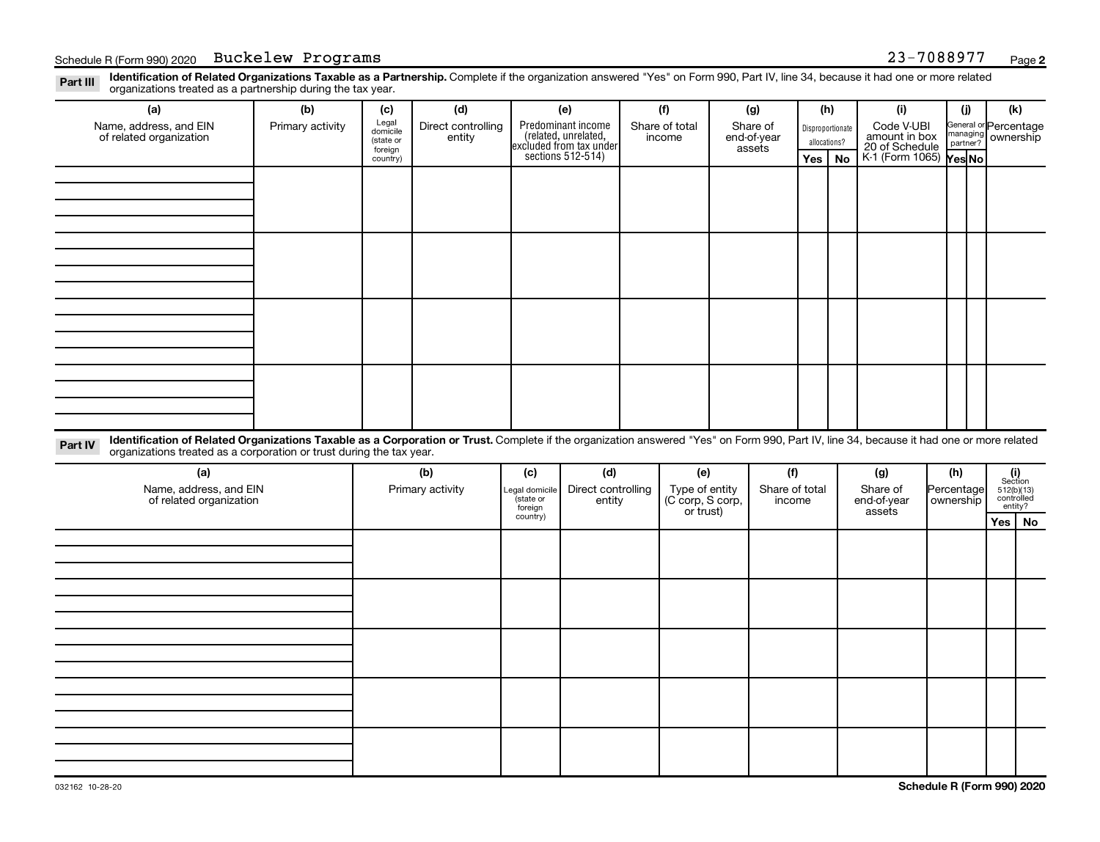Disproportionate allocations? Legal domicile (state or foreign country) General or Percentage managing partner? Section 512(b)(13) controlled entity? Legal domicile (state or foreign country) Part III Identification of Related Organizations Taxable as a Partnership. Complete if the organization answered "Yes" on Form 990, Part IV, line 34, because it had one or more related<br>Read to the organizations tracted as **(a) (b) (c) (d) (e) (f) (g) (h) (i) (j) (k) Yes No Yes No** K-1 (Form 1065) Part IV Identification of Related Organizations Taxable as a Corporation or Trust. Complete if the organization answered "Yes" on Form 990, Part IV, line 34, because it had one or more related **(a) (b) (c) (d) (e) (f) (g) (h) (i) Yes No** Predominant income<br>(related, unrelated, excluded from tax under sections 512-514) Schedule R (Form 990) 2020 Buckelew Programs (and the control of the control of the control of the control of the control of the control of the control of the control of the control of the control of the control of the con organizations treated as a partnership during the tax year. Name, address, and EIN of related organization Primary activity  $\left| \begin{array}{c} \text{Legal} \\ \text{diamial} \end{array} \right|$  Direct controlling entity Share of total income Share of end-of-year assets Code V-UBI<br>amount in box 20 of Schedule ownership organizations treated as a corporation or trust during the tax year. Name, address, and EIN of related organization Primary activity |Legal domicile | Direct controlling entity Type of entity (C corp, S corp, or trust) Share of total income Share of end-of-year assets Percentage ownership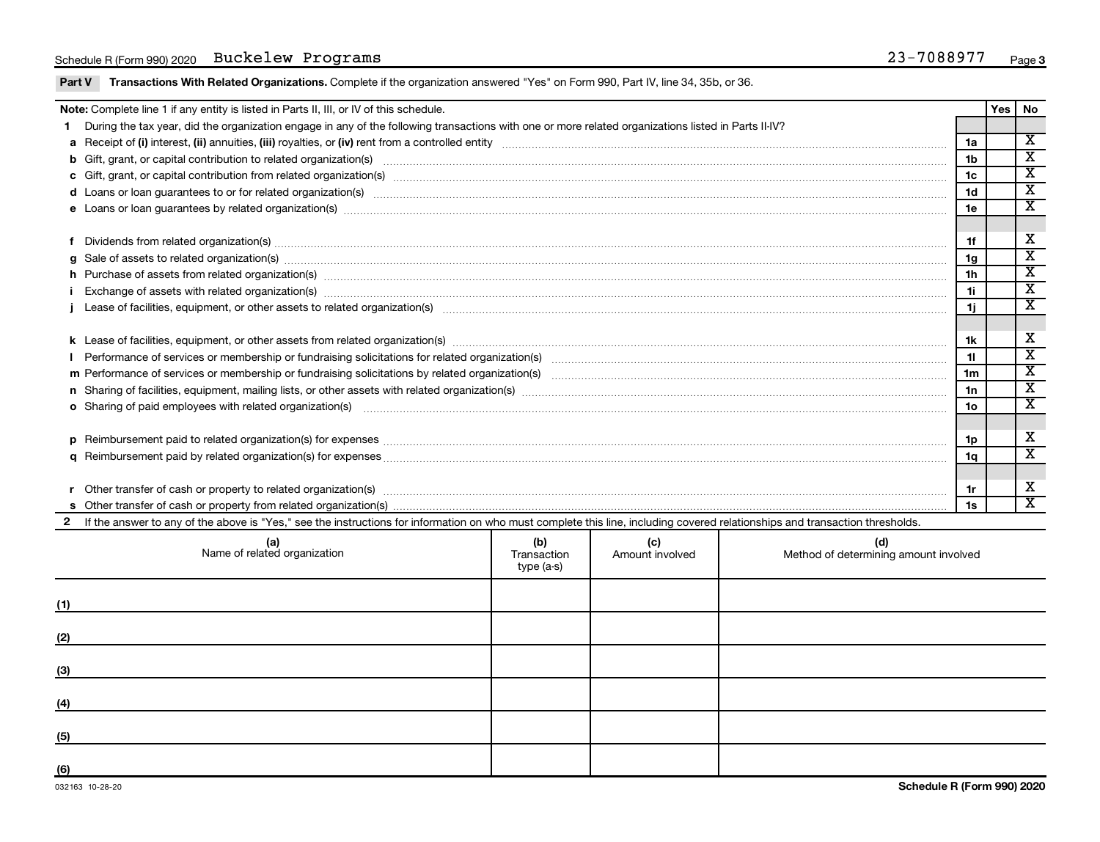### Schedule R (Form 990) 2020 Buckelew Programs (and the control of the control of the control of the control of the control of the control of the control of the control of the control of the control of the control of the con

Part V Transactions With Related Organizations. Complete if the organization answered "Yes" on Form 990, Part IV, line 34, 35b, or 36.

| Note: Complete line 1 if any entity is listed in Parts II, III, or IV of this schedule.                                                                                                                                        |                | Yes I | l No                        |
|--------------------------------------------------------------------------------------------------------------------------------------------------------------------------------------------------------------------------------|----------------|-------|-----------------------------|
| During the tax year, did the organization engage in any of the following transactions with one or more related organizations listed in Parts II-IV?                                                                            |                |       |                             |
|                                                                                                                                                                                                                                | 1a             |       | $\overline{\mathbf{X}}$     |
|                                                                                                                                                                                                                                | 1 <sub>b</sub> |       | х                           |
|                                                                                                                                                                                                                                | 1c             |       | $\overline{\mathbf{x}}$     |
| d Loans or loan guarantees to or for related organization(s) www.communities.com/www.communities-communities-communities-communities-communities-communities-communities-communities-communities-communities-communities-commu | 1 <sub>d</sub> |       | $\overline{\mathbf{X}}$     |
|                                                                                                                                                                                                                                | 1e             |       | $\overline{\mathbf{x}}$     |
|                                                                                                                                                                                                                                |                |       |                             |
|                                                                                                                                                                                                                                | 1f             |       | X                           |
|                                                                                                                                                                                                                                | 1g             |       | X                           |
| h Purchase of assets from related organization(s) www.andromanachinesim.com/www.andromanachinesim.com/www.anachinesim.com/www.anachinesim.com/www.anachinesim.com/www.anachinesim.com/www.anachinesim.com/www.anachinesim.com/ | 1 <sub>h</sub> |       | $\overline{\textbf{x}}$     |
| Exchange of assets with related organization(s) www.assettion.com/www.assettion.com/www.assettion.com/www.assettion.com/www.assettion.com/www.assettion.com/www.assettion.com/www.assettion.com/www.assettion.com/www.assettio | 1i             |       | $\overline{\textnormal{x}}$ |
|                                                                                                                                                                                                                                | 1j             |       | $\mathbf x$                 |
|                                                                                                                                                                                                                                |                |       |                             |
|                                                                                                                                                                                                                                | 1k             |       | х                           |
|                                                                                                                                                                                                                                | 11             |       | X                           |
|                                                                                                                                                                                                                                | 1 <sub>m</sub> |       | х                           |
|                                                                                                                                                                                                                                | 1n             |       | $\overline{\textnormal{x}}$ |
| o Sharing of paid employees with related organization(s) material contents and content to the star of paid employees with related organization(s) material contents and the star of the star of the star of the star of the st | 1o             |       | $\overline{\textnormal{x}}$ |
|                                                                                                                                                                                                                                |                |       |                             |
|                                                                                                                                                                                                                                | 1p             |       | х                           |
|                                                                                                                                                                                                                                | 1a             |       | $\overline{\textbf{x}}$     |
|                                                                                                                                                                                                                                |                |       |                             |
| Other transfer of cash or property to related organization(s) COLOGO CONSERVITY OF A CONSERVITY OF A CONSERVITY OF A CONSERVITY OF A CONSERVITY OF A CONSERVITY OF A CONSERVITY OF A CONSERVITY OF A CONSERVITY OF A CONSERVIT | 1r             |       | х                           |
|                                                                                                                                                                                                                                | 1s             |       | $\overline{\textbf{x}}$     |
| 2 If the answer to any of the above is "Yes," see the instructions for information on who must complete this line, including covered relationships and transaction thresholds.                                                 |                |       |                             |

|     | (a)<br>Name of related organization | (b)<br>Transaction<br>type (a-s) | (c)<br>Amount involved | (d)<br>Method of determining amount involved |
|-----|-------------------------------------|----------------------------------|------------------------|----------------------------------------------|
| (1) |                                     |                                  |                        |                                              |
| (2) |                                     |                                  |                        |                                              |
| (3) |                                     |                                  |                        |                                              |
| (4) |                                     |                                  |                        |                                              |
| (5) |                                     |                                  |                        |                                              |
| (6) |                                     |                                  |                        |                                              |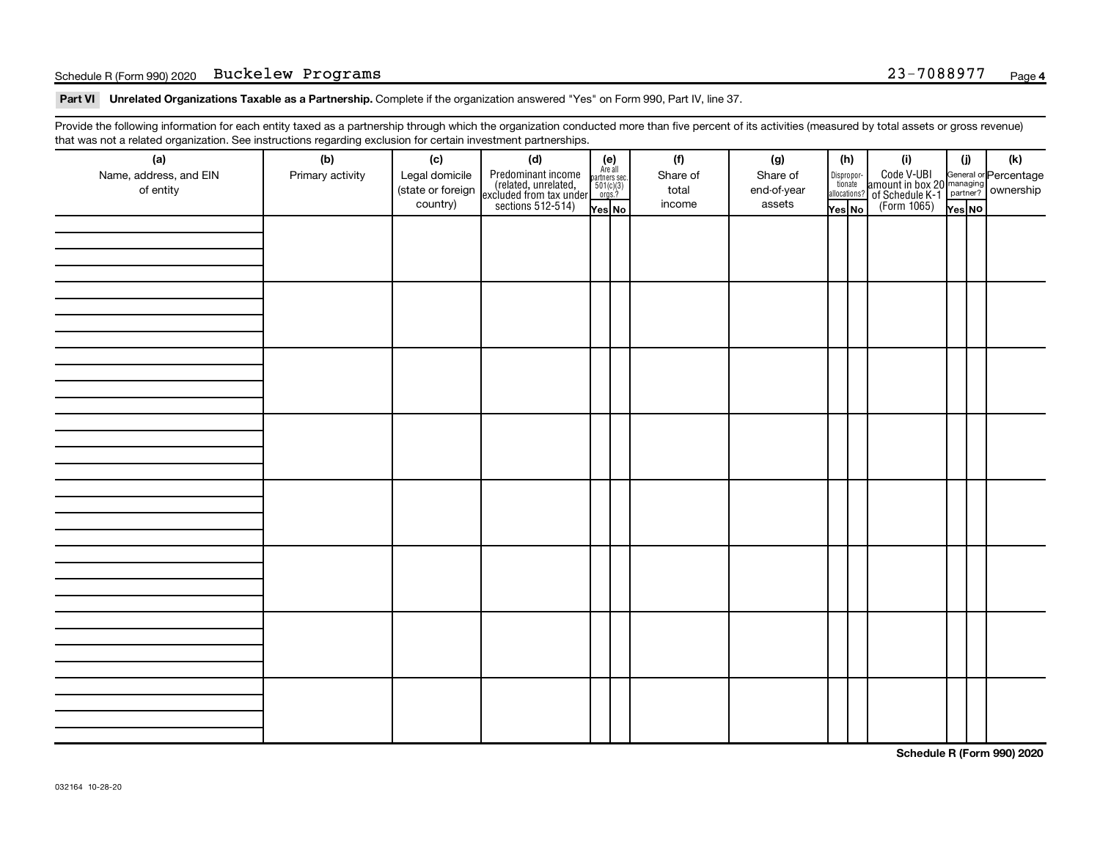### Schedule R (Form 990) 2020 Buckelew Programs (and the control of the control of the control of the control of the control of the control of the control of the control of the control of the control of the control of the con

Part VI Unrelated Organizations Taxable as a Partnership. Complete if the organization answered "Yes" on Form 990, Part IV, line 37.

Provide the following information for each entity taxed as a partnership through which the organization conducted more than five percent of its activities (measured by total assets or gross revenue) that was not a related organization. See instructions regarding exclusion for certain investment partnerships.

| <br>(a)                | (b)              | (c)               | .  . <b>.</b> . <b>.</b><br><br>(d)                                                        |                                                              |  | (f)               | (g)         |        | (h)                   | (i)                                                                    | (i)    | $(\mathsf{k})$                                          |
|------------------------|------------------|-------------------|--------------------------------------------------------------------------------------------|--------------------------------------------------------------|--|-------------------|-------------|--------|-----------------------|------------------------------------------------------------------------|--------|---------------------------------------------------------|
| Name, address, and EIN |                  | Legal domicile    |                                                                                            | (e)<br>Are all<br>partners sec.<br>$\frac{501(c)(3)}{0rgs?}$ |  |                   | Share of    |        |                       |                                                                        |        |                                                         |
| of entity              | Primary activity | (state or foreign |                                                                                            |                                                              |  | Share of<br>total | end-of-year |        | Dispropor-<br>tionate |                                                                        |        | General or Percentage<br>managing<br>partner? Ownership |
|                        |                  | country)          | Predominant income<br>(related, unrelated,<br>excluded from tax under<br>sections 512-514) |                                                              |  | income            | assets      |        | allocations?          | Code V-UBI<br>  amount in box 20<br>! of Schedule K-1<br>  (Form 1065) |        |                                                         |
|                        |                  |                   |                                                                                            | Yes No                                                       |  |                   |             | Yes No |                       |                                                                        | Yes NO |                                                         |
|                        |                  |                   |                                                                                            |                                                              |  |                   |             |        |                       |                                                                        |        |                                                         |
|                        |                  |                   |                                                                                            |                                                              |  |                   |             |        |                       |                                                                        |        |                                                         |
|                        |                  |                   |                                                                                            |                                                              |  |                   |             |        |                       |                                                                        |        |                                                         |
|                        |                  |                   |                                                                                            |                                                              |  |                   |             |        |                       |                                                                        |        |                                                         |
|                        |                  |                   |                                                                                            |                                                              |  |                   |             |        |                       |                                                                        |        |                                                         |
|                        |                  |                   |                                                                                            |                                                              |  |                   |             |        |                       |                                                                        |        |                                                         |
|                        |                  |                   |                                                                                            |                                                              |  |                   |             |        |                       |                                                                        |        |                                                         |
|                        |                  |                   |                                                                                            |                                                              |  |                   |             |        |                       |                                                                        |        |                                                         |
|                        |                  |                   |                                                                                            |                                                              |  |                   |             |        |                       |                                                                        |        |                                                         |
|                        |                  |                   |                                                                                            |                                                              |  |                   |             |        |                       |                                                                        |        |                                                         |
|                        |                  |                   |                                                                                            |                                                              |  |                   |             |        |                       |                                                                        |        |                                                         |
|                        |                  |                   |                                                                                            |                                                              |  |                   |             |        |                       |                                                                        |        |                                                         |
|                        |                  |                   |                                                                                            |                                                              |  |                   |             |        |                       |                                                                        |        |                                                         |
|                        |                  |                   |                                                                                            |                                                              |  |                   |             |        |                       |                                                                        |        |                                                         |
|                        |                  |                   |                                                                                            |                                                              |  |                   |             |        |                       |                                                                        |        |                                                         |
|                        |                  |                   |                                                                                            |                                                              |  |                   |             |        |                       |                                                                        |        |                                                         |
|                        |                  |                   |                                                                                            |                                                              |  |                   |             |        |                       |                                                                        |        |                                                         |
|                        |                  |                   |                                                                                            |                                                              |  |                   |             |        |                       |                                                                        |        |                                                         |
|                        |                  |                   |                                                                                            |                                                              |  |                   |             |        |                       |                                                                        |        |                                                         |
|                        |                  |                   |                                                                                            |                                                              |  |                   |             |        |                       |                                                                        |        |                                                         |
|                        |                  |                   |                                                                                            |                                                              |  |                   |             |        |                       |                                                                        |        |                                                         |
|                        |                  |                   |                                                                                            |                                                              |  |                   |             |        |                       |                                                                        |        |                                                         |
|                        |                  |                   |                                                                                            |                                                              |  |                   |             |        |                       |                                                                        |        |                                                         |
|                        |                  |                   |                                                                                            |                                                              |  |                   |             |        |                       |                                                                        |        |                                                         |
|                        |                  |                   |                                                                                            |                                                              |  |                   |             |        |                       |                                                                        |        |                                                         |
|                        |                  |                   |                                                                                            |                                                              |  |                   |             |        |                       |                                                                        |        |                                                         |
|                        |                  |                   |                                                                                            |                                                              |  |                   |             |        |                       |                                                                        |        |                                                         |
|                        |                  |                   |                                                                                            |                                                              |  |                   |             |        |                       |                                                                        |        |                                                         |
|                        |                  |                   |                                                                                            |                                                              |  |                   |             |        |                       |                                                                        |        |                                                         |
|                        |                  |                   |                                                                                            |                                                              |  |                   |             |        |                       |                                                                        |        |                                                         |
|                        |                  |                   |                                                                                            |                                                              |  |                   |             |        |                       |                                                                        |        |                                                         |
|                        |                  |                   |                                                                                            |                                                              |  |                   |             |        |                       |                                                                        |        |                                                         |
|                        |                  |                   |                                                                                            |                                                              |  |                   |             |        |                       |                                                                        |        |                                                         |
|                        |                  |                   |                                                                                            |                                                              |  |                   |             |        |                       |                                                                        |        |                                                         |
|                        |                  |                   |                                                                                            |                                                              |  |                   |             |        |                       |                                                                        |        |                                                         |

**Schedule R (Form 990) 2020**